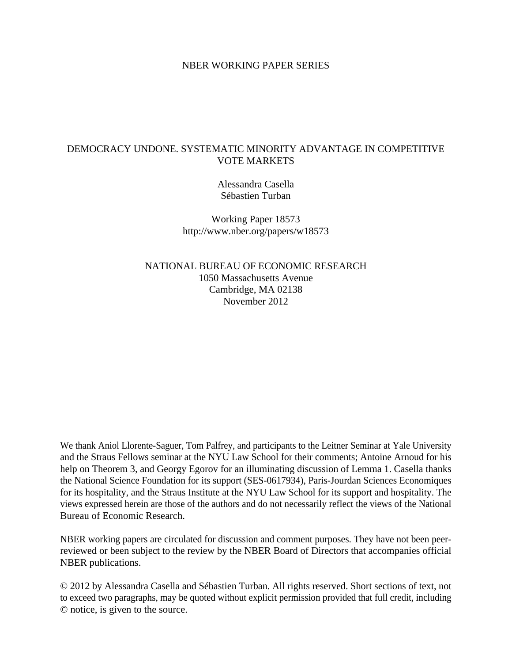#### NBER WORKING PAPER SERIES

#### DEMOCRACY UNDONE. SYSTEMATIC MINORITY ADVANTAGE IN COMPETITIVE VOTE MARKETS

Alessandra Casella Sébastien Turban

Working Paper 18573 http://www.nber.org/papers/w18573

NATIONAL BUREAU OF ECONOMIC RESEARCH 1050 Massachusetts Avenue Cambridge, MA 02138 November 2012

We thank Aniol Llorente-Saguer, Tom Palfrey, and participants to the Leitner Seminar at Yale University and the Straus Fellows seminar at the NYU Law School for their comments; Antoine Arnoud for his help on Theorem 3, and Georgy Egorov for an illuminating discussion of Lemma 1. Casella thanks the National Science Foundation for its support (SES-0617934), Paris-Jourdan Sciences Economiques for its hospitality, and the Straus Institute at the NYU Law School for its support and hospitality. The views expressed herein are those of the authors and do not necessarily reflect the views of the National Bureau of Economic Research.

NBER working papers are circulated for discussion and comment purposes. They have not been peerreviewed or been subject to the review by the NBER Board of Directors that accompanies official NBER publications.

© 2012 by Alessandra Casella and Sébastien Turban. All rights reserved. Short sections of text, not to exceed two paragraphs, may be quoted without explicit permission provided that full credit, including © notice, is given to the source.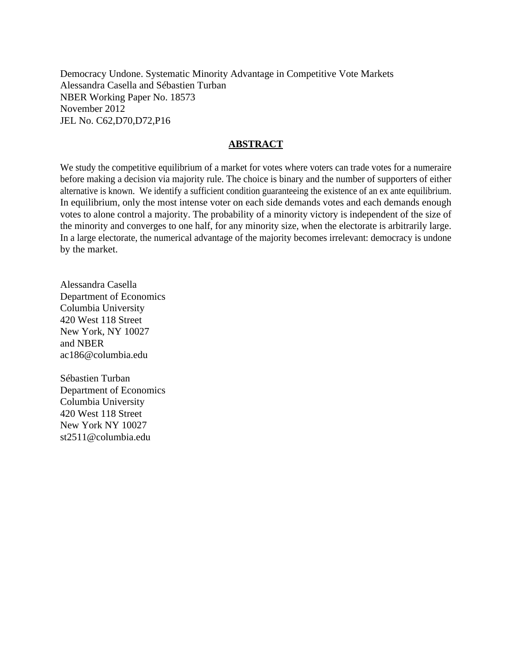Democracy Undone. Systematic Minority Advantage in Competitive Vote Markets Alessandra Casella and Sébastien Turban NBER Working Paper No. 18573 November 2012 JEL No. C62,D70,D72,P16

#### **ABSTRACT**

We study the competitive equilibrium of a market for votes where voters can trade votes for a numeraire before making a decision via majority rule. The choice is binary and the number of supporters of either alternative is known. We identify a sufficient condition guaranteeing the existence of an ex ante equilibrium. In equilibrium, only the most intense voter on each side demands votes and each demands enough votes to alone control a majority. The probability of a minority victory is independent of the size of the minority and converges to one half, for any minority size, when the electorate is arbitrarily large. In a large electorate, the numerical advantage of the majority becomes irrelevant: democracy is undone by the market.

Alessandra Casella Department of Economics Columbia University 420 West 118 Street New York, NY 10027 and NBER ac186@columbia.edu

Sébastien Turban Department of Economics Columbia University 420 West 118 Street New York NY 10027 st2511@columbia.edu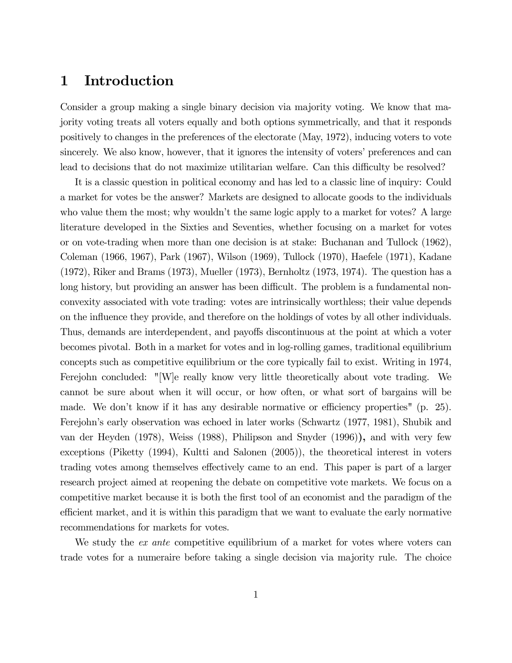# 1 Introduction

Consider a group making a single binary decision via majority voting. We know that majority voting treats all voters equally and both options symmetrically, and that it responds positively to changes in the preferences of the electorate (May, 1972), inducing voters to vote sincerely. We also know, however, that it ignores the intensity of voters' preferences and can lead to decisions that do not maximize utilitarian welfare. Can this difficulty be resolved?

It is a classic question in political economy and has led to a classic line of inquiry: Could a market for votes be the answer? Markets are designed to allocate goods to the individuals who value them the most; why wouldn't the same logic apply to a market for votes? A large literature developed in the Sixties and Seventies, whether focusing on a market for votes or on vote-trading when more than one decision is at stake: Buchanan and Tullock (1962), Coleman (1966, 1967), Park (1967), Wilson (1969), Tullock (1970), Haefele (1971), Kadane (1972), Riker and Brams (1973), Mueller (1973), Bernholtz (1973, 1974). The question has a long history, but providing an answer has been difficult. The problem is a fundamental nonconvexity associated with vote trading: votes are intrinsically worthless; their value depends on the influence they provide, and therefore on the holdings of votes by all other individuals. Thus, demands are interdependent, and payoffs discontinuous at the point at which a voter becomes pivotal. Both in a market for votes and in log-rolling games, traditional equilibrium concepts such as competitive equilibrium or the core typically fail to exist. Writing in 1974, Ferejohn concluded: "[W]e really know very little theoretically about vote trading. We cannot be sure about when it will occur, or how often, or what sort of bargains will be made. We don't know if it has any desirable normative or efficiency properties" (p. 25). Ferejohn's early observation was echoed in later works (Schwartz (1977, 1981), Shubik and van der Heyden (1978), Weiss (1988), Philipson and Snyder (1996)), and with very few exceptions (Piketty (1994), Kultti and Salonen (2005)), the theoretical interest in voters trading votes among themselves effectively came to an end. This paper is part of a larger research project aimed at reopening the debate on competitive vote markets. We focus on a competitive market because it is both the first tool of an economist and the paradigm of the efficient market, and it is within this paradigm that we want to evaluate the early normative recommendations for markets for votes.

We study the *ex ante* competitive equilibrium of a market for votes where voters can trade votes for a numeraire before taking a single decision via majority rule. The choice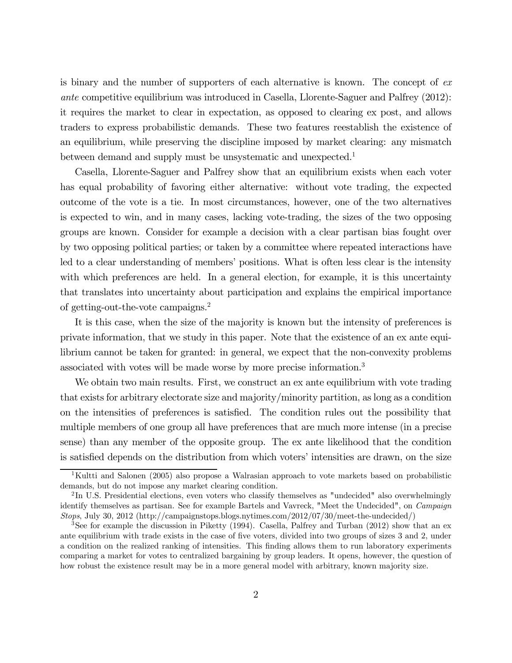is binary and the number of supporters of each alternative is known. The concept of ex ante competitive equilibrium was introduced in Casella, Llorente-Saguer and Palfrey (2012): it requires the market to clear in expectation, as opposed to clearing ex post, and allows traders to express probabilistic demands. These two features reestablish the existence of an equilibrium, while preserving the discipline imposed by market clearing: any mismatch between demand and supply must be unsystematic and unexpected.<sup>1</sup>

Casella, Llorente-Saguer and Palfrey show that an equilibrium exists when each voter has equal probability of favoring either alternative: without vote trading, the expected outcome of the vote is a tie. In most circumstances, however, one of the two alternatives is expected to win, and in many cases, lacking vote-trading, the sizes of the two opposing groups are known. Consider for example a decision with a clear partisan bias fought over by two opposing political parties; or taken by a committee where repeated interactions have led to a clear understanding of members' positions. What is often less clear is the intensity with which preferences are held. In a general election, for example, it is this uncertainty that translates into uncertainty about participation and explains the empirical importance of getting-out-the-vote campaigns.2

It is this case, when the size of the majority is known but the intensity of preferences is private information, that we study in this paper. Note that the existence of an ex ante equilibrium cannot be taken for granted: in general, we expect that the non-convexity problems associated with votes will be made worse by more precise information.3

We obtain two main results. First, we construct an ex ante equilibrium with vote trading that exists for arbitrary electorate size and majority/minority partition, as long as a condition on the intensities of preferences is satisfied. The condition rules out the possibility that multiple members of one group all have preferences that are much more intense (in a precise sense) than any member of the opposite group. The ex ante likelihood that the condition is satisfied depends on the distribution from which voters' intensities are drawn, on the size

<sup>&</sup>lt;sup>1</sup>Kultti and Salonen (2005) also propose a Walrasian approach to vote markets based on probabilistic demands, but do not impose any market clearing condition.

<sup>&</sup>lt;sup>2</sup>In U.S. Presidential elections, even voters who classify themselves as "undecided" also overwhelmingly identify themselves as partisan. See for example Bartels and Vavreck, "Meet the Undecided", on Campaign Stops, July 30, 2012 (http://campaignstops.blogs.nytimes.com/2012/07/30/meet-the-undecided/)

<sup>&</sup>lt;sup>3</sup>See for example the discussion in Piketty (1994). Casella, Palfrey and Turban (2012) show that an ex ante equilibrium with trade exists in the case of five voters, divided into two groups of sizes 3 and 2, under a condition on the realized ranking of intensities. This finding allows them to run laboratory experiments comparing a market for votes to centralized bargaining by group leaders. It opens, however, the question of how robust the existence result may be in a more general model with arbitrary, known majority size.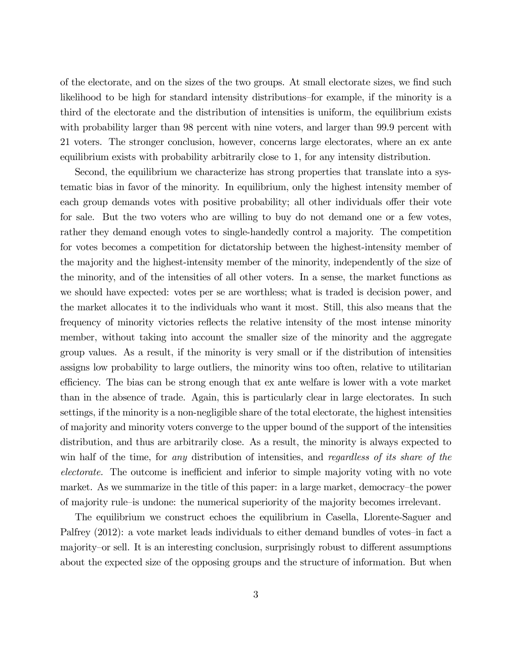of the electorate, and on the sizes of the two groups. At small electorate sizes, we find such likelihood to be high for standard intensity distributions—for example, if the minority is a third of the electorate and the distribution of intensities is uniform, the equilibrium exists with probability larger than 98 percent with nine voters, and larger than 99.9 percent with 21 voters. The stronger conclusion, however, concerns large electorates, where an ex ante equilibrium exists with probability arbitrarily close to 1, for any intensity distribution.

Second, the equilibrium we characterize has strong properties that translate into a systematic bias in favor of the minority. In equilibrium, only the highest intensity member of each group demands votes with positive probability; all other individuals offer their vote for sale. But the two voters who are willing to buy do not demand one or a few votes, rather they demand enough votes to single-handedly control a majority. The competition for votes becomes a competition for dictatorship between the highest-intensity member of the majority and the highest-intensity member of the minority, independently of the size of the minority, and of the intensities of all other voters. In a sense, the market functions as we should have expected: votes per se are worthless; what is traded is decision power, and the market allocates it to the individuals who want it most. Still, this also means that the frequency of minority victories reflects the relative intensity of the most intense minority member, without taking into account the smaller size of the minority and the aggregate group values. As a result, if the minority is very small or if the distribution of intensities assigns low probability to large outliers, the minority wins too often, relative to utilitarian efficiency. The bias can be strong enough that ex ante welfare is lower with a vote market than in the absence of trade. Again, this is particularly clear in large electorates. In such settings, if the minority is a non-negligible share of the total electorate, the highest intensities of majority and minority voters converge to the upper bound of the support of the intensities distribution, and thus are arbitrarily close. As a result, the minority is always expected to win half of the time, for any distribution of intensities, and regardless of its share of the electorate. The outcome is inefficient and inferior to simple majority voting with no vote market. As we summarize in the title of this paper: in a large market, democracy—the power of majority rule—is undone: the numerical superiority of the majority becomes irrelevant.

The equilibrium we construct echoes the equilibrium in Casella, Llorente-Saguer and Palfrey (2012): a vote market leads individuals to either demand bundles of votes-in fact a majority—or sell. It is an interesting conclusion, surprisingly robust to different assumptions about the expected size of the opposing groups and the structure of information. But when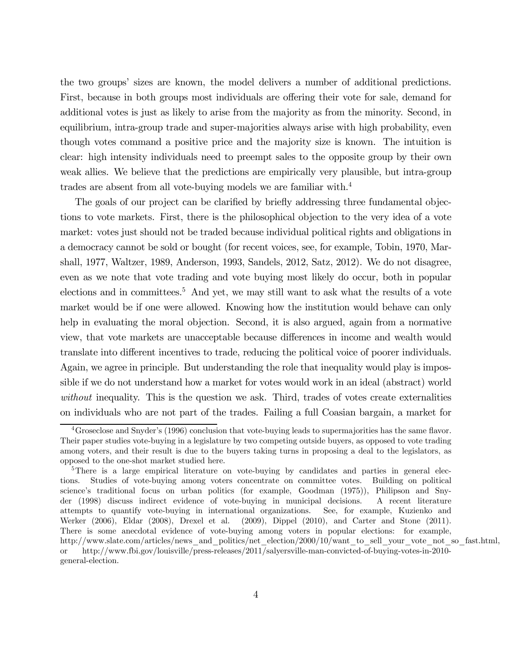the two groups' sizes are known, the model delivers a number of additional predictions. First, because in both groups most individuals are offering their vote for sale, demand for additional votes is just as likely to arise from the majority as from the minority. Second, in equilibrium, intra-group trade and super-majorities always arise with high probability, even though votes command a positive price and the majority size is known. The intuition is clear: high intensity individuals need to preempt sales to the opposite group by their own weak allies. We believe that the predictions are empirically very plausible, but intra-group trades are absent from all vote-buying models we are familiar with.4

The goals of our project can be clarified by briefly addressing three fundamental objections to vote markets. First, there is the philosophical objection to the very idea of a vote market: votes just should not be traded because individual political rights and obligations in a democracy cannot be sold or bought (for recent voices, see, for example, Tobin, 1970, Marshall, 1977, Waltzer, 1989, Anderson, 1993, Sandels, 2012, Satz, 2012). We do not disagree, even as we note that vote trading and vote buying most likely do occur, both in popular elections and in committees.<sup>5</sup> And yet, we may still want to ask what the results of a vote market would be if one were allowed. Knowing how the institution would behave can only help in evaluating the moral objection. Second, it is also argued, again from a normative view, that vote markets are unacceptable because differences in income and wealth would translate into different incentives to trade, reducing the political voice of poorer individuals. Again, we agree in principle. But understanding the role that inequality would play is impossible if we do not understand how a market for votes would work in an ideal (abstract) world without inequality. This is the question we ask. Third, trades of votes create externalities on individuals who are not part of the trades. Failing a full Coasian bargain, a market for

 $4G$ roseclose and Snyder's (1996) conclusion that vote-buying leads to supermajorities has the same flavor. Their paper studies vote-buying in a legislature by two competing outside buyers, as opposed to vote trading among voters, and their result is due to the buyers taking turns in proposing a deal to the legislators, as opposed to the one-shot market studied here.

<sup>&</sup>lt;sup>5</sup>There is a large empirical literature on vote-buying by candidates and parties in general elections. Studies of vote-buying among voters concentrate on committee votes. Building on political science's traditional focus on urban politics (for example, Goodman (1975)), Philipson and Snyder (1998) discuss indirect evidence of vote-buying in municipal decisions. A recent literature attempts to quantify vote-buying in international organizations. See, for example, Kuzienko and Werker (2006), Eldar (2008), Drexel et al. (2009), Dippel (2010), and Carter and Stone (2011). There is some anecdotal evidence of vote-buying among voters in popular elections: for example, http://www.slate.com/articles/news\_and\_politics/net\_election/2000/10/want\_to\_sell\_your\_vote\_not\_so\_fast.html, or http://www.fbi.gov/louisville/press-releases/2011/salyersville-man-convicted-of-buying-votes-in-2010 general-election.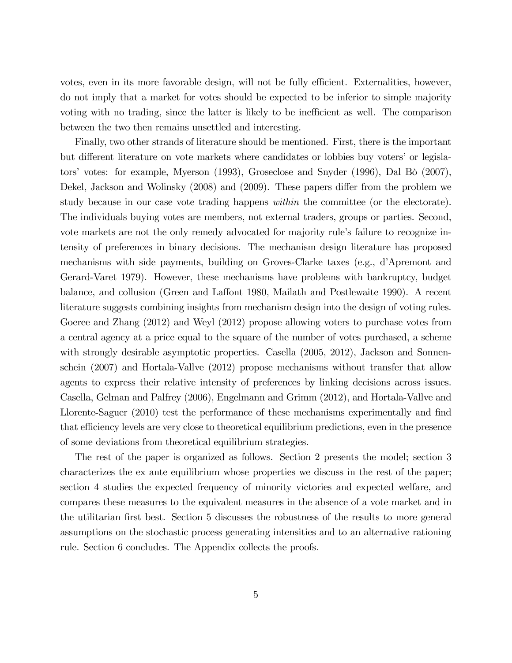votes, even in its more favorable design, will not be fully efficient. Externalities, however, do not imply that a market for votes should be expected to be inferior to simple majority voting with no trading, since the latter is likely to be inefficient as well. The comparison between the two then remains unsettled and interesting.

Finally, two other strands of literature should be mentioned. First, there is the important but different literature on vote markets where candidates or lobbies buy voters' or legislators' votes: for example, Myerson (1993), Groseclose and Snyder (1996), Dal Bò (2007), Dekel, Jackson and Wolinsky (2008) and (2009). These papers differ from the problem we study because in our case vote trading happens within the committee (or the electorate). The individuals buying votes are members, not external traders, groups or parties. Second, vote markets are not the only remedy advocated for majority rule's failure to recognize intensity of preferences in binary decisions. The mechanism design literature has proposed mechanisms with side payments, building on Groves-Clarke taxes (e.g., d'Apremont and Gerard-Varet 1979). However, these mechanisms have problems with bankruptcy, budget balance, and collusion (Green and Laffont 1980, Mailath and Postlewaite 1990). A recent literature suggests combining insights from mechanism design into the design of voting rules. Goeree and Zhang (2012) and Weyl (2012) propose allowing voters to purchase votes from a central agency at a price equal to the square of the number of votes purchased, a scheme with strongly desirable asymptotic properties. Casella (2005, 2012), Jackson and Sonnenschein (2007) and Hortala-Vallve (2012) propose mechanisms without transfer that allow agents to express their relative intensity of preferences by linking decisions across issues. Casella, Gelman and Palfrey (2006), Engelmann and Grimm (2012), and Hortala-Vallve and Llorente-Saguer (2010) test the performance of these mechanisms experimentally and find that efficiency levels are very close to theoretical equilibrium predictions, even in the presence of some deviations from theoretical equilibrium strategies.

The rest of the paper is organized as follows. Section 2 presents the model; section 3 characterizes the ex ante equilibrium whose properties we discuss in the rest of the paper; section 4 studies the expected frequency of minority victories and expected welfare, and compares these measures to the equivalent measures in the absence of a vote market and in the utilitarian first best. Section 5 discusses the robustness of the results to more general assumptions on the stochastic process generating intensities and to an alternative rationing rule. Section 6 concludes. The Appendix collects the proofs.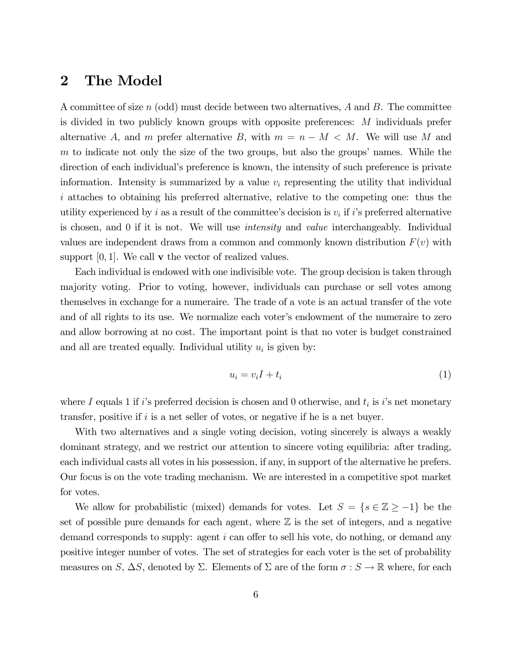# 2 The Model

A committee of size n (odd) must decide between two alternatives,  $A$  and  $B$ . The committee is divided in two publicly known groups with opposite preferences: M individuals prefer alternative A, and m prefer alternative B, with  $m = n - M < M$ . We will use M and m to indicate not only the size of the two groups, but also the groups' names. While the direction of each individual's preference is known, the intensity of such preference is private information. Intensity is summarized by a value  $v_i$  representing the utility that individual i attaches to obtaining his preferred alternative, relative to the competing one: thus the utility experienced by i as a result of the committee's decision is  $v_i$  if i's preferred alternative is chosen, and 0 if it is not. We will use intensity and value interchangeably. Individual values are independent draws from a common and commonly known distribution  $F(v)$  with support  $[0, 1]$ . We call **v** the vector of realized values.

Each individual is endowed with one indivisible vote. The group decision is taken through majority voting. Prior to voting, however, individuals can purchase or sell votes among themselves in exchange for a numeraire. The trade of a vote is an actual transfer of the vote and of all rights to its use. We normalize each voter's endowment of the numeraire to zero and allow borrowing at no cost. The important point is that no voter is budget constrained and all are treated equally. Individual utility  $u_i$  is given by:

$$
u_i = v_i I + t_i \tag{1}
$$

where I equals 1 if i's preferred decision is chosen and 0 otherwise, and  $t_i$  is i's net monetary transfer, positive if  $i$  is a net seller of votes, or negative if he is a net buyer.

With two alternatives and a single voting decision, voting sincerely is always a weakly dominant strategy, and we restrict our attention to sincere voting equilibria: after trading, each individual casts all votes in his possession, if any, in support of the alternative he prefers. Our focus is on the vote trading mechanism. We are interested in a competitive spot market for votes.

We allow for probabilistic (mixed) demands for votes. Let  $S = \{s \in \mathbb{Z} \ge -1\}$  be the set of possible pure demands for each agent, where  $\mathbb Z$  is the set of integers, and a negative demand corresponds to supply: agent i can offer to sell his vote, do nothing, or demand any positive integer number of votes. The set of strategies for each voter is the set of probability measures on S,  $\Delta S$ , denoted by  $\Sigma$ . Elements of  $\Sigma$  are of the form  $\sigma : S \to \mathbb{R}$  where, for each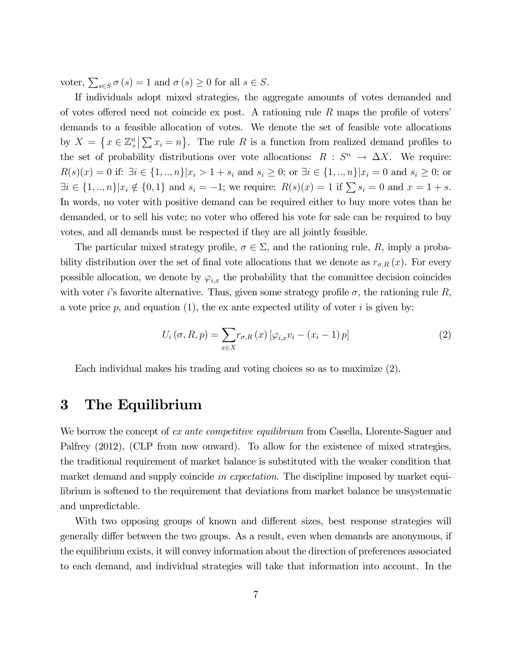voter,  $\sum_{s \in S} \sigma(s) = 1$  and  $\sigma(s) \ge 0$  for all  $s \in S$ .

If individuals adopt mixed strategies, the aggregate amounts of votes demanded and of votes offered need not coincide ex post. A rationing rule  $R$  maps the profile of voters' demands to a feasible allocation of votes. We denote the set of feasible vote allocations by  $X = \{x \in \mathbb{Z}_{+}^{n} \mid \sum x_{i} = n\}$ . The rule R is a function from realized demand profiles to the set of probability distributions over vote allocations:  $R : S^n \to \Delta X$ . We require:  $R(s)(x)=0$  if:  $\exists i \in \{1, ..., n\} | x_i > 1 + s_i$  and  $s_i \geq 0$ ; or  $\exists i \in \{1, ..., n\} | x_i = 0$  and  $s_i \geq 0$ ; or  $\exists i \in \{1, ..., n\} | x_i \notin \{0, 1\}$  and  $s_i = -1$ ; we require:  $R(s)(x) = 1$  if  $\sum s_i = 0$  and  $x = 1 + s$ . In words, no voter with positive demand can be required either to buy more votes than he demanded, or to sell his vote; no voter who offered his vote for sale can be required to buy votes, and all demands must be respected if they are all jointly feasible.

The particular mixed strategy profile,  $\sigma \in \Sigma$ , and the rationing rule, R, imply a probability distribution over the set of final vote allocations that we denote as  $r_{\sigma,R}(x)$ . For every possible allocation, we denote by  $\varphi_{i,x}$  the probability that the committee decision coincides with voter i's favorite alternative. Thus, given some strategy profile  $\sigma$ , the rationing rule R, a vote price  $p$ , and equation (1), the ex ante expected utility of voter i is given by:

$$
U_i(\sigma, R, p) = \sum_{x \in X} r_{\sigma, R}(x) \left[ \varphi_{i,x} v_i - (x_i - 1) p \right]
$$
 (2)

Each individual makes his trading and voting choices so as to maximize (2).

### 3 The Equilibrium

We borrow the concept of *ex ante competitive equilibrium* from Casella, Llorente-Saguer and Palfrey  $(2012)$ , (CLP from now onward). To allow for the existence of mixed strategies, the traditional requirement of market balance is substituted with the weaker condition that market demand and supply coincide in expectation. The discipline imposed by market equilibrium is softened to the requirement that deviations from market balance be unsystematic and unpredictable.

With two opposing groups of known and different sizes, best response strategies will generally differ between the two groups. As a result, even when demands are anonymous, if the equilibrium exists, it will convey information about the direction of preferences associated to each demand, and individual strategies will take that information into account. In the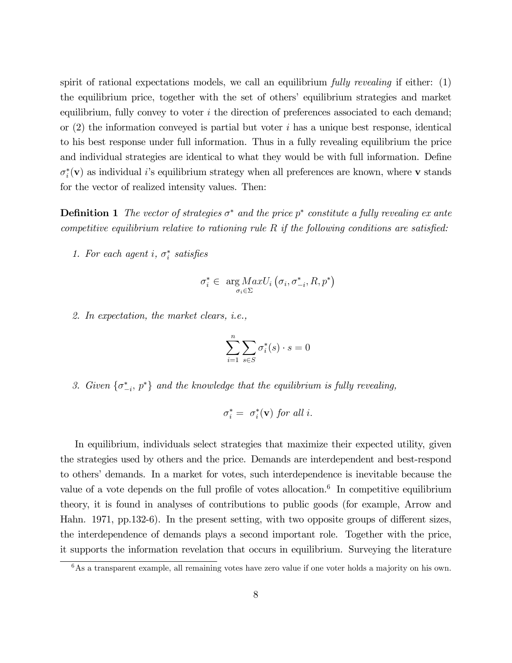spirit of rational expectations models, we call an equilibrium *fully revealing* if either: (1) the equilibrium price, together with the set of others' equilibrium strategies and market equilibrium, fully convey to voter  $i$  the direction of preferences associated to each demand; or  $(2)$  the information conveyed is partial but voter i has a unique best response, identical to his best response under full information. Thus in a fully revealing equilibrium the price and individual strategies are identical to what they would be with full information. Define  $\sigma_i^*(\mathbf{v})$  as individual *i*'s equilibrium strategy when all preferences are known, where **v** stands for the vector of realized intensity values. Then:

**Definition 1** The vector of strategies  $\sigma^*$  and the price  $p^*$  constitute a fully revealing ex ante competitive equilibrium relative to rationing rule  $R$  if the following conditions are satisfied:

1. For each agent i,  $\sigma_i^*$  satisfies

$$
\sigma_i^* \in \arg_{\sigma_i \in \Sigma} MaxU_i \left( \sigma_i, \sigma_{-i}^*, R, p^* \right)
$$

2. In expectation, the market clears, i.e.,

$$
\sum_{i=1}^{n} \sum_{s \in S} \sigma_i^*(s) \cdot s = 0
$$

3. Given  $\{\sigma_{-i}^*, p^*\}$  and the knowledge that the equilibrium is fully revealing,

$$
\sigma_i^* = \sigma_i^*(\mathbf{v}) \text{ for all } i.
$$

In equilibrium, individuals select strategies that maximize their expected utility, given the strategies used by others and the price. Demands are interdependent and best-respond to others' demands. In a market for votes, such interdependence is inevitable because the value of a vote depends on the full profile of votes allocation.<sup>6</sup> In competitive equilibrium theory, it is found in analyses of contributions to public goods (for example, Arrow and Hahn. 1971, pp.132-6). In the present setting, with two opposite groups of different sizes, the interdependence of demands plays a second important role. Together with the price, it supports the information revelation that occurs in equilibrium. Surveying the literature

 $6$ As a transparent example, all remaining votes have zero value if one voter holds a majority on his own.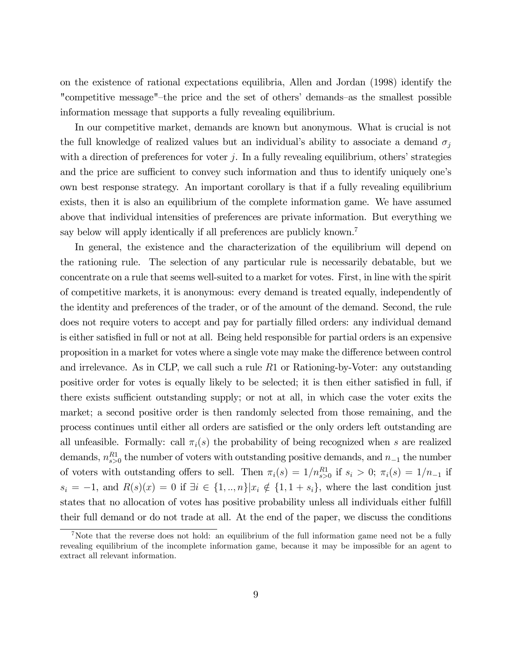on the existence of rational expectations equilibria, Allen and Jordan (1998) identify the "competitive message"—the price and the set of others' demands—as the smallest possible information message that supports a fully revealing equilibrium.

In our competitive market, demands are known but anonymous. What is crucial is not the full knowledge of realized values but an individual's ability to associate a demand  $\sigma_i$ with a direction of preferences for voter  $j$ . In a fully revealing equilibrium, others' strategies and the price are sufficient to convey such information and thus to identify uniquely one's own best response strategy. An important corollary is that if a fully revealing equilibrium exists, then it is also an equilibrium of the complete information game. We have assumed above that individual intensities of preferences are private information. But everything we say below will apply identically if all preferences are publicly known.<sup>7</sup>

In general, the existence and the characterization of the equilibrium will depend on the rationing rule. The selection of any particular rule is necessarily debatable, but we concentrate on a rule that seems well-suited to a market for votes. First, in line with the spirit of competitive markets, it is anonymous: every demand is treated equally, independently of the identity and preferences of the trader, or of the amount of the demand. Second, the rule does not require voters to accept and pay for partially filled orders: any individual demand is either satisfied in full or not at all. Being held responsible for partial orders is an expensive proposition in a market for votes where a single vote may make the difference between control and irrelevance. As in CLP, we call such a rule R1 or Rationing-by-Voter: any outstanding positive order for votes is equally likely to be selected; it is then either satisfied in full, if there exists sufficient outstanding supply; or not at all, in which case the voter exits the market; a second positive order is then randomly selected from those remaining, and the process continues until either all orders are satisfied or the only orders left outstanding are all unfeasible. Formally: call  $\pi_i(s)$  the probability of being recognized when s are realized demands,  $n_{s>0}^{R1}$  the number of voters with outstanding positive demands, and  $n_{-1}$  the number of voters with outstanding offers to sell. Then  $\pi_i(s) = 1/n_{s>0}^{R1}$  if  $s_i > 0$ ;  $\pi_i(s) = 1/n_{-1}$  if  $s_i = -1$ , and  $R(s)(x) = 0$  if  $\exists i \in \{1, ..., n\} | x_i \notin \{1, 1 + s_i\}$ , where the last condition just states that no allocation of votes has positive probability unless all individuals either fulfill their full demand or do not trade at all. At the end of the paper, we discuss the conditions

<sup>&</sup>lt;sup>7</sup>Note that the reverse does not hold: an equilibrium of the full information game need not be a fully revealing equilibrium of the incomplete information game, because it may be impossible for an agent to extract all relevant information.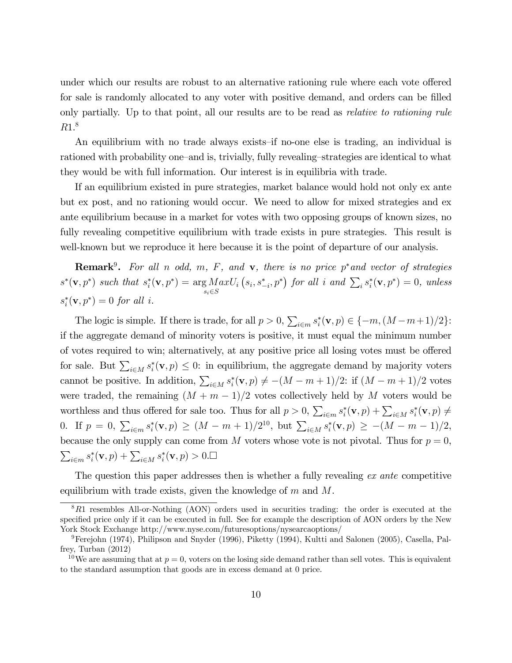under which our results are robust to an alternative rationing rule where each vote offered for sale is randomly allocated to any voter with positive demand, and orders can be filled only partially. Up to that point, all our results are to be read as *relative to rationing rule* R1. 8

An equilibrium with no trade always exists—if no-one else is trading, an individual is rationed with probability one—and is, trivially, fully revealing—strategies are identical to what they would be with full information. Our interest is in equilibria with trade.

If an equilibrium existed in pure strategies, market balance would hold not only ex ante but ex post, and no rationing would occur. We need to allow for mixed strategies and ex ante equilibrium because in a market for votes with two opposing groups of known sizes, no fully revealing competitive equilibrium with trade exists in pure strategies. This result is well-known but we reproduce it here because it is the point of departure of our analysis.

**Remark**<sup>9</sup>. For all n odd, m, F, and **v**, there is no price p<sup>\*</sup> and vector of strategies  $s^*(\mathbf{v}, p^*)$  such that  $s_i^*(\mathbf{v}, p^*) = \arg Max$  $s_i \in S$  $U_i(s_i, s_{-i}^*, p^*)$  for all i and  $\sum_i s_i^*(\mathbf{v}, p^*)=0$ , unless  $s_i^*(\mathbf{v}, p^*)=0$  for all i.

The logic is simple. If there is trade, for all  $p > 0$ ,  $\sum_{i \in m} s_i^*(\mathbf{v}, p) \in \{-m, (M-m+1)/2\}$ : if the aggregate demand of minority voters is positive, it must equal the minimum number of votes required to win; alternatively, at any positive price all losing votes must be offered for sale. But  $\sum_{i\in M} s_i^*(\mathbf{v}, p) \leq 0$ : in equilibrium, the aggregate demand by majority voters cannot be positive. In addition,  $\sum_{i\in M} s_i^*(\mathbf{v}, p) \neq -(M-m+1)/2$ : if  $(M-m+1)/2$  votes were traded, the remaining  $(M + m - 1)/2$  votes collectively held by M voters would be worthless and thus offered for sale too. Thus for all  $p > 0$ ,  $\sum_{i \in m} s_i^*(\mathbf{v}, p) + \sum_{i \in M} s_i^*(\mathbf{v}, p) \neq$ 0. If  $p = 0$ ,  $\sum_{i \in m} s_i^*(\mathbf{v}, p) \ge (M - m + 1)/2^{10}$ , but  $\sum_{i \in M} s_i^*(\mathbf{v}, p) \ge -(M - m - 1)/2$ , because the only supply can come from M voters whose vote is not pivotal. Thus for  $p = 0$ ,  $\sum_{i \in m} s_i^*(\mathbf{v}, p) + \sum_{i \in M} s_i^*(\mathbf{v}, p) > 0. \Box$ 

The question this paper addresses then is whether a fully revealing ex ante competitive equilibrium with trade exists, given the knowledge of  $m$  and  $M$ .

<sup>&</sup>lt;sup>8</sup>R1 resembles All-or-Nothing (AON) orders used in securities trading: the order is executed at the specified price only if it can be executed in full. See for example the description of AON orders by the New York Stock Exchange http://www.nyse.com/futuresoptions/nysearcaoptions/

<sup>9</sup>Ferejohn (1974), Philipson and Snyder (1996), Piketty (1994), Kultti and Salonen (2005), Casella, Palfrey, Turban (2012)

<sup>&</sup>lt;sup>10</sup>We are assuming that at  $p = 0$ , voters on the losing side demand rather than sell votes. This is equivalent to the standard assumption that goods are in excess demand at 0 price.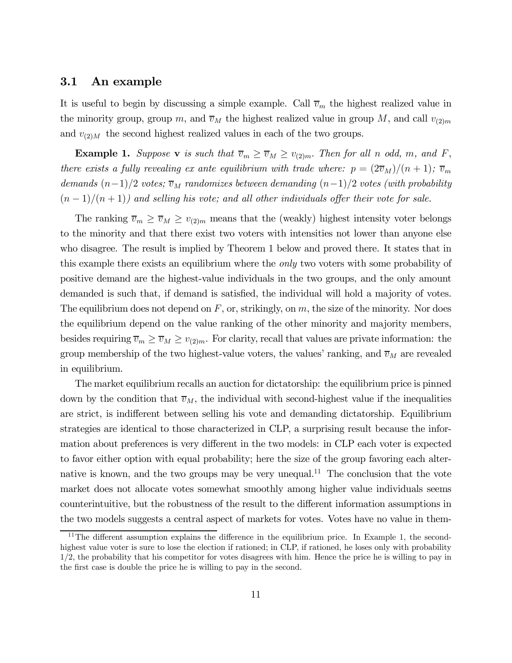#### 3.1 An example

It is useful to begin by discussing a simple example. Call  $\overline{v}_m$  the highest realized value in the minority group, group m, and  $\overline{v}_M$  the highest realized value in group M, and call  $v_{(2)m}$ and  $v_{(2)M}$  the second highest realized values in each of the two groups.

**Example 1.** Suppose **v** is such that  $\overline{v}_m \ge \overline{v}_M \ge v_{(2)m}$ . Then for all n odd, m, and F, there exists a fully revealing ex ante equilibrium with trade where:  $p = (2\overline{v}_M)/(n+1)$ ;  $\overline{v}_m$ demands  $(n-1)/2$  votes;  $\overline{v}_M$  randomizes between demanding  $(n-1)/2$  votes (with probability  $(n-1)/(n+1)$  and selling his vote; and all other individuals offer their vote for sale.

The ranking  $\overline{v}_m \ge \overline{v}_M \ge v_{(2)m}$  means that the (weakly) highest intensity voter belongs to the minority and that there exist two voters with intensities not lower than anyone else who disagree. The result is implied by Theorem 1 below and proved there. It states that in this example there exists an equilibrium where the only two voters with some probability of positive demand are the highest-value individuals in the two groups, and the only amount demanded is such that, if demand is satisfied, the individual will hold a majority of votes. The equilibrium does not depend on  $F$ , or, strikingly, on  $m$ , the size of the minority. Nor does the equilibrium depend on the value ranking of the other minority and majority members, besides requiring  $\overline{v}_m \ge \overline{v}_M \ge v_{(2)m}$ . For clarity, recall that values are private information: the group membership of the two highest-value voters, the values' ranking, and  $\overline{v}_M$  are revealed in equilibrium.

The market equilibrium recalls an auction for dictatorship: the equilibrium price is pinned down by the condition that  $\overline{v}_M$ , the individual with second-highest value if the inequalities are strict, is indifferent between selling his vote and demanding dictatorship. Equilibrium strategies are identical to those characterized in CLP, a surprising result because the information about preferences is very different in the two models: in CLP each voter is expected to favor either option with equal probability; here the size of the group favoring each alternative is known, and the two groups may be very unequal.<sup>11</sup> The conclusion that the vote market does not allocate votes somewhat smoothly among higher value individuals seems counterintuitive, but the robustness of the result to the different information assumptions in the two models suggests a central aspect of markets for votes. Votes have no value in them-

<sup>&</sup>lt;sup>11</sup>The different assumption explains the difference in the equilibrium price. In Example 1, the secondhighest value voter is sure to lose the election if rationed; in CLP, if rationed, he loses only with probability 1/2, the probability that his competitor for votes disagrees with him. Hence the price he is willing to pay in the first case is double the price he is willing to pay in the second.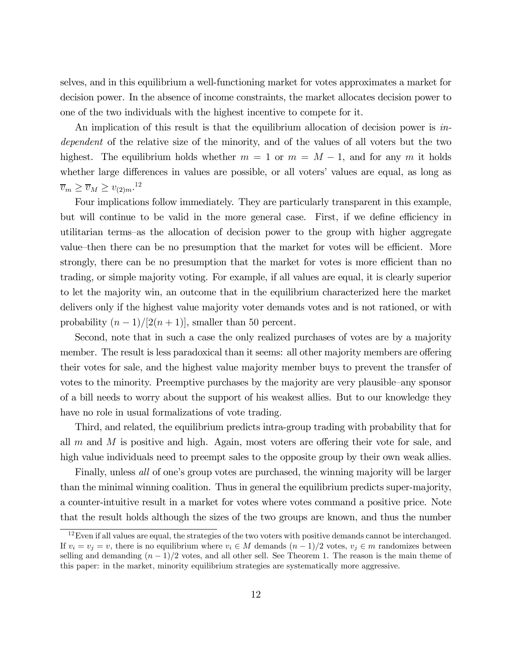selves, and in this equilibrium a well-functioning market for votes approximates a market for decision power. In the absence of income constraints, the market allocates decision power to one of the two individuals with the highest incentive to compete for it.

An implication of this result is that the equilibrium allocation of decision power is independent of the relative size of the minority, and of the values of all voters but the two highest. The equilibrium holds whether  $m = 1$  or  $m = M - 1$ , and for any m it holds whether large differences in values are possible, or all voters' values are equal, as long as  $\overline{v}_m \geq \overline{v}_M \geq v_{(2)m}.$ <sup>12</sup>

Four implications follow immediately. They are particularly transparent in this example, but will continue to be valid in the more general case. First, if we define efficiency in utilitarian terms—as the allocation of decision power to the group with higher aggregate value—then there can be no presumption that the market for votes will be efficient. More strongly, there can be no presumption that the market for votes is more efficient than no trading, or simple majority voting. For example, if all values are equal, it is clearly superior to let the majority win, an outcome that in the equilibrium characterized here the market delivers only if the highest value majority voter demands votes and is not rationed, or with probability  $(n-1)/[2(n+1)]$ , smaller than 50 percent.

Second, note that in such a case the only realized purchases of votes are by a majority member. The result is less paradoxical than it seems: all other majority members are offering their votes for sale, and the highest value majority member buys to prevent the transfer of votes to the minority. Preemptive purchases by the majority are very plausible—any sponsor of a bill needs to worry about the support of his weakest allies. But to our knowledge they have no role in usual formalizations of vote trading.

Third, and related, the equilibrium predicts intra-group trading with probability that for all  $m$  and  $M$  is positive and high. Again, most voters are offering their vote for sale, and high value individuals need to preempt sales to the opposite group by their own weak allies.

Finally, unless all of one's group votes are purchased, the winning majority will be larger than the minimal winning coalition. Thus in general the equilibrium predicts super-majority, a counter-intuitive result in a market for votes where votes command a positive price. Note that the result holds although the sizes of the two groups are known, and thus the number

 $12$  Even if all values are equal, the strategies of the two voters with positive demands cannot be interchanged. If  $v_i = v_j = v$ , there is no equilibrium where  $v_i \in M$  demands  $(n-1)/2$  votes,  $v_j \in m$  randomizes between selling and demanding  $(n-1)/2$  votes, and all other sell. See Theorem 1. The reason is the main theme of this paper: in the market, minority equilibrium strategies are systematically more aggressive.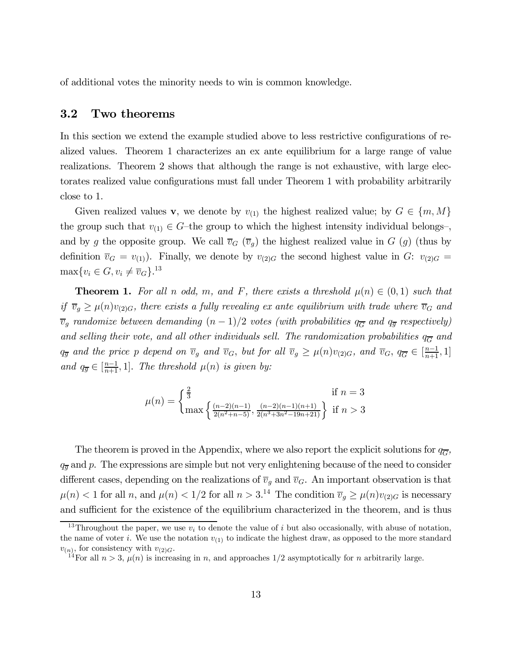of additional votes the minority needs to win is common knowledge.

#### 3.2 Two theorems

In this section we extend the example studied above to less restrictive configurations of realized values. Theorem 1 characterizes an ex ante equilibrium for a large range of value realizations. Theorem 2 shows that although the range is not exhaustive, with large electorates realized value configurations must fall under Theorem 1 with probability arbitrarily close to 1.

Given realized values v, we denote by  $v_{(1)}$  the highest realized value; by  $G \in \{m, M\}$ the group such that  $v_{(1)} \in G$ —the group to which the highest intensity individual belongs–, and by g the opposite group. We call  $\overline{v}_G$  ( $\overline{v}_g$ ) the highest realized value in G (g) (thus by definition  $\overline{v}_G = v_{(1)}$ . Finally, we denote by  $v_{(2)G}$  the second highest value in G:  $v_{(2)G}$  =  $\max\{v_i \in G, v_i \neq \overline{v}_G\}.$ <sup>13</sup>

**Theorem 1.** For all n odd, m, and F, there exists a threshold  $\mu(n) \in (0,1)$  such that if  $\overline{v}_g \ge \mu(n)v_{(2)G}$ , there exists a fully revealing ex ante equilibrium with trade where  $\overline{v}_G$  and  $\overline{v}_g$  randomize between demanding  $(n-1)/2$  votes (with probabilities  $q_{\overline{G}}$  and  $q_{\overline{g}}$  respectively) and selling their vote, and all other individuals sell. The randomization probabilities  $q_{\overline{G}}$  and  $q_{\overline{g}}$  and the price p depend on  $\overline{v}_g$  and  $\overline{v}_G$ , but for all  $\overline{v}_g \ge \mu(n)v_{(2)G}$ , and  $\overline{v}_G$ ,  $q_{\overline{G}} \in \left[\frac{n-1}{n+1}, 1\right]$ and  $q_{\overline{g}} \in [\frac{n-1}{n+1}, 1]$ . The threshold  $\mu(n)$  is given by:

$$
\mu(n) = \begin{cases} \frac{2}{3} & \text{if } n = 3\\ \max\left\{\frac{(n-2)(n-1)}{2(n^2+n-5)}, \frac{(n-2)(n-1)(n+1)}{2(n^3+3n^2-19n+21)}\right\} & \text{if } n > 3 \end{cases}
$$

The theorem is proved in the Appendix, where we also report the explicit solutions for  $q_{\overline{G}}$ ,  $q_{\overline{q}}$  and p. The expressions are simple but not very enlightening because of the need to consider different cases, depending on the realizations of  $\overline{v}_g$  and  $\overline{v}_G$ . An important observation is that  $\mu(n) < 1$  for all n, and  $\mu(n) < 1/2$  for all  $n > 3$ .<sup>14</sup> The condition  $\overline{v}_g \ge \mu(n)v_{(2)G}$  is necessary and sufficient for the existence of the equilibrium characterized in the theorem, and is thus

<sup>&</sup>lt;sup>13</sup>Throughout the paper, we use  $v_i$  to denote the value of i but also occasionally, with abuse of notation, the name of voter i. We use the notation  $v_{(1)}$  to indicate the highest draw, as opposed to the more standard  $v_{(n)}$ , for consistency with  $v_{(2)G}$ .<br><sup>14</sup>For all  $n > 3$ ,  $\mu(n)$  is increasing in n, and approaches 1/2 asymptotically for n arbitrarily large.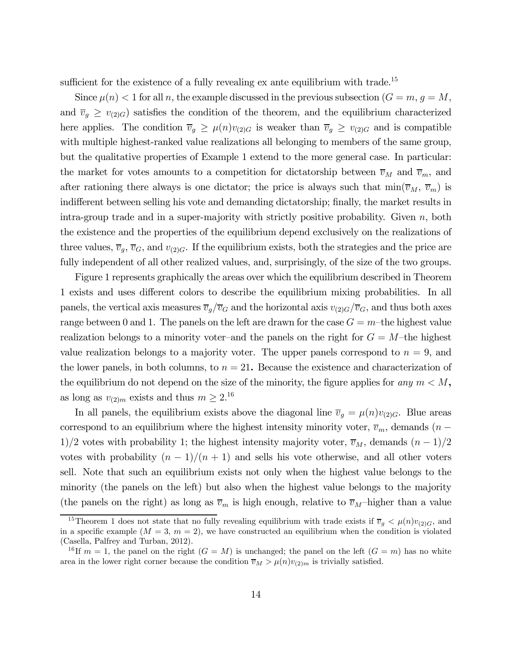sufficient for the existence of a fully revealing ex ante equilibrium with trade.<sup>15</sup>

Since  $\mu(n) < 1$  for all n, the example discussed in the previous subsection  $(G = m, g = M,$ and  $\overline{v}_g \geq v_{(2)G}$  satisfies the condition of the theorem, and the equilibrium characterized here applies. The condition  $\overline{v}_g \geq \mu(n)v_{(2)G}$  is weaker than  $\overline{v}_g \geq v_{(2)G}$  and is compatible with multiple highest-ranked value realizations all belonging to members of the same group, but the qualitative properties of Example 1 extend to the more general case. In particular: the market for votes amounts to a competition for dictatorship between  $\overline{v}_M$  and  $\overline{v}_m$ , and after rationing there always is one dictator; the price is always such that  $\min(\overline{v}_M, \overline{v}_m)$  is indifferent between selling his vote and demanding dictatorship; finally, the market results in intra-group trade and in a super-majority with strictly positive probability. Given  $n$ , both the existence and the properties of the equilibrium depend exclusively on the realizations of three values,  $\overline{v}_g$ ,  $\overline{v}_G$ , and  $v_{(2)G}$ . If the equilibrium exists, both the strategies and the price are fully independent of all other realized values, and, surprisingly, of the size of the two groups.

Figure 1 represents graphically the areas over which the equilibrium described in Theorem 1 exists and uses different colors to describe the equilibrium mixing probabilities. In all panels, the vertical axis measures  $\overline{v}_g/\overline{v}_G$  and the horizontal axis  $v_{(2)G}/\overline{v}_G$ , and thus both axes range between 0 and 1. The panels on the left are drawn for the case  $G = m$ -the highest value realization belongs to a minority voter-and the panels on the right for  $G = M$ -the highest value realization belongs to a majority voter. The upper panels correspond to  $n = 9$ , and the lower panels, in both columns, to  $n = 21$ . Because the existence and characterization of the equilibrium do not depend on the size of the minority, the figure applies for any  $m < M$ , as long as  $v_{(2)m}$  exists and thus  $m \ge 2^{16}$ 

In all panels, the equilibrium exists above the diagonal line  $\overline{v}_g = \mu(n)v_{(2)G}$ . Blue areas correspond to an equilibrium where the highest intensity minority voter,  $\overline{v}_m$ , demands (n − 1)/2 votes with probability 1; the highest intensity majority voter,  $\overline{v}_M$ , demands  $(n-1)/2$ votes with probability  $(n-1)/(n+1)$  and sells his vote otherwise, and all other voters sell. Note that such an equilibrium exists not only when the highest value belongs to the minority (the panels on the left) but also when the highest value belongs to the majority (the panels on the right) as long as  $\overline{v}_m$  is high enough, relative to  $\overline{v}_M$ -higher than a value

<sup>&</sup>lt;sup>15</sup>Theorem 1 does not state that no fully revealing equilibrium with trade exists if  $\overline{v}_g < \mu(n)v_{(2)G}$ , and in a specific example  $(M = 3, m = 2)$ , we have constructed an equilibrium when the condition is violated (Casella, Palfrey and Turban, 2012).

<sup>&</sup>lt;sup>16</sup>If  $m = 1$ , the panel on the right  $(G = M)$  is unchanged; the panel on the left  $(G = m)$  has no white area in the lower right corner because the condition  $\overline{v}_M > \mu(n)v_{(2)m}$  is trivially satisfied.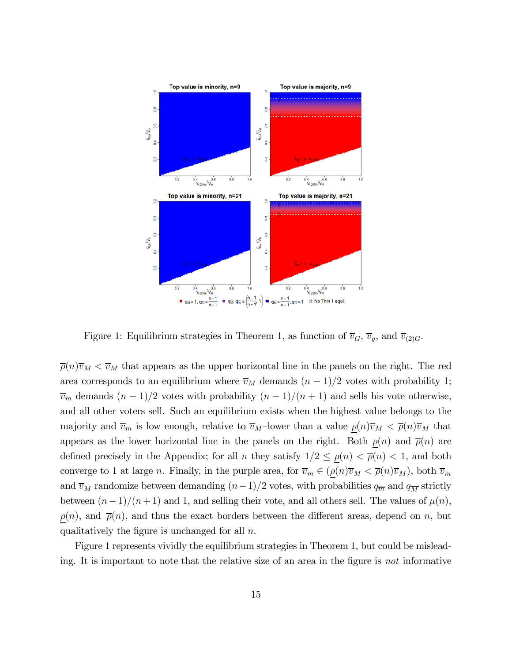

Figure 1: Equilibrium strategies in Theorem 1, as function of  $\overline{v}_G$ ,  $\overline{v}_g$ , and  $\overline{v}_{(2)G}$ .

 $\overline{\rho}(n)\overline{v}_M < \overline{v}_M$  that appears as the upper horizontal line in the panels on the right. The red area corresponds to an equilibrium where  $\overline{v}_M$  demands  $(n-1)/2$  votes with probability 1;  $\overline{v}_m$  demands  $(n-1)/2$  votes with probability  $(n-1)/(n+1)$  and sells his vote otherwise, and all other voters sell. Such an equilibrium exists when the highest value belongs to the majority and  $\overline{v}_m$  is low enough, relative to  $\overline{v}_M$ -lower than a value  $\rho(n)\overline{v}_M < \overline{\rho}(n)\overline{v}_M$  that appears as the lower horizontal line in the panels on the right. Both  $\rho(n)$  and  $\overline{\rho}(n)$  are defined precisely in the Appendix; for all n they satisfy  $1/2 \le \rho(n) < \bar{\rho}(n) < 1$ , and both converge to 1 at large n. Finally, in the purple area, for  $\overline{v}_m \in (\rho(n)\overline{v}_M < \overline{\rho}(n)\overline{v}_M)$ , both  $\overline{v}_m$ and  $\overline{v}_M$  randomize between demanding  $(n-1)/2$  votes, with probabilities  $q_{\overline{m}}$  and  $q_{\overline{M}}$  strictly between  $(n-1)/(n+1)$  and 1, and selling their vote, and all others sell. The values of  $\mu(n)$ ,  $\rho(n)$ , and  $\bar{\rho}(n)$ , and thus the exact borders between the different areas, depend on n, but qualitatively the figure is unchanged for all  $n$ .

Figure 1 represents vividly the equilibrium strategies in Theorem 1, but could be misleading. It is important to note that the relative size of an area in the figure is not informative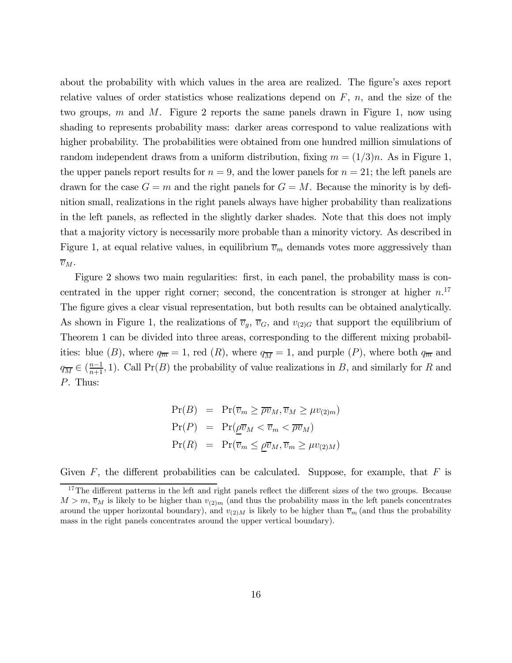about the probability with which values in the area are realized. The figure's axes report relative values of order statistics whose realizations depend on  $F$ ,  $n$ , and the size of the two groups, m and M. Figure 2 reports the same panels drawn in Figure 1, now using shading to represents probability mass: darker areas correspond to value realizations with higher probability. The probabilities were obtained from one hundred million simulations of random independent draws from a uniform distribution, fixing  $m = (1/3)n$ . As in Figure 1, the upper panels report results for  $n = 9$ , and the lower panels for  $n = 21$ ; the left panels are drawn for the case  $G = m$  and the right panels for  $G = M$ . Because the minority is by definition small, realizations in the right panels always have higher probability than realizations in the left panels, as reflected in the slightly darker shades. Note that this does not imply that a majority victory is necessarily more probable than a minority victory. As described in Figure 1, at equal relative values, in equilibrium  $\overline{v}_m$  demands votes more aggressively than  $\overline{v}_M$ .

Figure 2 shows two main regularities: first, in each panel, the probability mass is concentrated in the upper right corner; second, the concentration is stronger at higher  $n^{17}$ The figure gives a clear visual representation, but both results can be obtained analytically. As shown in Figure 1, the realizations of  $\overline{v}_g$ ,  $\overline{v}_G$ , and  $v_{(2)G}$  that support the equilibrium of Theorem 1 can be divided into three areas, corresponding to the different mixing probabilities: blue (B), where  $q_{\overline{m}} = 1$ , red (R), where  $q_{\overline{M}} = 1$ , and purple (P), where both  $q_{\overline{m}}$  and  $q_{\overline{M}} \in (\frac{n-1}{n+1}, 1)$ . Call Pr(B) the probability of value realizations in B, and similarly for R and P. Thus:

$$
Pr(B) = Pr(\overline{v}_m \ge \overline{\rho v}_M, \overline{v}_M \ge \mu v_{(2)m})
$$
  
\n
$$
Pr(P) = Pr(\underline{\rho v}_M < \overline{v}_m < \overline{\rho v}_M)
$$
  
\n
$$
Pr(R) = Pr(\overline{v}_m \le \underline{\rho v}_M, \overline{v}_m \ge \mu v_{(2)M})
$$

Given  $F$ , the different probabilities can be calculated. Suppose, for example, that  $F$  is

<sup>&</sup>lt;sup>17</sup>The different patterns in the left and right panels reflect the different sizes of the two groups. Because  $M>m$ ,  $\overline{v}_M$  is likely to be higher than  $v_{(2)m}$  (and thus the probability mass in the left panels concentrates around the upper horizontal boundary), and  $v_{(2)M}$  is likely to be higher than  $\overline{v}_m$  (and thus the probability mass in the right panels concentrates around the upper vertical boundary).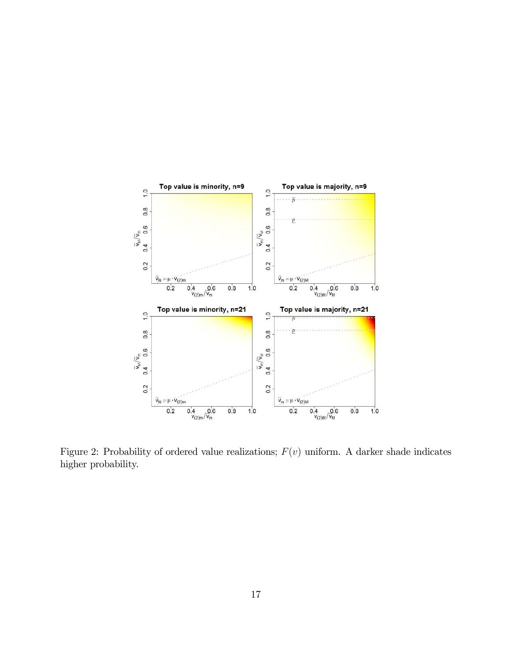

Figure 2: Probability of ordered value realizations;  $F(v)$  uniform. A darker shade indicates higher probability.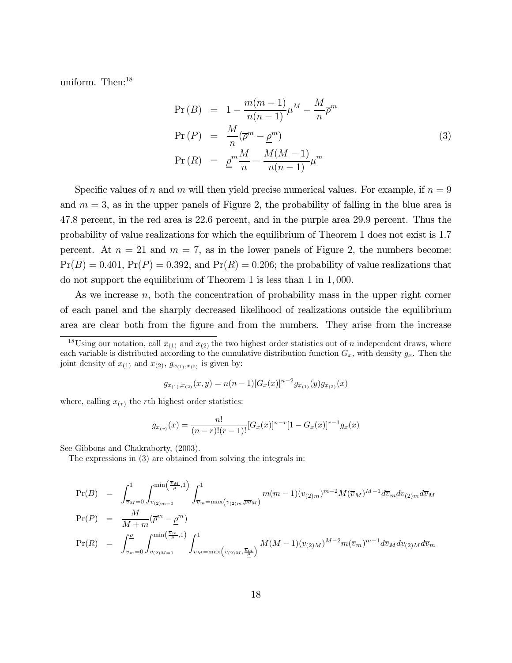uniform. Then:<sup>18</sup>

$$
Pr(B) = 1 - \frac{m(m-1)}{n(n-1)} \mu^M - \frac{M}{n} \overline{\rho}^m
$$
  
\n
$$
Pr(P) = \frac{M}{n} (\overline{\rho}^m - \underline{\rho}^m)
$$
  
\n
$$
Pr(R) = \underline{\rho}^m \frac{M}{n} - \frac{M(M-1)}{n(n-1)} \mu^m
$$
\n(3)

Specific values of n and m will then yield precise numerical values. For example, if  $n = 9$ and  $m = 3$ , as in the upper panels of Figure 2, the probability of falling in the blue area is 47.8 percent, in the red area is 22.6 percent, and in the purple area 29.9 percent. Thus the probability of value realizations for which the equilibrium of Theorem 1 does not exist is 1.7 percent. At  $n = 21$  and  $m = 7$ , as in the lower panels of Figure 2, the numbers become:  $Pr(B)=0.401$ ,  $Pr(P)=0.392$ , and  $Pr(R)=0.206$ ; the probability of value realizations that do not support the equilibrium of Theorem 1 is less than 1 in 1, 000.

As we increase  $n$ , both the concentration of probability mass in the upper right corner of each panel and the sharply decreased likelihood of realizations outside the equilibrium area are clear both from the figure and from the numbers. They arise from the increase

$$
g_{x_{(1)},x_{(2)}}(x,y) = n(n-1)[G_x(x)]^{n-2}g_{x_{(1)}}(y)g_{x_{(2)}}(x)
$$

where, calling  $x_{(r)}$  the rth highest order statistics:

$$
g_{x_{(r)}}(x) = \frac{n!}{(n-r)!(r-1)!} [G_x(x)]^{n-r} [1 - G_x(x)]^{r-1} g_x(x)
$$

See Gibbons and Chakraborty, (2003).

The expressions in (3) are obtained from solving the integrals in:

$$
Pr(B) = \int_{\overline{v}_M=0}^{1} \int_{v_{(2)m=0}}^{\min(\frac{\overline{v}_M}{\mu},1)} \int_{\overline{v}_m=\max(v_{(2)m},\overline{\rho v}_M)}^1 m(m-1)(v_{(2)m})^{m-2} M(\overline{v}_M)^{M-1} d\overline{v}_m dv_{(2)m} d\overline{v}_M
$$
  
\n
$$
Pr(P) = \frac{M}{M+m}(\overline{\rho}^m - \underline{\rho}^m)
$$
  
\n
$$
Pr(R) = \int_{\overline{v}_m=0}^{\underline{\rho}} \int_{v_{(2)M=0}}^{\min(\frac{\overline{v}_m}{\mu},1)} \int_{\overline{v}_M=\max(v_{(2)M},\frac{\overline{v}_m}{\underline{\rho}})}^1 M(M-1)(v_{(2)M})^{M-2} m(\overline{v}_m)^{m-1} d\overline{v}_M dv_{(2)M} d\overline{v}_m
$$

<sup>&</sup>lt;sup>18</sup>Using our notation, call  $x_{(1)}$  and  $x_{(2)}$  the two highest order statistics out of n independent draws, where each variable is distributed according to the cumulative distribution function  $G_x$ , with density  $g_x$ . Then the joint density of  $x_{(1)}$  and  $x_{(2)}$ ,  $g_{x_{(1)},x_{(2)}}$  is given by: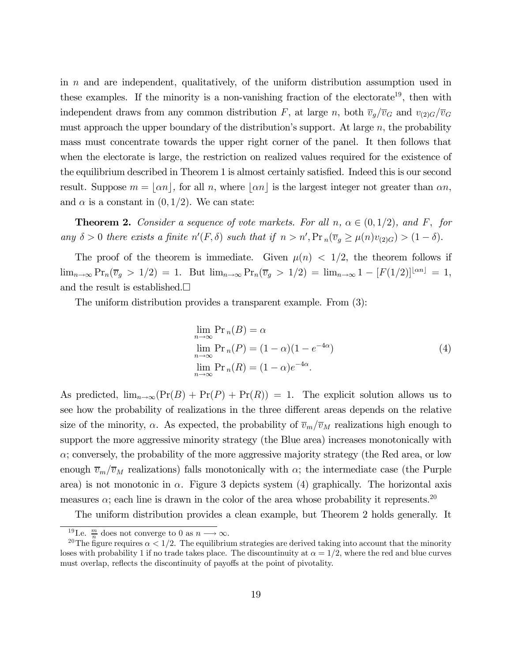in  $n$  and are independent, qualitatively, of the uniform distribution assumption used in these examples. If the minority is a non-vanishing fraction of the electorate<sup>19</sup>, then with independent draws from any common distribution F, at large n, both  $\overline{v}_g/\overline{v}_G$  and  $v_{(2)G}/\overline{v}_G$ must approach the upper boundary of the distribution's support. At large  $n$ , the probability mass must concentrate towards the upper right corner of the panel. It then follows that when the electorate is large, the restriction on realized values required for the existence of the equilibrium described in Theorem 1 is almost certainly satisfied. Indeed this is our second result. Suppose  $m = |\alpha n|$ , for all n, where  $|\alpha n|$  is the largest integer not greater than  $\alpha n$ , and  $\alpha$  is a constant in  $(0, 1/2)$ . We can state:

**Theorem 2.** Consider a sequence of vote markets. For all  $n, \alpha \in (0, 1/2)$ , and F, for any  $\delta > 0$  there exists a finite  $n'(F, \delta)$  such that if  $n > n'$ ,  $Pr_n(\overline{v}_g \ge \mu(n)v_{(2)G}) > (1 - \delta)$ .

The proof of the theorem is immediate. Given  $\mu(n) < 1/2$ , the theorem follows if  $\lim_{n\to\infty} \Pr_n(\overline{v}_g > 1/2) = 1.$  But  $\lim_{n\to\infty} \Pr_n(\overline{v}_g > 1/2) = \lim_{n\to\infty} 1 - [F(1/2)]^{\lfloor \alpha n \rfloor} = 1,$ and the result is established. $\Box$ 

The uniform distribution provides a transparent example. From (3):

$$
\lim_{n \to \infty} \Pr_n(B) = \alpha
$$
  
\n
$$
\lim_{n \to \infty} \Pr_n(P) = (1 - \alpha)(1 - e^{-4\alpha})
$$
  
\n
$$
\lim_{n \to \infty} \Pr_n(R) = (1 - \alpha)e^{-4\alpha}.
$$
\n(4)

As predicted,  $\lim_{n\to\infty}(\Pr(B) + \Pr(P) + \Pr(R)) = 1$ . The explicit solution allows us to see how the probability of realizations in the three different areas depends on the relative size of the minority,  $\alpha$ . As expected, the probability of  $\overline{v}_m/\overline{v}_M$  realizations high enough to support the more aggressive minority strategy (the Blue area) increases monotonically with  $\alpha$ ; conversely, the probability of the more aggressive majority strategy (the Red area, or low enough  $\overline{v}_m/\overline{v}_M$  realizations) falls monotonically with  $\alpha$ ; the intermediate case (the Purple area) is not monotonic in  $\alpha$ . Figure 3 depicts system (4) graphically. The horizontal axis measures  $\alpha$ ; each line is drawn in the color of the area whose probability it represents.<sup>20</sup>

The uniform distribution provides a clean example, but Theorem 2 holds generally. It

<sup>&</sup>lt;sup>19</sup> I.e.  $\frac{m}{n}$  does not converge to 0 as  $n \longrightarrow \infty$ .

<sup>&</sup>lt;sup>20</sup>The figure requires  $\alpha < 1/2$ . The equilibrium strategies are derived taking into account that the minority loses with probability 1 if no trade takes place. The discountinuity at  $\alpha = 1/2$ , where the red and blue curves must overlap, reflects the discontinuity of payoffs at the point of pivotality.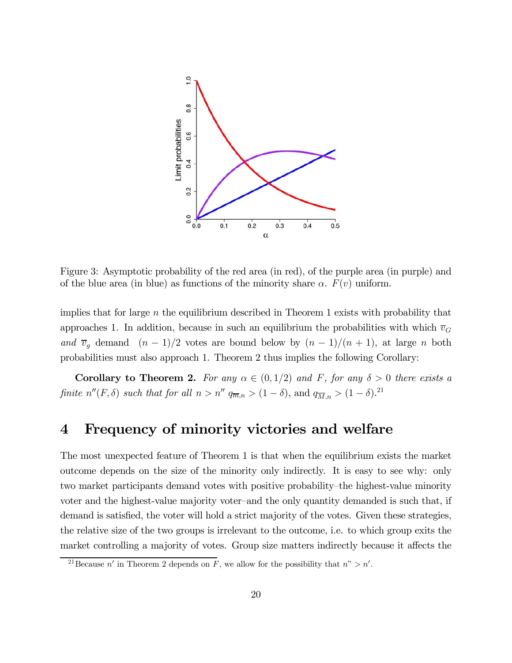

Figure 3: Asymptotic probability of the red area (in red), of the purple area (in purple) and of the blue area (in blue) as functions of the minority share  $\alpha$ .  $F(v)$  uniform.

implies that for large n the equilibrium described in Theorem 1 exists with probability that approaches 1. In addition, because in such an equilibrium the probabilities with which  $\overline{v}_G$ and  $\overline{v}_g$  demand  $(n-1)/2$  votes are bound below by  $(n-1)/(n+1)$ , at large n both probabilities must also approach 1. Theorem 2 thus implies the following Corollary:

**Corollary to Theorem 2.** For any  $\alpha \in (0,1/2)$  and F, for any  $\delta > 0$  there exists a finite  $n''(F, \delta)$  such that for all  $n > n''$   $q_{\overline{m},n} > (1 - \delta)$ , and  $q_{\overline{M},n} > (1 - \delta)^{21}$ 

### 4 Frequency of minority victories and welfare

The most unexpected feature of Theorem 1 is that when the equilibrium exists the market outcome depends on the size of the minority only indirectly. It is easy to see why: only two market participants demand votes with positive probability—the highest-value minority voter and the highest-value majority voter—and the only quantity demanded is such that, if demand is satisfied, the voter will hold a strict majority of the votes. Given these strategies, the relative size of the two groups is irrelevant to the outcome, i.e. to which group exits the market controlling a majority of votes. Group size matters indirectly because it affects the

<sup>&</sup>lt;sup>21</sup>Because n' in Theorem 2 depends on F, we allow for the possibility that  $n' > n'$ .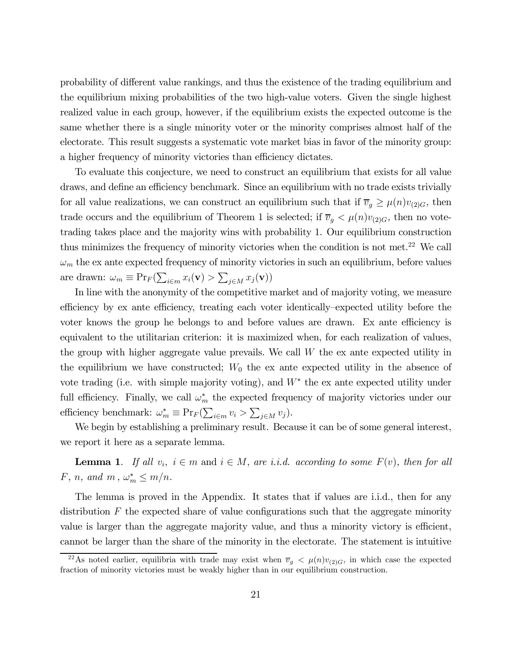probability of different value rankings, and thus the existence of the trading equilibrium and the equilibrium mixing probabilities of the two high-value voters. Given the single highest realized value in each group, however, if the equilibrium exists the expected outcome is the same whether there is a single minority voter or the minority comprises almost half of the electorate. This result suggests a systematic vote market bias in favor of the minority group: a higher frequency of minority victories than efficiency dictates.

To evaluate this conjecture, we need to construct an equilibrium that exists for all value draws, and define an efficiency benchmark. Since an equilibrium with no trade exists trivially for all value realizations, we can construct an equilibrium such that if  $\overline{v}_g \geq \mu(n)v_{(2)G}$ , then trade occurs and the equilibrium of Theorem 1 is selected; if  $\overline{v}_g < \mu(n)v_{(2)G}$ , then no votetrading takes place and the majority wins with probability 1. Our equilibrium construction thus minimizes the frequency of minority victories when the condition is not met.<sup>22</sup> We call  $\omega_m$  the ex ante expected frequency of minority victories in such an equilibrium, before values are drawn:  $\omega_m \equiv \Pr_F(\sum_{i \in m} x_i(\mathbf{v}) > \sum_{j \in M} x_j(\mathbf{v}))$ 

In line with the anonymity of the competitive market and of majority voting, we measure efficiency by ex ante efficiency, treating each voter identically—expected utility before the voter knows the group he belongs to and before values are drawn. Ex ante efficiency is equivalent to the utilitarian criterion: it is maximized when, for each realization of values, the group with higher aggregate value prevails. We call  $W$  the ex ante expected utility in the equilibrium we have constructed;  $W_0$  the ex ante expected utility in the absence of vote trading (i.e. with simple majority voting), and  $W^*$  the ex ante expected utility under full efficiency. Finally, we call  $\omega_m^*$  the expected frequency of majority victories under our efficiency benchmark:  $\omega_m^* \equiv \Pr_F(\sum_{i \in m} v_i > \sum_{j \in M} v_j).$ 

We begin by establishing a preliminary result. Because it can be of some general interest, we report it here as a separate lemma.

**Lemma 1.** If all  $v_i$ ,  $i \in m$  and  $i \in M$ , are i.i.d. according to some  $F(v)$ , then for all F, n, and  $m$ ,  $\omega_m^* \leq m/n$ .

The lemma is proved in the Appendix. It states that if values are i.i.d., then for any distribution F the expected share of value configurations such that the aggregate minority value is larger than the aggregate majority value, and thus a minority victory is efficient, cannot be larger than the share of the minority in the electorate. The statement is intuitive

<sup>&</sup>lt;sup>22</sup>As noted earlier, equilibria with trade may exist when  $\overline{v}_g < \mu(n)v_{(2)G}$ , in which case the expected fraction of minority victories must be weakly higher than in our equilibrium construction.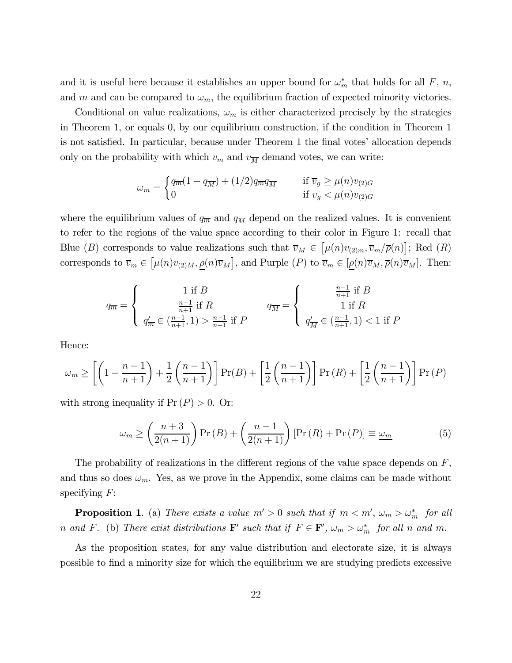and it is useful here because it establishes an upper bound for  $\omega_m^*$  that holds for all F, n, and m and can be compared to  $\omega_m$ , the equilibrium fraction of expected minority victories.

Conditional on value realizations,  $\omega_m$  is either characterized precisely by the strategies in Theorem 1, or equals 0, by our equilibrium construction, if the condition in Theorem 1 is not satisfied. In particular, because under Theorem 1 the final votes' allocation depends only on the probability with which  $v_{\overline{m}}$  and  $v_{\overline{M}}$  demand votes, we can write:

$$
\omega_m = \begin{cases} q_{\overline{m}}(1 - q_{\overline{M}}) + (1/2)q_{\overline{m}}q_{\overline{M}} & \text{if } \overline{v}_g \ge \mu(n)v_{(2)G} \\ 0 & \text{if } \overline{v}_g < \mu(n)v_{(2)G} \end{cases}
$$

where the equilibrium values of  $q_{\overline{m}}$  and  $q_{\overline{M}}$  depend on the realized values. It is convenient to refer to the regions of the value space according to their color in Figure 1: recall that Blue (B) corresponds to value realizations such that  $\overline{v}_M \in [\mu(n)v_{(2)m}, \overline{v}_m/\overline{\rho}(n)]$ ; Red (R) corresponds to  $\overline{v}_m \in [\mu(n)v_{(2)M}, \underline{\rho}(n)\overline{v}_M]$ , and Purple  $(P)$  to  $\overline{v}_m \in [\underline{\rho}(n)\overline{v}_M, \overline{\rho}(n)\overline{v}_M]$ . Then:

$$
q_{\overline{m}} = \left\{ \begin{array}{cc} 1 \text{ if } B \\ \frac{n-1}{n+1} \text{ if } R \\ q_{\overline{m}}' \in (\frac{n-1}{n+1}, 1) > \frac{n-1}{n+1} \text{ if } P \end{array} \right. \quad q_{\overline{M}} = \left\{ \begin{array}{cc} \frac{n-1}{n+1} \text{ if } B \\ 1 \text{ if } R \\ q_{\overline{M}}' \in (\frac{n-1}{n+1}, 1) < 1 \text{ if } P \end{array} \right.
$$

Hence:

$$
\omega_m \ge \left[ \left( 1 - \frac{n-1}{n+1} \right) + \frac{1}{2} \left( \frac{n-1}{n+1} \right) \right] \Pr(B) + \left[ \frac{1}{2} \left( \frac{n-1}{n+1} \right) \right] \Pr(R) + \left[ \frac{1}{2} \left( \frac{n-1}{n+1} \right) \right] \Pr(P)
$$

with strong inequality if  $Pr(P) > 0$ . Or:

$$
\omega_m \ge \left(\frac{n+3}{2(n+1)}\right) \Pr(B) + \left(\frac{n-1}{2(n+1)}\right) \left[\Pr(R) + \Pr(P)\right] \equiv \underline{\omega_m} \tag{5}
$$

The probability of realizations in the different regions of the value space depends on  $F$ , and thus so does  $\omega_m$ . Yes, as we prove in the Appendix, some claims can be made without specifying  $F$ :

**Proposition 1**. (a) There exists a value  $m' > 0$  such that if  $m < m'$ ,  $\omega_m > \omega_m^*$  for all n and F. (b) There exist distributions  $\mathbf{F}'$  such that if  $F \in \mathbf{F}'$ ,  $\omega_m > \omega_m^*$  for all n and m.

As the proposition states, for any value distribution and electorate size, it is always possible to find a minority size for which the equilibrium we are studying predicts excessive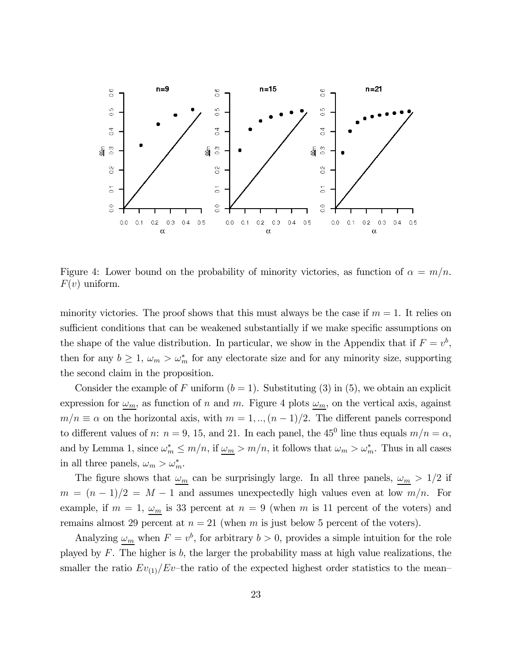

Figure 4: Lower bound on the probability of minority victories, as function of  $\alpha = m/n$ .  $F(v)$  uniform.

minority victories. The proof shows that this must always be the case if  $m = 1$ . It relies on sufficient conditions that can be weakened substantially if we make specific assumptions on the shape of the value distribution. In particular, we show in the Appendix that if  $F = v^b$ , then for any  $b \geq 1$ ,  $\omega_m > \omega_m^*$  for any electorate size and for any minority size, supporting the second claim in the proposition.

Consider the example of F uniform  $(b = 1)$ . Substituting (3) in (5), we obtain an explicit expression for  $\omega_m$ , as function of n and m. Figure 4 plots  $\omega_m$ , on the vertical axis, against  $m/n \equiv \alpha$  on the horizontal axis, with  $m = 1, ..., (n-1)/2$ . The different panels correspond to different values of n:  $n = 9$ , 15, and 21. In each panel, the 45<sup>0</sup> line thus equals  $m/n = \alpha$ , and by Lemma 1, since  $\omega_m^* \leq m/n$ , if  $\underline{\omega_m} > m/n$ , it follows that  $\omega_m > \omega_m^*$ . Thus in all cases in all three panels,  $\omega_m > \omega_m^*$ .

The figure shows that  $\omega_m$  can be surprisingly large. In all three panels,  $\omega_m > 1/2$  if  $m = (n-1)/2 = M - 1$  and assumes unexpectedly high values even at low  $m/n$ . For example, if  $m = 1$ ,  $\omega_m$  is 33 percent at  $n = 9$  (when m is 11 percent of the voters) and remains almost 29 percent at  $n = 21$  (when m is just below 5 percent of the voters).

Analyzing  $\omega_m$  when  $F = v^b$ , for arbitrary  $b > 0$ , provides a simple intuition for the role played by  $F$ . The higher is  $b$ , the larger the probability mass at high value realizations, the smaller the ratio  $Ev_{(1)}/Ev$ -the ratio of the expected highest order statistics to the mean-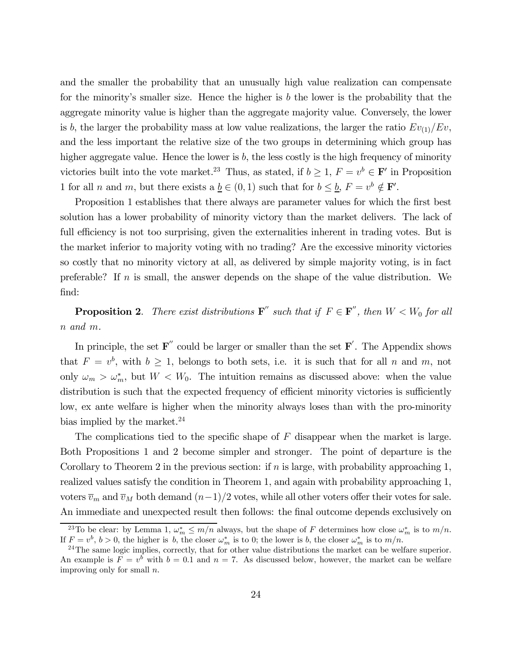and the smaller the probability that an unusually high value realization can compensate for the minority's smaller size. Hence the higher is b the lower is the probability that the aggregate minority value is higher than the aggregate majority value. Conversely, the lower is b, the larger the probability mass at low value realizations, the larger the ratio  $Ev_{(1)}/Ev$ , and the less important the relative size of the two groups in determining which group has higher aggregate value. Hence the lower is  $b$ , the less costly is the high frequency of minority victories built into the vote market.<sup>23</sup> Thus, as stated, if  $b \ge 1$ ,  $F = v^b \in \mathbf{F}'$  in Proposition 1 for all *n* and *m*, but there exists a  $\underline{b} \in (0,1)$  such that for  $b \leq \underline{b}$ ,  $F = v^b \notin \mathbf{F}'$ .

Proposition 1 establishes that there always are parameter values for which the first best solution has a lower probability of minority victory than the market delivers. The lack of full efficiency is not too surprising, given the externalities inherent in trading votes. But is the market inferior to majority voting with no trading? Are the excessive minority victories so costly that no minority victory at all, as delivered by simple majority voting, is in fact preferable? If n is small, the answer depends on the shape of the value distribution. We find:

**Proposition 2.** There exist distributions  $\mathbf{F}^{\prime\prime}$  such that if  $F \in \mathbf{F}^{\prime\prime}$ , then  $W \lt W_0$  for all n and m.

In principle, the set  $\mathbf{F}^{\prime\prime}$  could be larger or smaller than the set  $\mathbf{F}^{\prime}$ . The Appendix shows that  $F = v^b$ , with  $b \ge 1$ , belongs to both sets, i.e. it is such that for all n and m, not only  $\omega_m > \omega_m^*$ , but  $W < W_0$ . The intuition remains as discussed above: when the value distribution is such that the expected frequency of efficient minority victories is sufficiently low, ex ante welfare is higher when the minority always loses than with the pro-minority bias implied by the market.<sup>24</sup>

The complications tied to the specific shape of  $F$  disappear when the market is large. Both Propositions 1 and 2 become simpler and stronger. The point of departure is the Corollary to Theorem 2 in the previous section: if  $n$  is large, with probability approaching 1, realized values satisfy the condition in Theorem 1, and again with probability approaching 1, voters  $\overline{v}_m$  and  $\overline{v}_M$  both demand  $(n-1)/2$  votes, while all other voters offer their votes for sale. An immediate and unexpected result then follows: the final outcome depends exclusively on

<sup>&</sup>lt;sup>23</sup>To be clear: by Lemma 1,  $\omega_m^* \leq m/n$  always, but the shape of F determines how close  $\omega_m^*$  is to  $m/n$ . If  $F = v^b$ ,  $b > 0$ , the higher is b, the closer  $\omega_m^*$  is to 0; the lower is b, the closer  $\omega_n^*$ 

 $^{24}$ The same logic implies, correctly, that for other value distributions the market can be welfare superior. An example is  $F = v^b$  with  $b = 0.1$  and  $n = 7$ . As discussed below, however, the market can be welfare improving only for small n.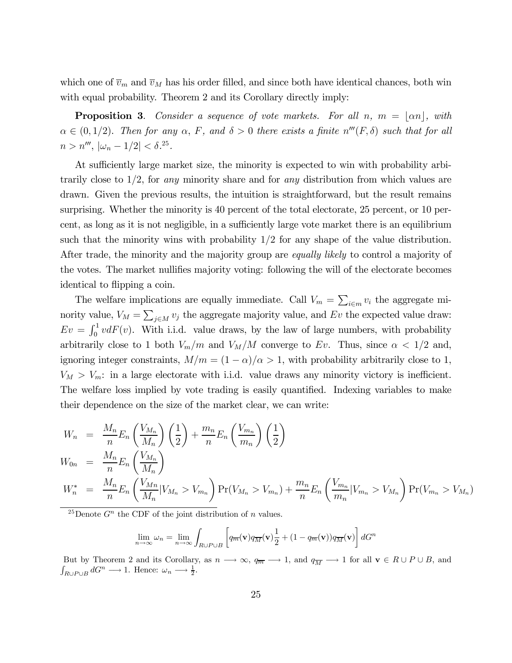which one of  $\overline{v}_m$  and  $\overline{v}_M$  has his order filled, and since both have identical chances, both win with equal probability. Theorem 2 and its Corollary directly imply:

**Proposition 3.** Consider a sequence of vote markets. For all n,  $m = |\alpha n|$ , with  $\alpha \in (0, 1/2)$ . Then for any  $\alpha$ , F, and  $\delta > 0$  there exists a finite  $n'''(F, \delta)$  such that for all  $n > n^{\prime\prime\prime}$ ,  $|\omega_n - 1/2| < \delta^{25}$ .

At sufficiently large market size, the minority is expected to win with probability arbitrarily close to  $1/2$ , for any minority share and for any distribution from which values are drawn. Given the previous results, the intuition is straightforward, but the result remains surprising. Whether the minority is 40 percent of the total electorate, 25 percent, or 10 percent, as long as it is not negligible, in a sufficiently large vote market there is an equilibrium such that the minority wins with probability  $1/2$  for any shape of the value distribution. After trade, the minority and the majority group are *equally likely* to control a majority of the votes. The market nullifies majority voting: following the will of the electorate becomes identical to flipping a coin.

The welfare implications are equally immediate. Call  $V_m = \sum_{i \in m} v_i$  the aggregate minority value,  $V_M = \sum_{j \in M} v_j$  the aggregate majority value, and Ev the expected value draw:  $Ev = \int_0^1 v dF(v)$ . With i.i.d. value draws, by the law of large numbers, with probability arbitrarily close to 1 both  $V_m/m$  and  $V_M/M$  converge to Ev. Thus, since  $\alpha < 1/2$  and, ignoring integer constraints,  $M/m = (1 - \alpha)/\alpha > 1$ , with probability arbitrarily close to 1,  $V_M > V_m$ : in a large electorate with i.i.d. value draws any minority victory is inefficient. The welfare loss implied by vote trading is easily quantified. Indexing variables to make their dependence on the size of the market clear, we can write:

$$
W_n = \frac{M_n}{n} E_n \left(\frac{V_{M_n}}{M_n}\right) \left(\frac{1}{2}\right) + \frac{m_n}{n} E_n \left(\frac{V_{m_n}}{m_n}\right) \left(\frac{1}{2}\right)
$$
  
\n
$$
W_{0n} = \frac{M_n}{n} E_n \left(\frac{V_{M_n}}{M_n}\right)
$$
  
\n
$$
W_n^* = \frac{M_n}{n} E_n \left(\frac{V_{M_n}}{M_n}|V_{M_n} > V_{m_n}\right) \Pr(V_{M_n} > V_{m_n}) + \frac{m_n}{n} E_n \left(\frac{V_{m_n}}{m_n}|V_{m_n} > V_{M_n}\right) \Pr(V_{m_n} > V_{M_n})
$$

<sup>25</sup>Denote  $G<sup>n</sup>$  the CDF of the joint distribution of n values.

$$
\lim_{n \to \infty} \omega_n = \lim_{n \to \infty} \int_{R \cup P \cup B} \left[ q_{\overline{m}}(\mathbf{v}) q_{\overline{M}}(\mathbf{v}) \frac{1}{2} + (1 - q_{\overline{m}}(\mathbf{v})) q_{\overline{M}}(\mathbf{v}) \right] dG^n
$$

But by Theorem 2 and its Corollary, as  $n \to \infty$ ,  $q_{\overline{m}} \to 1$ , and  $q_{\overline{M}} \to 1$  for all  $\mathbf{v} \in R \cup P \cup B$ , and  $\int_{R\cup P\cup B} dG^n \longrightarrow 1$ . Hence:  $\omega_n \longrightarrow \frac{1}{2}$ .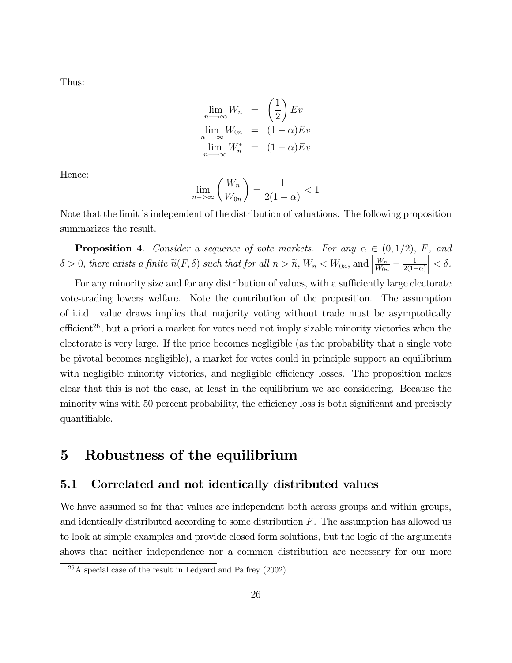Thus:

$$
\lim_{n \to \infty} W_n = \left(\frac{1}{2}\right) E v
$$
  

$$
\lim_{n \to \infty} W_{0n} = (1 - \alpha) E v
$$
  

$$
\lim_{n \to \infty} W_n^* = (1 - \alpha) E v
$$

Hence:

$$
\lim_{n \to \infty} \left( \frac{W_n}{W_{0n}} \right) = \frac{1}{2(1-\alpha)} < 1
$$

Note that the limit is independent of the distribution of valuations. The following proposition summarizes the result.

**Proposition 4.** Consider a sequence of vote markets. For any  $\alpha \in (0, 1/2)$ , F, and  $\delta > 0$ , there exists a finite  $\widetilde{n}(F, \delta)$  such that for all  $n > \widetilde{n}$ ,  $W_n < W_{0n}$ , and  $\frac{W_n}{W_{0n}} - \frac{1}{2(1-\alpha)}$  $\Big| < \delta.$ 

For any minority size and for any distribution of values, with a sufficiently large electorate vote-trading lowers welfare. Note the contribution of the proposition. The assumption of i.i.d. value draws implies that majority voting without trade must be asymptotically efficient<sup>26</sup>, but a priori a market for votes need not imply sizable minority victories when the electorate is very large. If the price becomes negligible (as the probability that a single vote be pivotal becomes negligible), a market for votes could in principle support an equilibrium with negligible minority victories, and negligible efficiency losses. The proposition makes clear that this is not the case, at least in the equilibrium we are considering. Because the minority wins with 50 percent probability, the efficiency loss is both significant and precisely quantifiable.

### 5 Robustness of the equilibrium

#### 5.1 Correlated and not identically distributed values

We have assumed so far that values are independent both across groups and within groups, and identically distributed according to some distribution  $F$ . The assumption has allowed us to look at simple examples and provide closed form solutions, but the logic of the arguments shows that neither independence nor a common distribution are necessary for our more

 $^{26}$ A special case of the result in Ledyard and Palfrey (2002).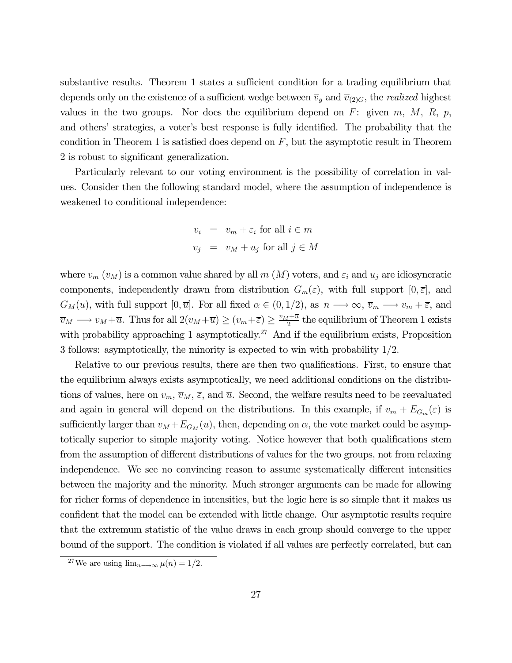substantive results. Theorem 1 states a sufficient condition for a trading equilibrium that depends only on the existence of a sufficient wedge between  $\overline{v}_g$  and  $\overline{v}_{(2)G}$ , the *realized* highest values in the two groups. Nor does the equilibrium depend on  $F$ : given  $m, M, R, p$ , and others' strategies, a voter's best response is fully identified. The probability that the condition in Theorem 1 is satisfied does depend on  $F$ , but the asymptotic result in Theorem 2 is robust to significant generalization.

Particularly relevant to our voting environment is the possibility of correlation in values. Consider then the following standard model, where the assumption of independence is weakened to conditional independence:

$$
v_i = v_m + \varepsilon_i \text{ for all } i \in m
$$
  

$$
v_j = v_M + u_j \text{ for all } j \in M
$$

where  $v_m(v_M)$  is a common value shared by all  $m(M)$  voters, and  $\varepsilon_i$  and  $u_j$  are idiosyncratic components, independently drawn from distribution  $G_m(\varepsilon)$ , with full support  $[0, \overline{\varepsilon}]$ , and  $G_M(u)$ , with full support  $[0, \overline{u}]$ . For all fixed  $\alpha \in (0, 1/2)$ , as  $n \longrightarrow \infty$ ,  $\overline{v}_m \longrightarrow v_m + \overline{\varepsilon}$ , and  $\overline{v}_M \longrightarrow v_M + \overline{u}$ . Thus for all  $2(v_M + \overline{u}) \ge (v_m + \overline{\varepsilon}) \ge \frac{v_M + \overline{u}}{2}$  the equilibrium of Theorem 1 exists with probability approaching 1 asymptotically.<sup>27</sup> And if the equilibrium exists, Proposition 3 follows: asymptotically, the minority is expected to win with probability 1/2.

Relative to our previous results, there are then two qualifications. First, to ensure that the equilibrium always exists asymptotically, we need additional conditions on the distributions of values, here on  $v_m$ ,  $\overline{v}_M$ ,  $\overline{\varepsilon}$ , and  $\overline{u}$ . Second, the welfare results need to be reevaluated and again in general will depend on the distributions. In this example, if  $v_m + E_{G_m}(\varepsilon)$  is sufficiently larger than  $v_M + E_{G_M}(u)$ , then, depending on  $\alpha$ , the vote market could be asymptotically superior to simple majority voting. Notice however that both qualifications stem from the assumption of different distributions of values for the two groups, not from relaxing independence. We see no convincing reason to assume systematically different intensities between the majority and the minority. Much stronger arguments can be made for allowing for richer forms of dependence in intensities, but the logic here is so simple that it makes us confident that the model can be extended with little change. Our asymptotic results require that the extremum statistic of the value draws in each group should converge to the upper bound of the support. The condition is violated if all values are perfectly correlated, but can

<sup>&</sup>lt;sup>27</sup>We are using  $\lim_{n\to\infty} \mu(n)=1/2$ .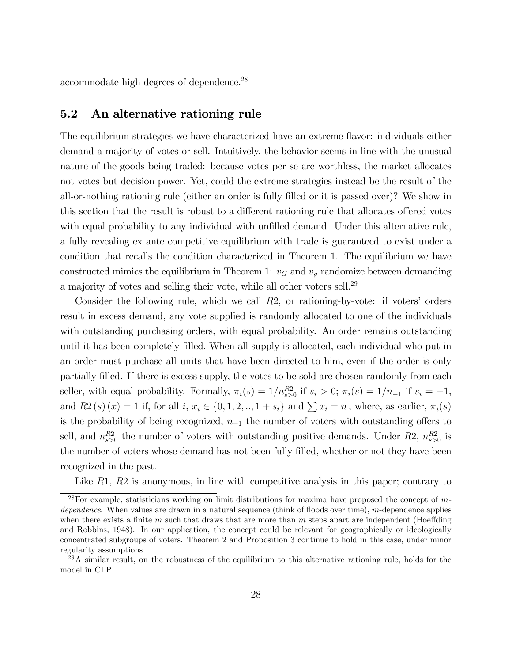accommodate high degrees of dependence.28

#### 5.2 An alternative rationing rule

The equilibrium strategies we have characterized have an extreme flavor: individuals either demand a majority of votes or sell. Intuitively, the behavior seems in line with the unusual nature of the goods being traded: because votes per se are worthless, the market allocates not votes but decision power. Yet, could the extreme strategies instead be the result of the all-or-nothing rationing rule (either an order is fully filled or it is passed over)? We show in this section that the result is robust to a different rationing rule that allocates offered votes with equal probability to any individual with unfilled demand. Under this alternative rule, a fully revealing ex ante competitive equilibrium with trade is guaranteed to exist under a condition that recalls the condition characterized in Theorem 1. The equilibrium we have constructed mimics the equilibrium in Theorem 1:  $\overline{v}_G$  and  $\overline{v}_g$  randomize between demanding a majority of votes and selling their vote, while all other voters sell.29

Consider the following rule, which we call  $R2$ , or rationing-by-vote: if voters' orders result in excess demand, any vote supplied is randomly allocated to one of the individuals with outstanding purchasing orders, with equal probability. An order remains outstanding until it has been completely filled. When all supply is allocated, each individual who put in an order must purchase all units that have been directed to him, even if the order is only partially filled. If there is excess supply, the votes to be sold are chosen randomly from each seller, with equal probability. Formally,  $\pi_i(s) = 1/n_{s>0}^{R2}$  if  $s_i > 0$ ;  $\pi_i(s) = 1/n_{-1}$  if  $s_i = -1$ , and  $R_2(s)(x) = 1$  if, for all  $i, x_i \in \{0, 1, 2, ..., 1 + s_i\}$  and  $\sum x_i = n$ , where, as earlier,  $\pi_i(s)$ is the probability of being recognized,  $n_{-1}$  the number of voters with outstanding offers to sell, and  $n_{s>0}^{R2}$  the number of voters with outstanding positive demands. Under R2,  $n_{s>0}^{R2}$  is the number of voters whose demand has not been fully filled, whether or not they have been recognized in the past.

Like R1, R2 is anonymous, in line with competitive analysis in this paper; contrary to

<sup>&</sup>lt;sup>28</sup>For example, statisticians working on limit distributions for maxima have proposed the concept of  $m$ dependence. When values are drawn in a natural sequence (think of floods over time), m-dependence applies when there exists a finite m such that draws that are more than  $m$  steps apart are independent (Hoeffding and Robbins, 1948). In our application, the concept could be relevant for geographically or ideologically concentrated subgroups of voters. Theorem 2 and Proposition 3 continue to hold in this case, under minor regularity assumptions.

 $^{29}$ A similar result, on the robustness of the equilibrium to this alternative rationing rule, holds for the model in CLP.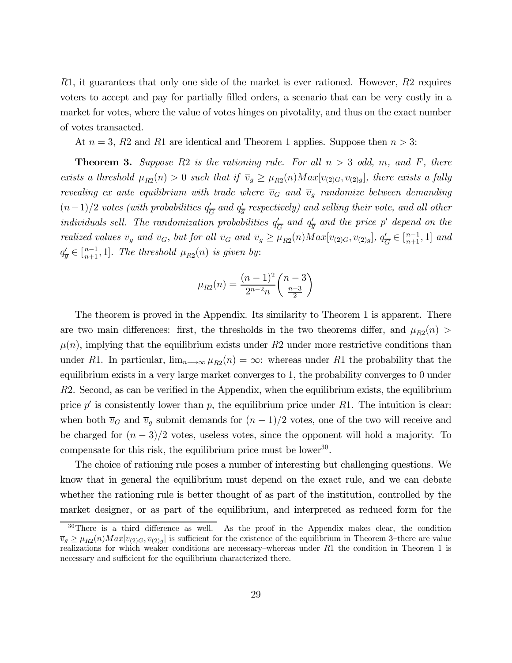R1, it guarantees that only one side of the market is ever rationed. However, R2 requires voters to accept and pay for partially filled orders, a scenario that can be very costly in a market for votes, where the value of votes hinges on pivotality, and thus on the exact number of votes transacted.

At  $n = 3$ , R2 and R1 are identical and Theorem 1 applies. Suppose then  $n > 3$ :

**Theorem 3.** Suppose R2 is the rationing rule. For all  $n > 3$  odd, m, and F, there exists a threshold  $\mu_{R2}(n) > 0$  such that if  $\overline{v}_g \geq \mu_{R2}(n) Max[v_{(2)G}, v_{(2)g}]$ , there exists a fully revealing ex ante equilibrium with trade where  $\overline{v}_G$  and  $\overline{v}_g$  randomize between demanding  $(n-1)/2$  votes (with probabilities  $q_{\overline{G}}'$  and  $q_{\overline{g}}'$  respectively) and selling their vote, and all other individuals sell. The randomization probabilities  $q_{\overline{G}}^{\prime}$  and  $q_{\overline{g}}^{\prime}$  and the price p' depend on the realized values  $\overline{v}_g$  and  $\overline{v}_G$ , but for all  $\overline{v}_G$  and  $\overline{v}_g \geq \mu_{R2}(n) Max[v_{(2)G}, v_{(2)g}], q'_{\overline{G}} \in [\frac{n-1}{n+1}, 1]$  and  $q'_{\overline{g}} \in [\frac{n-1}{n+1}, 1]$ . The threshold  $\mu_{R2}(n)$  is given by:

$$
\mu_{R2}(n) = \frac{(n-1)^2}{2^{n-2}n} \binom{n-3}{\frac{n-3}{2}}
$$

The theorem is proved in the Appendix. Its similarity to Theorem 1 is apparent. There are two main differences: first, the thresholds in the two theorems differ, and  $\mu_{R2}(n)$  $\mu(n)$ , implying that the equilibrium exists under R2 under more restrictive conditions than under R1. In particular,  $\lim_{n\to\infty} \mu_{R2}(n) = \infty$ : whereas under R1 the probability that the equilibrium exists in a very large market converges to 1, the probability converges to 0 under R2. Second, as can be verified in the Appendix, when the equilibrium exists, the equilibrium price  $p'$  is consistently lower than p, the equilibrium price under R1. The intuition is clear: when both  $\overline{v}_G$  and  $\overline{v}_g$  submit demands for  $(n-1)/2$  votes, one of the two will receive and be charged for  $(n-3)/2$  votes, useless votes, since the opponent will hold a majority. To compensate for this risk, the equilibrium price must be lower<sup>30</sup>.

The choice of rationing rule poses a number of interesting but challenging questions. We know that in general the equilibrium must depend on the exact rule, and we can debate whether the rationing rule is better thought of as part of the institution, controlled by the market designer, or as part of the equilibrium, and interpreted as reduced form for the

 $30$ There is a third difference as well. As the proof in the Appendix makes clear, the condition  $\overline{v}_g \geq \mu_{R2}(n) Max[v_{(2)G}, v_{(2)g}]$  is sufficient for the existence of the equilibrium in Theorem 3-there are value realizations for which weaker conditions are necessary–whereas under  $R1$  the condition in Theorem 1 is necessary and sufficient for the equilibrium characterized there.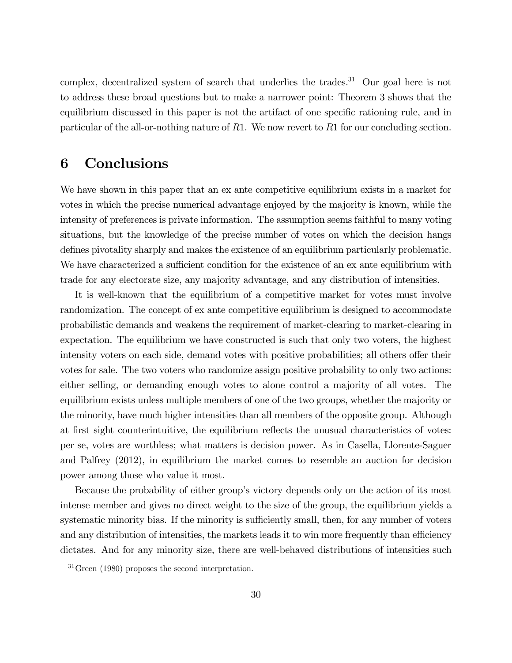complex, decentralized system of search that underlies the trades.<sup>31</sup> Our goal here is not to address these broad questions but to make a narrower point: Theorem 3 shows that the equilibrium discussed in this paper is not the artifact of one specific rationing rule, and in particular of the all-or-nothing nature of R1. We now revert to R1 for our concluding section.

## 6 Conclusions

We have shown in this paper that an ex ante competitive equilibrium exists in a market for votes in which the precise numerical advantage enjoyed by the majority is known, while the intensity of preferences is private information. The assumption seems faithful to many voting situations, but the knowledge of the precise number of votes on which the decision hangs defines pivotality sharply and makes the existence of an equilibrium particularly problematic. We have characterized a sufficient condition for the existence of an ex ante equilibrium with trade for any electorate size, any majority advantage, and any distribution of intensities.

It is well-known that the equilibrium of a competitive market for votes must involve randomization. The concept of ex ante competitive equilibrium is designed to accommodate probabilistic demands and weakens the requirement of market-clearing to market-clearing in expectation. The equilibrium we have constructed is such that only two voters, the highest intensity voters on each side, demand votes with positive probabilities; all others offer their votes for sale. The two voters who randomize assign positive probability to only two actions: either selling, or demanding enough votes to alone control a majority of all votes. The equilibrium exists unless multiple members of one of the two groups, whether the majority or the minority, have much higher intensities than all members of the opposite group. Although at first sight counterintuitive, the equilibrium reflects the unusual characteristics of votes: per se, votes are worthless; what matters is decision power. As in Casella, Llorente-Saguer and Palfrey (2012), in equilibrium the market comes to resemble an auction for decision power among those who value it most.

Because the probability of either group's victory depends only on the action of its most intense member and gives no direct weight to the size of the group, the equilibrium yields a systematic minority bias. If the minority is sufficiently small, then, for any number of voters and any distribution of intensities, the markets leads it to win more frequently than efficiency dictates. And for any minority size, there are well-behaved distributions of intensities such

<sup>31</sup>Green (1980) proposes the second interpretation.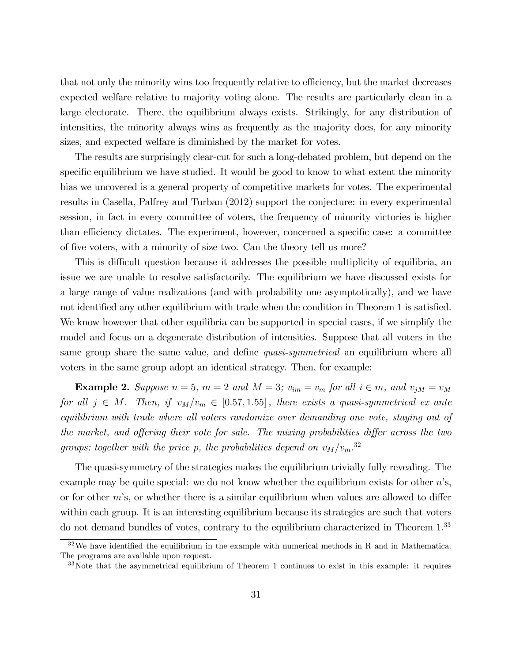that not only the minority wins too frequently relative to efficiency, but the market decreases expected welfare relative to majority voting alone. The results are particularly clean in a large electorate. There, the equilibrium always exists. Strikingly, for any distribution of intensities, the minority always wins as frequently as the majority does, for any minority sizes, and expected welfare is diminished by the market for votes.

The results are surprisingly clear-cut for such a long-debated problem, but depend on the specific equilibrium we have studied. It would be good to know to what extent the minority bias we uncovered is a general property of competitive markets for votes. The experimental results in Casella, Palfrey and Turban (2012) support the conjecture: in every experimental session, in fact in every committee of voters, the frequency of minority victories is higher than efficiency dictates. The experiment, however, concerned a specific case: a committee of five voters, with a minority of size two. Can the theory tell us more?

This is difficult question because it addresses the possible multiplicity of equilibria, an issue we are unable to resolve satisfactorily. The equilibrium we have discussed exists for a large range of value realizations (and with probability one asymptotically), and we have not identified any other equilibrium with trade when the condition in Theorem 1 is satisfied. We know however that other equilibria can be supported in special cases, if we simplify the model and focus on a degenerate distribution of intensities. Suppose that all voters in the same group share the same value, and define *quasi-symmetrical* an equilibrium where all voters in the same group adopt an identical strategy. Then, for example:

**Example 2.** Suppose  $n = 5$ ,  $m = 2$  and  $M = 3$ ;  $v_{im} = v_m$  for all  $i \in m$ , and  $v_{jM} = v_M$ for all  $j \in M$ . Then, if  $v_M/v_m \in [0.57, 1.55]$ , there exists a quasi-symmetrical ex ante equilibrium with trade where all voters randomize over demanding one vote, staying out of the market, and offering their vote for sale. The mixing probabilities differ across the two groups; together with the price p, the probabilities depend on  $v_M/v_m$ .<sup>32</sup>

The quasi-symmetry of the strategies makes the equilibrium trivially fully revealing. The example may be quite special: we do not know whether the equilibrium exists for other  $n$ 's, or for other  $m$ 's, or whether there is a similar equilibrium when values are allowed to differ within each group. It is an interesting equilibrium because its strategies are such that voters do not demand bundles of votes, contrary to the equilibrium characterized in Theorem 1.33

 $32\text{We have identified the equilibrium in the example with numerical methods in R and in Mathematica.}$ The programs are available upon request.

 $33\text{Note that the asymmetrical equilibrium of Theorem 1 continues to exist in this example: it requires.}$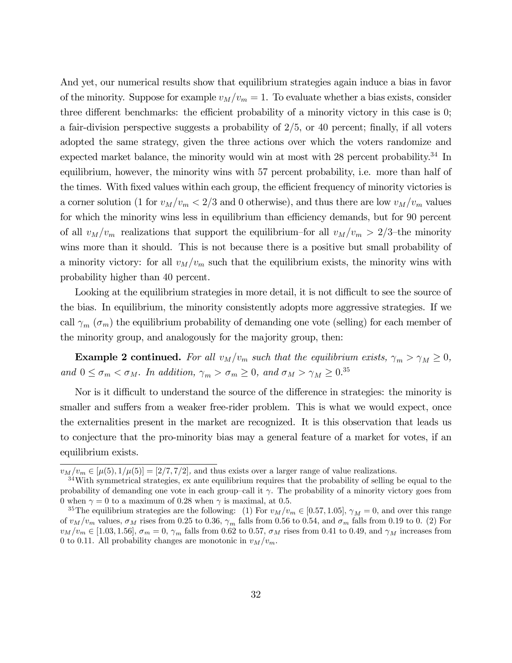And yet, our numerical results show that equilibrium strategies again induce a bias in favor of the minority. Suppose for example  $v_M/v_m = 1$ . To evaluate whether a bias exists, consider three different benchmarks: the efficient probability of a minority victory in this case is 0; a fair-division perspective suggests a probability of 2/5, or 40 percent; finally, if all voters adopted the same strategy, given the three actions over which the voters randomize and expected market balance, the minority would win at most with 28 percent probability.<sup>34</sup> In equilibrium, however, the minority wins with 57 percent probability, i.e. more than half of the times. With fixed values within each group, the efficient frequency of minority victories is a corner solution (1 for  $v_M/v_m < 2/3$  and 0 otherwise), and thus there are low  $v_M/v_m$  values for which the minority wins less in equilibrium than efficiency demands, but for 90 percent of all  $v_M/v_m$  realizations that support the equilibrium–for all  $v_M/v_m > 2/3$ –the minority wins more than it should. This is not because there is a positive but small probability of a minority victory: for all  $v_M/v_m$  such that the equilibrium exists, the minority wins with probability higher than 40 percent.

Looking at the equilibrium strategies in more detail, it is not difficult to see the source of the bias. In equilibrium, the minority consistently adopts more aggressive strategies. If we call  $\gamma_m$  ( $\sigma_m$ ) the equilibrium probability of demanding one vote (selling) for each member of the minority group, and analogously for the majority group, then:

Example 2 continued. For all  $v_M/v_m$  such that the equilibrium exists,  $\gamma_m > \gamma_M \geq 0$ , and  $0 \leq \sigma_m < \sigma_M$ . In addition,  $\gamma_m > \sigma_m \geq 0$ , and  $\sigma_M > \gamma_M \geq 0.35$ 

Nor is it difficult to understand the source of the difference in strategies: the minority is smaller and suffers from a weaker free-rider problem. This is what we would expect, once the externalities present in the market are recognized. It is this observation that leads us to conjecture that the pro-minority bias may a general feature of a market for votes, if an equilibrium exists.

 $v_M/v_m \in [\mu(5), 1/\mu(5)] = [2/7, 7/2]$ , and thus exists over a larger range of value realizations.

<sup>34</sup>With symmetrical strategies, ex ante equilibrium requires that the probability of selling be equal to the probability of demanding one vote in each group—call it  $\gamma$ . The probability of a minority victory goes from 0 when  $\gamma = 0$  to a maximum of 0.28 when  $\gamma$  is maximal, at 0.5.

<sup>&</sup>lt;sup>35</sup>The equilibrium strategies are the following: (1) For  $v_M/v_m \in [0.57, 1.05]$ ,  $\gamma_M = 0$ , and over this range of  $v_M/v_m$  values,  $\sigma_M$  rises from 0.25 to 0.36,  $\gamma_m$  falls from 0.56 to 0.54, and  $\sigma_m$  falls from 0.19 to 0. (2) For  $v_M/v_m \in [1.03, 1.56], \sigma_m = 0, \gamma_m$  falls from 0.62 to 0.57,  $\sigma_M$  rises from 0.41 to 0.49, and  $\gamma_M$  increases from 0 to 0.11. All probability changes are monotonic in  $v_M/v_m$ .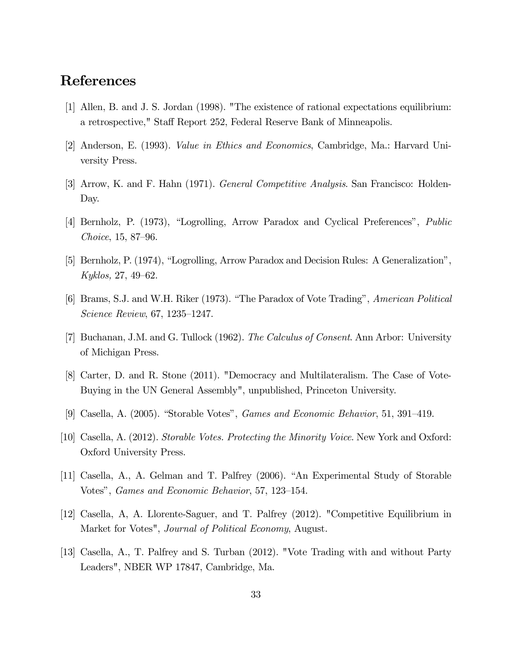# References

- [1] Allen, B. and J. S. Jordan (1998). "The existence of rational expectations equilibrium: a retrospective," Staff Report 252, Federal Reserve Bank of Minneapolis.
- [2] Anderson, E. (1993). Value in Ethics and Economics, Cambridge, Ma.: Harvard University Press.
- [3] Arrow, K. and F. Hahn (1971). General Competitive Analysis. San Francisco: Holden-Day.
- [4] Bernholz, P. (1973), "Logrolling, Arrow Paradox and Cyclical Preferences", Public Choice, 15, 87—96.
- [5] Bernholz, P. (1974), "Logrolling, Arrow Paradox and Decision Rules: A Generalization", Kyklos, 27, 49—62.
- [6] Brams, S.J. and W.H. Riker (1973). "The Paradox of Vote Trading", American Political Science Review, 67, 1235—1247.
- [7] Buchanan, J.M. and G. Tullock (1962). The Calculus of Consent. Ann Arbor: University of Michigan Press.
- [8] Carter, D. and R. Stone (2011). "Democracy and Multilateralism. The Case of Vote-Buying in the UN General Assembly", unpublished, Princeton University.
- [9] Casella, A. (2005). "Storable Votes", Games and Economic Behavior, 51, 391—419.
- [10] Casella, A. (2012). Storable Votes. Protecting the Minority Voice. New York and Oxford: Oxford University Press.
- [11] Casella, A., A. Gelman and T. Palfrey (2006). "An Experimental Study of Storable Votes", Games and Economic Behavior, 57, 123—154.
- [12] Casella, A, A. Llorente-Saguer, and T. Palfrey (2012). "Competitive Equilibrium in Market for Votes", *Journal of Political Economy*, August.
- [13] Casella, A., T. Palfrey and S. Turban (2012). "Vote Trading with and without Party Leaders", NBER WP 17847, Cambridge, Ma.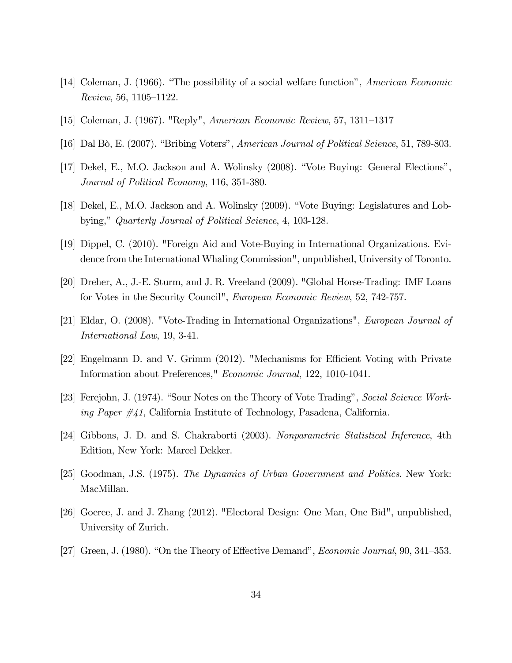- [14] Coleman, J. (1966). "The possibility of a social welfare function", American Economic Review, 56, 1105—1122.
- [15] Coleman, J. (1967). "Reply", American Economic Review, 57, 1311—1317
- [16] Dal Bò, E. (2007). "Bribing Voters", American Journal of Political Science, 51, 789-803.
- [17] Dekel, E., M.O. Jackson and A. Wolinsky (2008). "Vote Buying: General Elections", Journal of Political Economy, 116, 351-380.
- [18] Dekel, E., M.O. Jackson and A. Wolinsky (2009). "Vote Buying: Legislatures and Lobbying," Quarterly Journal of Political Science, 4, 103-128.
- [19] Dippel, C. (2010). "Foreign Aid and Vote-Buying in International Organizations. Evidence from the International Whaling Commission", unpublished, University of Toronto.
- [20] Dreher, A., J.-E. Sturm, and J. R. Vreeland (2009). "Global Horse-Trading: IMF Loans for Votes in the Security Council", European Economic Review, 52, 742-757.
- [21] Eldar, O. (2008). "Vote-Trading in International Organizations", European Journal of International Law, 19, 3-41.
- [22] Engelmann D. and V. Grimm (2012). "Mechanisms for Efficient Voting with Private Information about Preferences," Economic Journal, 122, 1010-1041.
- [23] Ferejohn, J. (1974). "Sour Notes on the Theory of Vote Trading", Social Science Working Paper #41, California Institute of Technology, Pasadena, California.
- [24] Gibbons, J. D. and S. Chakraborti (2003). Nonparametric Statistical Inference, 4th Edition, New York: Marcel Dekker.
- [25] Goodman, J.S. (1975). The Dynamics of Urban Government and Politics. New York: MacMillan.
- [26] Goeree, J. and J. Zhang (2012). "Electoral Design: One Man, One Bid", unpublished, University of Zurich.
- [27] Green, J. (1980). "On the Theory of Effective Demand", Economic Journal, 90, 341—353.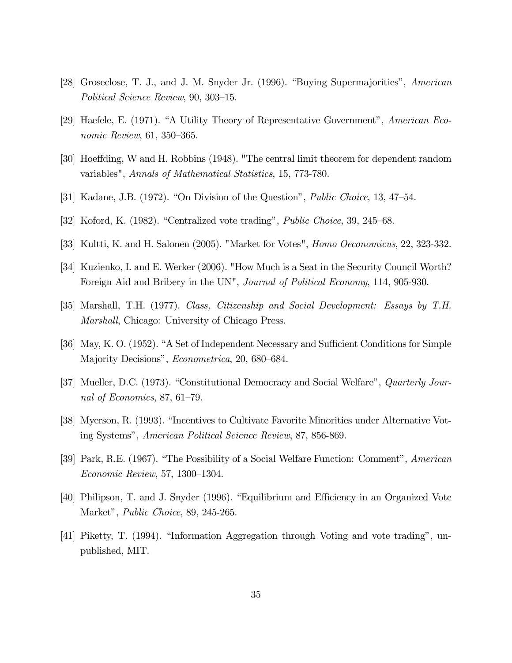- [28] Groseclose, T. J., and J. M. Snyder Jr. (1996). "Buying Supermajorities", American Political Science Review, 90, 303—15.
- [29] Haefele, E. (1971). "A Utility Theory of Representative Government", American Economic Review, 61, 350—365.
- [30] Hoeffding, W and H. Robbins (1948). "The central limit theorem for dependent random variables", Annals of Mathematical Statistics, 15, 773-780.
- [31] Kadane, J.B. (1972). "On Division of the Question", Public Choice, 13, 47—54.
- [32] Koford, K. (1982). "Centralized vote trading", Public Choice, 39, 245—68.
- [33] Kultti, K. and H. Salonen (2005). "Market for Votes", Homo Oeconomicus, 22, 323-332.
- [34] Kuzienko, I. and E. Werker (2006). "How Much is a Seat in the Security Council Worth? Foreign Aid and Bribery in the UN", *Journal of Political Economy*, 114, 905-930.
- [35] Marshall, T.H. (1977). Class, Citizenship and Social Development: Essays by T.H. Marshall, Chicago: University of Chicago Press.
- [36] May, K. O. (1952). "A Set of Independent Necessary and Sufficient Conditions for Simple Majority Decisions", Econometrica, 20, 680—684.
- [37] Mueller, D.C. (1973). "Constitutional Democracy and Social Welfare", Quarterly Journal of Economics, 87, 61—79.
- [38] Myerson, R. (1993). "Incentives to Cultivate Favorite Minorities under Alternative Voting Systems", American Political Science Review, 87, 856-869.
- [39] Park, R.E. (1967). "The Possibility of a Social Welfare Function: Comment", American Economic Review, 57, 1300—1304.
- [40] Philipson, T. and J. Snyder (1996). "Equilibrium and Efficiency in an Organized Vote Market", Public Choice, 89, 245-265.
- [41] Piketty, T. (1994). "Information Aggregation through Voting and vote trading", unpublished, MIT.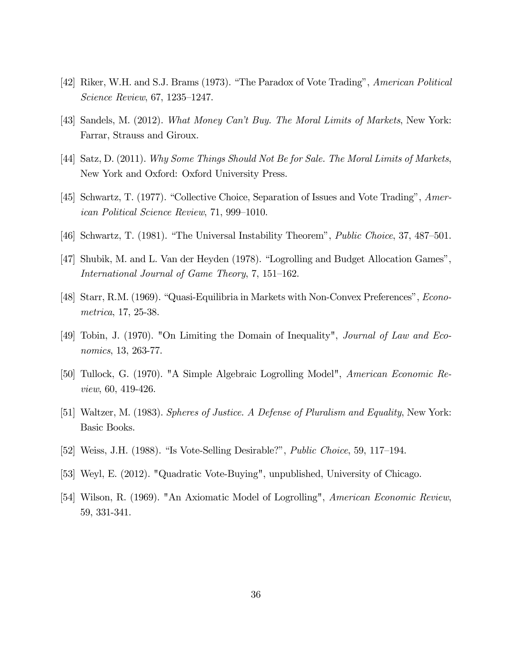- [42] Riker, W.H. and S.J. Brams (1973). "The Paradox of Vote Trading", American Political Science Review, 67, 1235—1247.
- [43] Sandels, M. (2012). What Money Can't Buy. The Moral Limits of Markets, New York: Farrar, Strauss and Giroux.
- [44] Satz, D. (2011). Why Some Things Should Not Be for Sale. The Moral Limits of Markets, New York and Oxford: Oxford University Press.
- [45] Schwartz, T. (1977). "Collective Choice, Separation of Issues and Vote Trading", American Political Science Review, 71, 999—1010.
- [46] Schwartz, T. (1981). "The Universal Instability Theorem", Public Choice, 37, 487—501.
- [47] Shubik, M. and L. Van der Heyden (1978). "Logrolling and Budget Allocation Games", International Journal of Game Theory, 7, 151—162.
- [48] Starr, R.M. (1969). "Quasi-Equilibria in Markets with Non-Convex Preferences", Econometrica, 17, 25-38.
- [49] Tobin, J. (1970). "On Limiting the Domain of Inequality", Journal of Law and Economics, 13, 263-77.
- [50] Tullock, G. (1970). "A Simple Algebraic Logrolling Model", American Economic Review, 60, 419-426.
- [51] Waltzer, M. (1983). Spheres of Justice. A Defense of Pluralism and Equality, New York: Basic Books.
- [52] Weiss, J.H. (1988). "Is Vote-Selling Desirable?", Public Choice, 59, 117—194.
- [53] Weyl, E. (2012). "Quadratic Vote-Buying", unpublished, University of Chicago.
- [54] Wilson, R. (1969). "An Axiomatic Model of Logrolling", American Economic Review, 59, 331-341.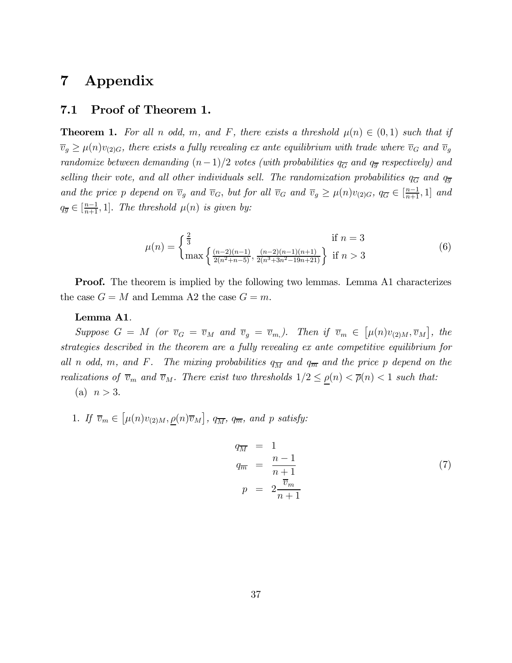# 7 Appendix

### 7.1 Proof of Theorem 1.

**Theorem 1.** For all n odd, m, and F, there exists a threshold  $\mu(n) \in (0,1)$  such that if  $\overline{v}_g \ge \mu(n)v_{(2)G}$ , there exists a fully revealing ex ante equilibrium with trade where  $\overline{v}_G$  and  $\overline{v}_g$ randomize between demanding  $(n-1)/2$  votes (with probabilities  $q_{\overline{G}}$  and  $q_{\overline{g}}$  respectively) and selling their vote, and all other individuals sell. The randomization probabilities  $q_{\overline{G}}$  and  $q_{\overline{g}}$ and the price p depend on  $\overline{v}_g$  and  $\overline{v}_G$ , but for all  $\overline{v}_G$  and  $\overline{v}_g \ge \mu(n)v_{(2)G}$ ,  $q_{\overline{G}} \in [\frac{n-1}{n+1}, 1]$  and  $q_{\overline{g}} \in \left[\frac{n-1}{n+1}, 1\right]$ . The threshold  $\mu(n)$  is given by:

$$
\mu(n) = \begin{cases} \frac{2}{3} & \text{if } n = 3\\ \max\left\{ \frac{(n-2)(n-1)}{2(n^2+n-5)}, \frac{(n-2)(n-1)(n+1)}{2(n^3+3n^2-19n+21)} \right\} & \text{if } n > 3 \end{cases}
$$
(6)

**Proof.** The theorem is implied by the following two lemmas. Lemma A1 characterizes the case  $G = M$  and Lemma A2 the case  $G = m$ .

### Lemma A1.

Suppose  $G = M$  (or  $\overline{v}_G = \overline{v}_M$  and  $\overline{v}_g = \overline{v}_m$ ). Then if  $\overline{v}_m \in [\mu(n)v_{(2)M}, \overline{v}_M]$ , the strategies described in the theorem are a fully revealing ex ante competitive equilibrium for all n odd, m, and F. The mixing probabilities  $q_{\overline{M}}$  and  $q_{\overline{m}}$  and the price p depend on the realizations of  $\overline{v}_m$  and  $\overline{v}_M$ . There exist two thresholds  $1/2 \le \rho(n) < \overline{\rho}(n) < 1$  such that:

- (a)  $n > 3$ .
- 1. If  $\overline{v}_m \in [\mu(n)v_{(2)M}, \underline{\rho}(n)\overline{v}_M]$ ,  $q_{\overline{M}}$ ,  $q_{\overline{m}}$ , and p satisfy:

$$
q_{\overline{M}} = 1
$$
  
\n
$$
q_{\overline{m}} = \frac{n-1}{n+1}
$$
  
\n
$$
p = 2 \frac{\overline{v}_m}{n+1}
$$
\n(7)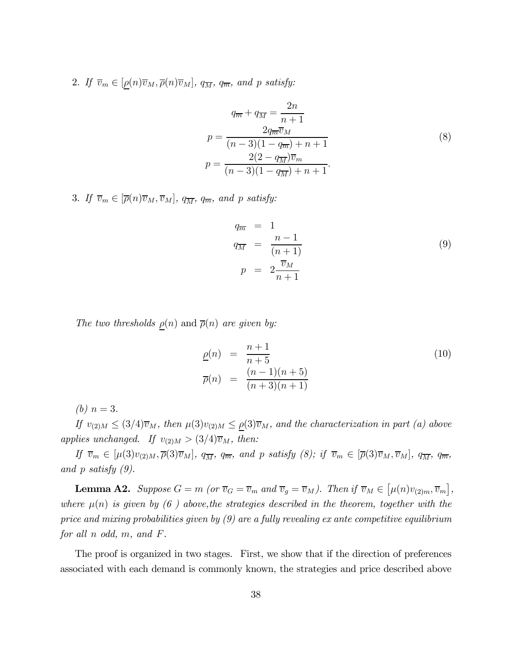2. If  $\overline{v}_m \in [\rho(n)\overline{v}_M, \overline{\rho}(n)\overline{v}_M]$ ,  $q_{\overline{M}}$ ,  $q_{\overline{m}}$ , and p satisfy:

$$
q_{\overline{m}} + q_{\overline{M}} = \frac{2n}{n+1}
$$
  
\n
$$
p = \frac{2q_{\overline{m}}\overline{v}_M}{(n-3)(1-q_{\overline{m}}) + n+1}
$$
  
\n
$$
p = \frac{2(2-q_{\overline{M}})\overline{v}_m}{(n-3)(1-q_{\overline{M}}) + n+1}.
$$
\n(8)

3. If  $\overline{v}_m \in [\overline{\rho}(n)\overline{v}_M, \overline{v}_M], q_{\overline{M}}, q_{\overline{m}}, \text{ and } p \text{ satisfy:}$ 

$$
q_{\overline{m}} = 1
$$
  
\n
$$
q_{\overline{M}} = \frac{n-1}{(n+1)}
$$
  
\n
$$
p = 2 \frac{\overline{v}_M}{n+1}
$$
\n(9)

The two thresholds  $\rho(n)$  and  $\overline{\rho}(n)$  are given by:

$$
\underline{\rho}(n) = \frac{n+1}{n+5} \n\overline{\rho}(n) = \frac{(n-1)(n+5)}{(n+3)(n+1)}
$$
\n(10)

(*b*)  $n = 3$ .

If  $v_{(2)M} \leq (3/4)\overline{v}_M$ , then  $\mu(3)v_{(2)M} \leq \rho(3)\overline{v}_M$ , and the characterization in part (a) above applies unchanged. If  $v_{(2)M} > (3/4)\overline{v}_M$ , then:

If  $\overline{v}_m \in [\mu(3)v_{(2)M}, \overline{\rho}(3)\overline{v}_M], q_{\overline{M}}, q_{\overline{m}}, \text{ and } p \text{ satisfy } (8); \text{ if } \overline{v}_m \in [\overline{\rho}(3)\overline{v}_M, \overline{v}_M], q_{\overline{M}}, q_{\overline{m}},$ and p satisfy (9).

**Lemma A2.** Suppose  $G = m$  (or  $\overline{v}_G = \overline{v}_m$  and  $\overline{v}_g = \overline{v}_M$ ). Then if  $\overline{v}_M \in [\mu(n)v_{(2)m}, \overline{v}_m]$ , where  $\mu(n)$  is given by (6) above, the strategies described in the theorem, together with the price and mixing probabilities given by  $(9)$  are a fully revealing ex ante competitive equilibrium for all n odd, m, and F.

The proof is organized in two stages. First, we show that if the direction of preferences associated with each demand is commonly known, the strategies and price described above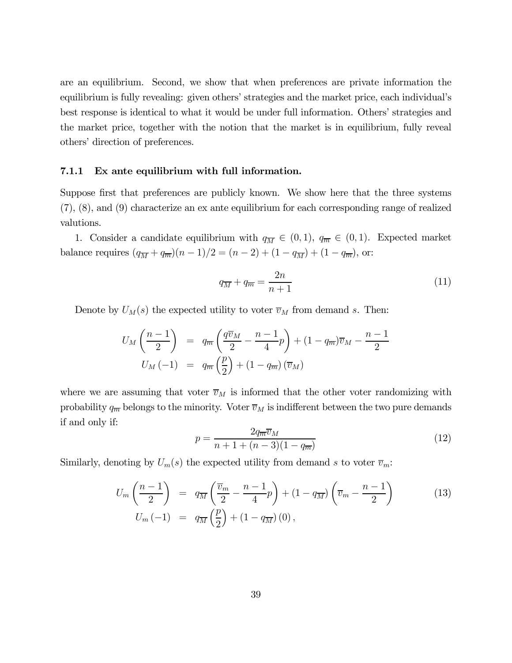are an equilibrium. Second, we show that when preferences are private information the equilibrium is fully revealing: given others' strategies and the market price, each individual's best response is identical to what it would be under full information. Others' strategies and the market price, together with the notion that the market is in equilibrium, fully reveal others' direction of preferences.

#### 7.1.1 Ex ante equilibrium with full information.

Suppose first that preferences are publicly known. We show here that the three systems (7), (8), and (9) characterize an ex ante equilibrium for each corresponding range of realized valutions.

1. Consider a candidate equilibrium with  $q_{\overline{M}} \in (0,1)$ ,  $q_{\overline{m}} \in (0,1)$ . Expected market balance requires  $(q_{\overline{M}} + q_{\overline{m}})(n-1)/2 = (n-2) + (1 - q_{\overline{M}}) + (1 - q_{\overline{m}})$ , or:

$$
q_{\overline{M}} + q_{\overline{m}} = \frac{2n}{n+1} \tag{11}
$$

Denote by  $U_M(s)$  the expected utility to voter  $\overline{v}_M$  from demand s. Then:

$$
U_M\left(\frac{n-1}{2}\right) = q_{\overline{m}}\left(\frac{q\overline{v}_M}{2} - \frac{n-1}{4}p\right) + (1-q_{\overline{m}})\overline{v}_M - \frac{n-1}{2}
$$

$$
U_M(-1) = q_{\overline{m}}\left(\frac{p}{2}\right) + (1-q_{\overline{m}})\left(\overline{v}_M\right)
$$

where we are assuming that voter  $\overline{v}_M$  is informed that the other voter randomizing with probability  $q_{\overline{m}}$  belongs to the minority. Voter  $\overline{v}_M$  is indifferent between the two pure demands if and only if:

$$
p = \frac{2q_{\overline{m}}\overline{v}_M}{n+1+(n-3)(1-q_{\overline{m}})}
$$
(12)

Similarly, denoting by  $U_m(s)$  the expected utility from demand s to voter  $\overline{v}_m$ :

$$
U_m \left( \frac{n-1}{2} \right) = q_{\overline{M}} \left( \frac{\overline{v}_m}{2} - \frac{n-1}{4} p \right) + (1 - q_{\overline{M}}) \left( \overline{v}_m - \frac{n-1}{2} \right)
$$
(13)  

$$
U_m \left( -1 \right) = q_{\overline{M}} \left( \frac{p}{2} \right) + (1 - q_{\overline{M}}) \left( 0 \right),
$$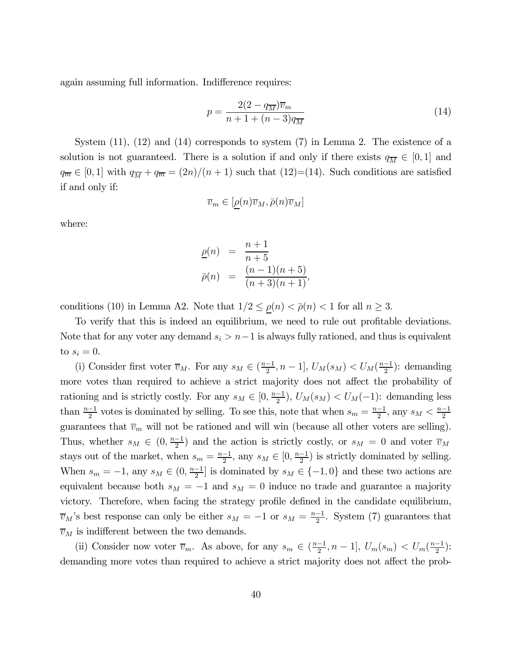again assuming full information. Indifference requires:

$$
p = \frac{2(2 - q_{\overline{M}})\overline{v}_m}{n + 1 + (n - 3)q_{\overline{M}}}
$$
\n(14)

System  $(11)$ ,  $(12)$  and  $(14)$  corresponds to system  $(7)$  in Lemma 2. The existence of a solution is not guaranteed. There is a solution if and only if there exists  $q_{\overline{M}} \in [0,1]$  and  $q_{\overline{m}} \in [0,1]$  with  $q_{\overline{M}} + q_{\overline{m}} = (2n)/(n+1)$  such that  $(12)=(14)$ . Such conditions are satisfied if and only if:

$$
\overline{v}_m \in [\underline{\rho}(n)\overline{v}_M, \overline{\rho}(n)\overline{v}_M]
$$

where:

$$
\begin{array}{rcl}\n\underline{\rho}(n) & = & \frac{n+1}{n+5} \\
\overline{p}(n) & = & \frac{(n-1)(n+5)}{(n+3)(n+1)},\n\end{array}
$$

conditions (10) in Lemma A2. Note that  $1/2 \le \rho(n) < \bar{\rho}(n) < 1$  for all  $n \ge 3$ .

To verify that this is indeed an equilibrium, we need to rule out profitable deviations. Note that for any voter any demand  $s_i > n-1$  is always fully rationed, and thus is equivalent to  $s_i = 0$ .

(i) Consider first voter  $\overline{v}_M$ . For any  $s_M \in (\frac{n-1}{2}, n-1]$ ,  $U_M(s_M) < U_M(\frac{n-1}{2})$ : demanding more votes than required to achieve a strict majority does not affect the probability of rationing and is strictly costly. For any  $s_M \in [0, \frac{n-1}{2}), U_M(s_M) < U_M(-1)$ : demanding less than  $\frac{n-1}{2}$  votes is dominated by selling. To see this, note that when  $s_m = \frac{n-1}{2}$ , any  $s_M < \frac{n-1}{2}$ guarantees that  $\overline{v}_m$  will not be rationed and will win (because all other voters are selling). Thus, whether  $s_M \in (0, \frac{n-1}{2})$  and the action is strictly costly, or  $s_M = 0$  and voter  $\overline{v}_M$ stays out of the market, when  $s_m = \frac{n-1}{2}$ , any  $s_M \in [0, \frac{n-1}{2})$  is strictly dominated by selling. When  $s_m = -1$ , any  $s_M \in (0, \frac{n-1}{2}]$  is dominated by  $s_M \in \{-1, 0\}$  and these two actions are equivalent because both  $s_M = -1$  and  $s_M = 0$  induce no trade and guarantee a majority victory. Therefore, when facing the strategy profile defined in the candidate equilibrium,  $\overline{v}_M$ 's best response can only be either  $s_M = -1$  or  $s_M = \frac{n-1}{2}$ . System (7) guarantees that  $\overline{v}_M$  is indifferent between the two demands.

(ii) Consider now voter  $\overline{v}_m$ . As above, for any  $s_m \in (\frac{n-1}{2}, n-1]$ ,  $U_m(s_m) < U_m(\frac{n-1}{2})$ : demanding more votes than required to achieve a strict majority does not affect the prob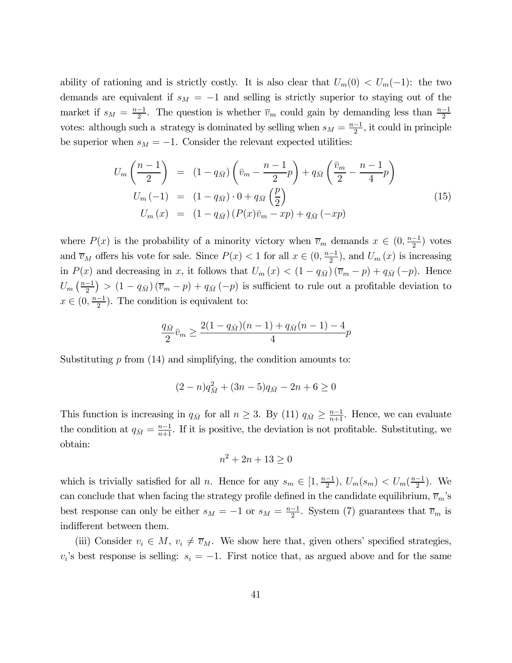ability of rationing and is strictly costly. It is also clear that  $U_m(0) < U_m(-1)$ : the two demands are equivalent if  $s_M = -1$  and selling is strictly superior to staying out of the market if  $s_M = \frac{n-1}{2}$ . The question is whether  $\overline{v}_m$  could gain by demanding less than  $\frac{n-1}{2}$ votes: although such a strategy is dominated by selling when  $s_M = \frac{n-1}{2}$ , it could in principle be superior when  $s_M = -1$ . Consider the relevant expected utilities:

$$
U_m \left( \frac{n-1}{2} \right) = (1 - q_{\bar{M}}) \left( \bar{v}_m - \frac{n-1}{2} p \right) + q_{\bar{M}} \left( \frac{\bar{v}_m}{2} - \frac{n-1}{4} p \right)
$$
  
\n
$$
U_m \left( -1 \right) = (1 - q_{\bar{M}}) \cdot 0 + q_{\bar{M}} \left( \frac{p}{2} \right)
$$
  
\n
$$
U_m \left( x \right) = (1 - q_{\bar{M}}) \left( P(x) \bar{v}_m - x p \right) + q_{\bar{M}} \left( -x p \right)
$$
\n(15)

where  $P(x)$  is the probability of a minority victory when  $\overline{v}_m$  demands  $x \in (0, \frac{n-1}{2})$  votes and  $\overline{v}_M$  offers his vote for sale. Since  $P(x) < 1$  for all  $x \in (0, \frac{n-1}{2})$ , and  $U_m(x)$  is increasing in  $P(x)$  and decreasing in x, it follows that  $U_m(x) < (1 - q_{\overline{M}})(\overline{v}_m - p) + q_{\overline{M}}(-p)$ . Hence  $U_m\left(\frac{n-1}{2}\right) > (1-q_{\bar{M}})(\overline{v}_m-p) + q_{\bar{M}}(-p)$  is sufficient to rule out a profitable deviation to  $x \in (0, \frac{n-1}{2})$ . The condition is equivalent to:

$$
\frac{q_{\bar{M}}}{2}\bar{v}_m \ge \frac{2(1-q_{\bar{M}})(n-1) + q_{\bar{M}}(n-1) - 4}{4}p
$$

Substituting  $p$  from (14) and simplifying, the condition amounts to:

$$
(2-n)q_{\bar{M}}^2 + (3n-5)q_{\bar{M}} - 2n + 6 \ge 0
$$

This function is increasing in  $q_{\bar{M}}$  for all  $n \geq 3$ . By (11)  $q_{\bar{M}} \geq \frac{n-1}{n+1}$ . Hence, we can evaluate the condition at  $q_{\bar{M}} = \frac{n-1}{n+1}$ . If it is positive, the deviation is not profitable. Substituting, we obtain:

$$
n^2 + 2n + 13 \ge 0
$$

which is trivially satisfied for all *n*. Hence for any  $s_m \in [1, \frac{n-1}{2}), U_m(s_m) < U_m(\frac{n-1}{2})$ . We can conclude that when facing the strategy profile defined in the candidate equilibrium,  $\overline{v}_m$ 's best response can only be either  $s_M = -1$  or  $s_M = \frac{n-1}{2}$ . System (7) guarantees that  $\overline{v}_m$  is indifferent between them.

(iii) Consider  $v_i \in M$ ,  $v_i \neq \overline{v}_M$ . We show here that, given others' specified strategies,  $v_i$ 's best response is selling:  $s_i = -1$ . First notice that, as argued above and for the same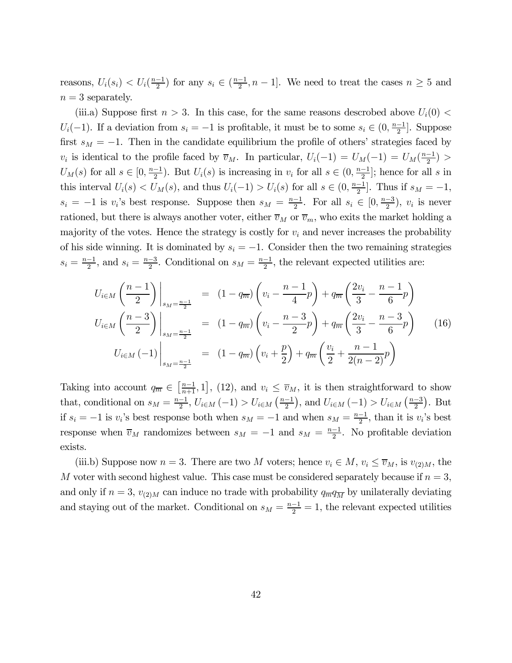reasons,  $U_i(s_i) < U_i(\frac{n-1}{2})$  for any  $s_i \in (\frac{n-1}{2}, n-1]$ . We need to treat the cases  $n \geq 5$  and  $n=3$  separately.

(iii.a) Suppose first  $n > 3$ . In this case, for the same reasons descrobed above  $U_i(0)$  $U_i(-1)$ . If a deviation from  $s_i = -1$  is profitable, it must be to some  $s_i \in (0, \frac{n-1}{2}]$ . Suppose first  $s_M = -1$ . Then in the candidate equilibrium the profile of others' strategies faced by v<sub>i</sub> is identical to the profile faced by  $\overline{v}_M$ . In particular,  $U_i(-1) = U_M(-1) = U_M(\frac{n-1}{2})$  $U_M(s)$  for all  $s \in [0, \frac{n-1}{2})$ . But  $U_i(s)$  is increasing in  $v_i$  for all  $s \in (0, \frac{n-1}{2}]$ ; hence for all s in this interval  $U_i(s) < U_M(s)$ , and thus  $U_i(-1) > U_i(s)$  for all  $s \in (0, \frac{n-1}{2}]$ . Thus if  $s_M = -1$ ,  $s_i = -1$  is  $v_i$ 's best response. Suppose then  $s_M = \frac{n-1}{2}$ . For all  $s_i \in [0, \frac{n-3}{2})$ ,  $v_i$  is never rationed, but there is always another voter, either  $\overline{v}_M$  or  $\overline{v}_m$ , who exits the market holding a majority of the votes. Hence the strategy is costly for  $v_i$  and never increases the probability of his side winning. It is dominated by  $s_i = -1$ . Consider then the two remaining strategies  $s_i = \frac{n-1}{2}$ , and  $s_i = \frac{n-3}{2}$ . Conditional on  $s_M = \frac{n-1}{2}$ , the relevant expected utilities are:

$$
U_{i \in M} \left(\frac{n-1}{2}\right) \Big|_{s_M = \frac{n-1}{2}} = (1 - q_{\overline{m}}) \left(v_i - \frac{n-1}{4}p\right) + q_{\overline{m}} \left(\frac{2v_i}{3} - \frac{n-1}{6}p\right)
$$
  

$$
U_{i \in M} \left(\frac{n-3}{2}\right) \Big|_{s_M = \frac{n-1}{2}} = (1 - q_{\overline{m}}) \left(v_i - \frac{n-3}{2}p\right) + q_{\overline{m}} \left(\frac{2v_i}{3} - \frac{n-3}{6}p\right)
$$
(16)  

$$
U_{i \in M} \left(-1\right) \Big|_{s_M = \frac{n-1}{2}} = (1 - q_{\overline{m}}) \left(v_i + \frac{p}{2}\right) + q_{\overline{m}} \left(\frac{v_i}{2} + \frac{n-1}{2(n-2)}p\right)
$$

Taking into account  $q_{\overline{m}} \in \left[\frac{n-1}{n+1}, 1\right]$ , (12), and  $v_i \leq \overline{v}_M$ , it is then straightforward to show that, conditional on  $s_M = \frac{n-1}{2}$ ,  $U_{i \in M}(-1) > U_{i \in M}(\frac{n-1}{2})$ , and  $U_{i \in M}(-1) > U_{i \in M}(\frac{n-3}{2})$ . But if  $s_i = -1$  is  $v_i$ 's best response both when  $s_M = -1$  and when  $s_M = \frac{n-1}{2}$ , than it is  $v_i$ 's best response when  $\overline{v}_M$  randomizes between  $s_M = -1$  and  $s_M = \frac{n-1}{2}$ . No profitable deviation exists.

(iii.b) Suppose now  $n = 3$ . There are two M voters; hence  $v_i \in M$ ,  $v_i \le \overline{v}_M$ , is  $v_{(2)M}$ , the M voter with second highest value. This case must be considered separately because if  $n = 3$ , and only if  $n = 3$ ,  $v_{(2)M}$  can induce no trade with probability  $q_{\overline{M}}q_{\overline{M}}$  by unilaterally deviating and staying out of the market. Conditional on  $s_M = \frac{n-1}{2} = 1$ , the relevant expected utilities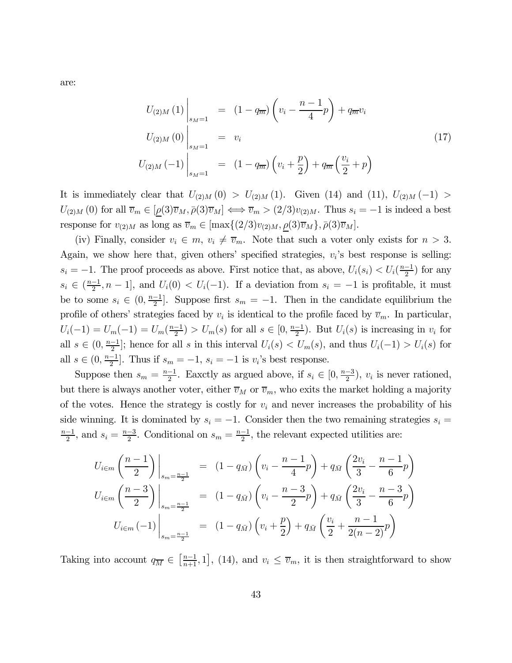are:

$$
U_{(2)M}(1)\Big|_{s_M=1} = (1 - q_{\overline{m}}) \left(v_i - \frac{n-1}{4}p\right) + q_{\overline{m}}v_i
$$
  
\n
$$
U_{(2)M}(0)\Big|_{s_M=1} = v_i
$$
  
\n
$$
U_{(2)M}(-1)\Big|_{s_M=1} = (1 - q_{\overline{m}}) \left(v_i + \frac{p}{2}\right) + q_{\overline{m}} \left(\frac{v_i}{2} + p\right)
$$
\n(17)

It is immediately clear that  $U_{(2)M}(0) > U_{(2)M}(1)$ . Given (14) and (11),  $U_{(2)M}(-1) >$  $U_{(2)M}(0)$  for all  $\overline{v}_m \in [\rho(3)\overline{v}_M, \overline{\rho(3)}\overline{v}_M] \Longleftrightarrow \overline{v}_m > (2/3)v_{(2)M}$ . Thus  $s_i = -1$  is indeed a best response for  $v_{(2)M}$  as long as  $\overline{v}_m \in [\max\{(2/3)v_{(2)M}, \rho(3)\overline{v}_M\}, \overline{\rho}(3)\overline{v}_M\}$ .

(iv) Finally, consider  $v_i \in m$ ,  $v_i \neq \overline{v}_m$ . Note that such a voter only exists for  $n > 3$ . Again, we show here that, given others' specified strategies,  $v_i$ 's best response is selling:  $s_i = -1$ . The proof proceeds as above. First notice that, as above,  $U_i(s_i) < U_i(\frac{n-1}{2})$  for any  $s_i \in \left(\frac{n-1}{2}, n-1\right]$ , and  $U_i(0) < U_i(-1)$ . If a deviation from  $s_i = -1$  is profitable, it must be to some  $s_i \in (0, \frac{n-1}{2}]$ . Suppose first  $s_m = -1$ . Then in the candidate equilibrium the profile of others' strategies faced by  $v_i$  is identical to the profile faced by  $\overline{v}_m$ . In particular,  $U_i(-1) = U_m(-1) = U_m(\frac{n-1}{2}) > U_m(s)$  for all  $s \in [0, \frac{n-1}{2})$ . But  $U_i(s)$  is increasing in  $v_i$  for all  $s \in (0, \frac{n-1}{2}]$ ; hence for all s in this interval  $U_i(s) < U_m(s)$ , and thus  $U_i(-1) > U_i(s)$  for all  $s \in (0, \frac{n-1}{2}]$ . Thus if  $s_m = -1$ ,  $s_i = -1$  is  $v_i$ 's best response.

Suppose then  $s_m = \frac{n-1}{2}$ . Eaxctly as argued above, if  $s_i \in [0, \frac{n-3}{2})$ ,  $v_i$  is never rationed, but there is always another voter, either  $\overline{v}_M$  or  $\overline{v}_m$ , who exits the market holding a majority of the votes. Hence the strategy is costly for  $v_i$  and never increases the probability of his side winning. It is dominated by  $s_i = -1$ . Consider then the two remaining strategies  $s_i =$  $\frac{n-1}{2}$ , and  $s_i = \frac{n-3}{2}$ . Conditional on  $s_m = \frac{n-1}{2}$ , the relevant expected utilities are:

$$
U_{i \in m} \left(\frac{n-1}{2}\right) \Big|_{s_m = \frac{n-1}{2}} = (1 - q_{\bar{M}}) \left(v_i - \frac{n-1}{4}p\right) + q_{\bar{M}} \left(\frac{2v_i}{3} - \frac{n-1}{6}p\right)
$$
  

$$
U_{i \in m} \left(\frac{n-3}{2}\right) \Big|_{s_m = \frac{n-1}{2}} = (1 - q_{\bar{M}}) \left(v_i - \frac{n-3}{2}p\right) + q_{\bar{M}} \left(\frac{2v_i}{3} - \frac{n-3}{6}p\right)
$$
  

$$
U_{i \in m} \left(-1\right) \Big|_{s_m = \frac{n-1}{2}} = (1 - q_{\bar{M}}) \left(v_i + \frac{p}{2}\right) + q_{\bar{M}} \left(\frac{v_i}{2} + \frac{n-1}{2(n-2)}p\right)
$$

Taking into account  $q_{\overline{M}} \in \left[\frac{n-1}{n+1}, 1\right]$ , (14), and  $v_i \leq \overline{v}_m$ , it is then straightforward to show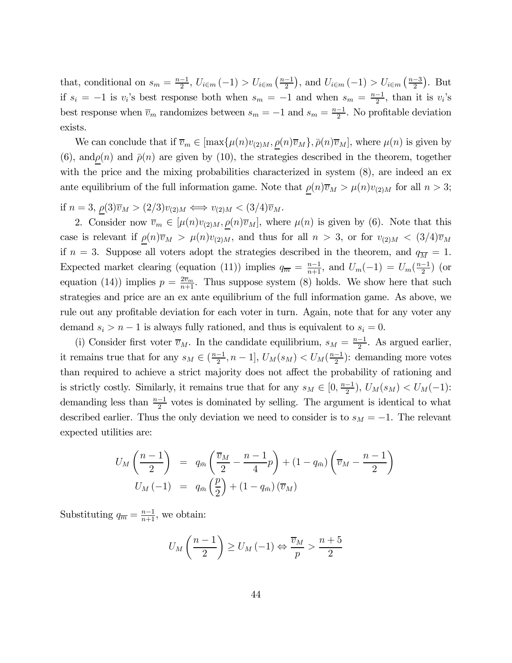that, conditional on  $s_m = \frac{n-1}{2}$ ,  $U_{i \in m}(-1) > U_{i \in m}(\frac{n-1}{2})$ , and  $U_{i \in m}(-1) > U_{i \in m}(\frac{n-3}{2})$ . But if  $s_i = -1$  is  $v_i$ 's best response both when  $s_m = -1$  and when  $s_m = \frac{n-1}{2}$ , than it is  $v_i$ 's best response when  $\overline{v}_m$  randomizes between  $s_m = -1$  and  $s_m = \frac{n-1}{2}$ . No profitable deviation exists.

We can conclude that if  $\overline{v}_m \in [\max{\mu(n)v_{(2)M}, \rho(n)\overline{v}_M}, \overline{\rho(n)}\overline{v}_M]$ , where  $\mu(n)$  is given by (6), and  $\rho(n)$  and  $\bar{\rho}(n)$  are given by (10), the strategies described in the theorem, together with the price and the mixing probabilities characterized in system  $(8)$ , are indeed an ex ante equilibrium of the full information game. Note that  $\rho(n)\overline{v}_M > \mu(n)v_{(2)M}$  for all  $n > 3$ ;

if  $n = 3$ ,  $\rho(3)\overline{v}_M > (2/3)v_{(2)M} \Longleftrightarrow v_{(2)M} < (3/4)\overline{v}_M$ .

2. Consider now  $\overline{v}_m \in [\mu(n)v_{(2)M}, \rho(n)\overline{v}_M]$ , where  $\mu(n)$  is given by (6). Note that this case is relevant if  $\rho(n)\overline{v}_M > \mu(n)v_{(2)M}$ , and thus for all  $n > 3$ , or for  $v_{(2)M} < (3/4)\overline{v}_M$ if  $n = 3$ . Suppose all voters adopt the strategies described in the theorem, and  $q_{\overline{M}} = 1$ . Expected market clearing (equation (11)) implies  $q_{\overline{m}} = \frac{n-1}{n+1}$ , and  $U_m(-1) = U_m(\frac{n-1}{2})$  (or equation (14)) implies  $p = \frac{2\overline{v}_m}{n+1}$ . Thus suppose system (8) holds. We show here that such strategies and price are an ex ante equilibrium of the full information game. As above, we rule out any profitable deviation for each voter in turn. Again, note that for any voter any demand  $s_i > n - 1$  is always fully rationed, and thus is equivalent to  $s_i = 0$ .

(i) Consider first voter  $\overline{v}_M$ . In the candidate equilibrium,  $s_M = \frac{n-1}{2}$ . As argued earlier, it remains true that for any  $s_M \in (\frac{n-1}{2}, n-1]$ ,  $U_M(s_M) < U_M(\frac{n-1}{2})$ : demanding more votes than required to achieve a strict majority does not affect the probability of rationing and is strictly costly. Similarly, it remains true that for any  $s_M \in [0, \frac{n-1}{2})$ ,  $U_M(s_M) < U_M(-1)$ : demanding less than  $\frac{n-1}{2}$  votes is dominated by selling. The argument is identical to what described earlier. Thus the only deviation we need to consider is to  $s_M = -1$ . The relevant expected utilities are:

$$
U_M\left(\frac{n-1}{2}\right) = q_{\bar{m}}\left(\frac{\overline{v}_M}{2} - \frac{n-1}{4}p\right) + (1 - q_{\bar{m}})\left(\overline{v}_M - \frac{n-1}{2}\right)
$$
  

$$
U_M(-1) = q_{\bar{m}}\left(\frac{p}{2}\right) + (1 - q_{\bar{m}})\left(\overline{v}_M\right)
$$

Substituting  $q_{\overline{m}} = \frac{n-1}{n+1}$ , we obtain:

$$
U_M\left(\frac{n-1}{2}\right) \ge U_M\left(-1\right) \Leftrightarrow \frac{\overline{v}_M}{p} > \frac{n+5}{2}
$$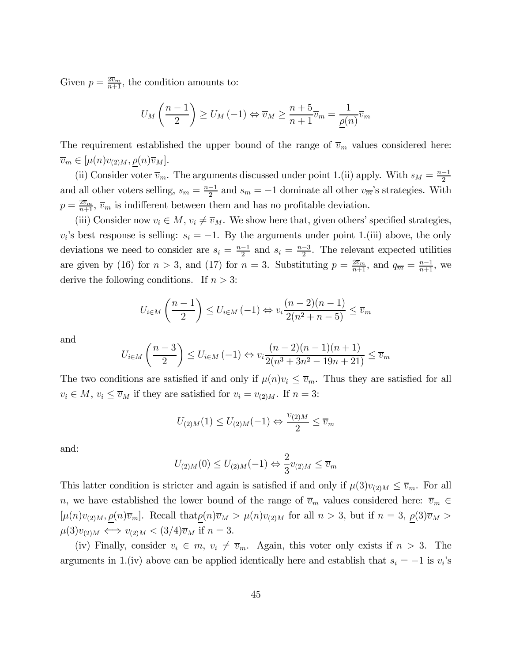Given  $p = \frac{2\overline{v}_m}{n+1}$ , the condition amounts to:

$$
U_M\left(\frac{n-1}{2}\right) \ge U_M\left(-1\right) \Leftrightarrow \overline{v}_M \ge \frac{n+5}{n+1}\overline{v}_m = \frac{1}{\underline{\rho}(n)}\overline{v}_m
$$

The requirement established the upper bound of the range of  $\overline{v}_m$  values considered here:  $\overline{v}_m \in [\mu(n)v_{(2)M}, \rho(n)\overline{v}_M].$ 

(ii) Consider voter  $\overline{v}_m$ . The arguments discussed under point 1.(ii) apply. With  $s_M = \frac{n-1}{2}$ and all other voters selling,  $s_m = \frac{n-1}{2}$  and  $s_m = -1$  dominate all other  $v_{\overline{m}}$ 's strategies. With  $p = \frac{2\overline{v}_m}{n+1}$ ,  $\overline{v}_m$  is indifferent between them and has no profitable deviation.

(iii) Consider now  $v_i \in M$ ,  $v_i \neq \overline{v}_M$ . We show here that, given others' specified strategies,  $v_i$ 's best response is selling:  $s_i = -1$ . By the arguments under point 1.(iii) above, the only deviations we need to consider are  $s_i = \frac{n-1}{2}$  and  $s_i = \frac{n-3}{2}$ . The relevant expected utilities are given by (16) for  $n > 3$ , and (17) for  $n = 3$ . Substituting  $p = \frac{2\overline{v}_m}{n+1}$ , and  $q_{\overline{m}} = \frac{n-1}{n+1}$ , we derive the following conditions. If  $n > 3$ :

$$
U_{i \in M} \left(\frac{n-1}{2}\right) \le U_{i \in M} \left(-1\right) \Leftrightarrow v_i \frac{(n-2)(n-1)}{2(n^2+n-5)} \le \overline{v}_m
$$

and

$$
U_{i \in M} \left( \frac{n-3}{2} \right) \le U_{i \in M} \left( -1 \right) \Leftrightarrow v_i \frac{(n-2)(n-1)(n+1)}{2(n^3 + 3n^2 - 19n + 21)} \le \overline{v}_m
$$

The two conditions are satisfied if and only if  $\mu(n)v_i \leq \overline{v}_m$ . Thus they are satisfied for all  $v_i \in M$ ,  $v_i \leq \overline{v}_M$  if they are satisfied for  $v_i = v_{(2)M}$ . If  $n = 3$ :

$$
U_{(2)M}(1) \le U_{(2)M}(-1) \Leftrightarrow \frac{v_{(2)M}}{2} \le \overline{v}_m
$$

and:

$$
U_{(2)M}(0) \le U_{(2)M}(-1) \Leftrightarrow \frac{2}{3}v_{(2)M} \le \overline{v}_m
$$

This latter condition is stricter and again is satisfied if and only if  $\mu(3)v_{(2)M} \leq \overline{v}_m$ . For all n, we have established the lower bound of the range of  $\overline{v}_m$  values considered here:  $\overline{v}_m \in$  $[\mu(n)v_{(2)M}, \underline{\rho}(n)\overline{v}_m]$ . Recall that  $\underline{\rho}(n)\overline{v}_M > \mu(n)v_{(2)M}$  for all  $n > 3$ , but if  $n = 3$ ,  $\underline{\rho}(3)\overline{v}_M >$  $\mu(3)v_{(2)M} \Longleftrightarrow v_{(2)M} < (3/4)\overline{v}_M$  if  $n=3$ .

(iv) Finally, consider  $v_i \in m$ ,  $v_i \neq \overline{v}_m$ . Again, this voter only exists if  $n > 3$ . The arguments in 1.(iv) above can be applied identically here and establish that  $s_i = -1$  is  $v_i$ 's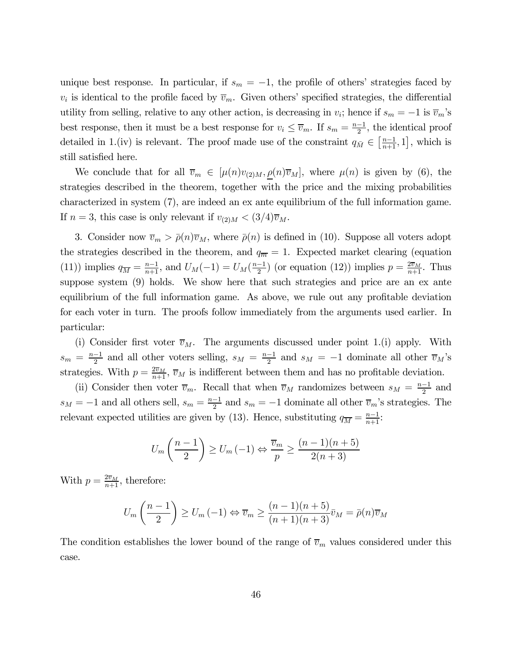unique best response. In particular, if  $s_m = -1$ , the profile of others' strategies faced by  $v_i$  is identical to the profile faced by  $\overline{v}_m$ . Given others' specified strategies, the differential utility from selling, relative to any other action, is decreasing in  $v_i$ ; hence if  $s_m = -1$  is  $\overline{v}_m$ 's best response, then it must be a best response for  $v_i \leq \overline{v}_m$ . If  $s_m = \frac{n-1}{2}$ , the identical proof detailed in 1.(iv) is relevant. The proof made use of the constraint  $q_{\bar{M}} \in \left[\frac{n-1}{n+1}, 1\right]$ , which is still satisfied here.

We conclude that for all  $\overline{v}_m \in [\mu(n)v_{(2)M}, \rho(n)\overline{v}_M]$ , where  $\mu(n)$  is given by (6), the strategies described in the theorem, together with the price and the mixing probabilities characterized in system (7), are indeed an ex ante equilibrium of the full information game. If  $n = 3$ , this case is only relevant if  $v_{(2)M} < (3/4)\overline{v}_M$ .

3. Consider now  $\overline{v}_m > \overline{\rho}(n)\overline{v}_M$ , where  $\overline{\rho}(n)$  is defined in (10). Suppose all voters adopt the strategies described in the theorem, and  $q_{\overline{m}} = 1$ . Expected market clearing (equation (11)) implies  $q_{\overline{M}} = \frac{n-1}{n+1}$ , and  $U_M(-1) = U_M(\frac{n-1}{2})$  (or equation (12)) implies  $p = \frac{2\overline{v}_M}{n+1}$ . Thus suppose system (9) holds. We show here that such strategies and price are an ex ante equilibrium of the full information game. As above, we rule out any profitable deviation for each voter in turn. The proofs follow immediately from the arguments used earlier. In particular:

(i) Consider first voter  $\overline{v}_M$ . The arguments discussed under point 1.(i) apply. With  $s_m = \frac{n-1}{2}$  and all other voters selling,  $s_M = \frac{n-1}{2}$  and  $s_M = -1$  dominate all other  $\overline{v}_M$ 's strategies. With  $p = \frac{2\overline{v}_M}{n+1}$ ,  $\overline{v}_M$  is indifferent between them and has no profitable deviation.

(ii) Consider then voter  $\overline{v}_m$ . Recall that when  $\overline{v}_M$  randomizes between  $s_M = \frac{n-1}{2}$  and  $s_M = -1$  and all others sell,  $s_m = \frac{n-1}{2}$  and  $s_m = -1$  dominate all other  $\overline{v}_m$ 's strategies. The relevant expected utilities are given by (13). Hence, substituting  $q_{\overline{M}} = \frac{n-1}{n+1}$ :

$$
U_m\left(\frac{n-1}{2}\right) \ge U_m\left(-1\right) \Leftrightarrow \frac{\overline{v}_m}{p} \ge \frac{(n-1)(n+5)}{2(n+3)}
$$

With  $p = \frac{2\overline{v}_M}{n+1}$ , therefore:

$$
U_m\left(\frac{n-1}{2}\right) \ge U_m\left(-1\right) \Leftrightarrow \overline{v}_m \ge \frac{(n-1)(n+5)}{(n+1)(n+3)}\overline{v}_M = \overline{\rho}(n)\overline{v}_M
$$

The condition establishes the lower bound of the range of  $\overline{v}_m$  values considered under this case.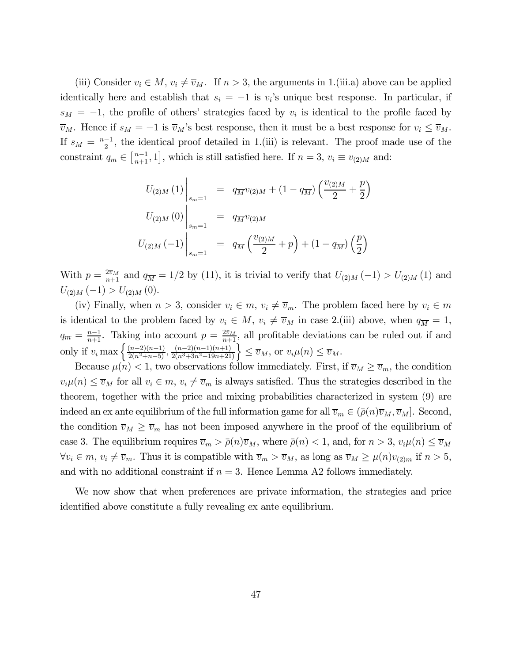(iii) Consider  $v_i \in M$ ,  $v_i \neq \overline{v}_M$ . If  $n > 3$ , the arguments in 1.(iii.a) above can be applied identically here and establish that  $s_i = -1$  is  $v_i$ 's unique best response. In particular, if  $s_M = -1$ , the profile of others' strategies faced by  $v_i$  is identical to the profile faced by  $\overline{v}_M$ . Hence if  $s_M = -1$  is  $\overline{v}_M$ 's best response, then it must be a best response for  $v_i \leq \overline{v}_M$ . If  $s_M = \frac{n-1}{2}$ , the identical proof detailed in 1.(iii) is relevant. The proof made use of the constraint  $q_m \in \left[\frac{n-1}{n+1}, 1\right]$ , which is still satisfied here. If  $n = 3$ ,  $v_i \equiv v_{(2)M}$  and:

$$
U_{(2)M}(1)\Big|_{s_m=1} = q_{\overline{M}}v_{(2)M} + (1 - q_{\overline{M}})\left(\frac{v_{(2)M}}{2} + \frac{p}{2}\right)
$$
  

$$
U_{(2)M}(0)\Big|_{s_m=1} = q_{\overline{M}}v_{(2)M}
$$
  

$$
U_{(2)M}(-1)\Big|_{s_m=1} = q_{\overline{M}}\left(\frac{v_{(2)M}}{2} + p\right) + (1 - q_{\overline{M}})\left(\frac{p}{2}\right)
$$

With  $p = \frac{2\bar{v}_M}{n+1}$  and  $q_{\overline{M}} = 1/2$  by (11), it is trivial to verify that  $U_{(2)M}(-1) > U_{(2)M}(1)$  and  $U_{(2)M}(-1) > U_{(2)M}(0).$ 

(iv) Finally, when  $n > 3$ , consider  $v_i \in m$ ,  $v_i \neq \overline{v}_m$ . The problem faced here by  $v_i \in m$ is identical to the problem faced by  $v_i \in M$ ,  $v_i \neq \overline{v}_M$  in case 2.(iii) above, when  $q_{\overline{M}} = 1$ ,  $q_{\overline{m}} = \frac{n-1}{n+1}$ . Taking into account  $p = \frac{2\bar{v}_M}{n+1}$ , all profitable deviations can be ruled out if and only if  $v_i$  max  $\left\{\frac{(n-2)(n-1)}{2(n^2+n-5)}, \frac{(n-2)(n-1)(n+1)}{2(n^3+3n^2-19n+21)}\right\} \leq \overline{v}_M$ , or  $v_i\mu(n) \leq \overline{v}_M$ .

Because  $\mu(n) < 1$ , two observations follow immediately. First, if  $\overline{v}_M \ge \overline{v}_m$ , the condition  $v_i\mu(n) \leq \overline{v}_M$  for all  $v_i \in m$ ,  $v_i \neq \overline{v}_m$  is always satisfied. Thus the strategies described in the theorem, together with the price and mixing probabilities characterized in system (9) are indeed an ex ante equilibrium of the full information game for all  $\overline{v}_m \in (\overline{\rho}(n)\overline{v}_M, \overline{v}_M]$ . Second, the condition  $\overline{v}_M \geq \overline{v}_m$  has not been imposed anywhere in the proof of the equilibrium of case 3. The equilibrium requires  $\overline{v}_m > \overline{\rho}(n)\overline{v}_M$ , where  $\overline{\rho}(n) < 1$ , and, for  $n > 3$ ,  $v_i\mu(n) \leq \overline{v}_M$  $\forall v_i \in m, v_i \neq \overline{v}_m$ . Thus it is compatible with  $\overline{v}_m > \overline{v}_M$ , as long as  $\overline{v}_M \geq \mu(n)v_{(2)m}$  if  $n > 5$ , and with no additional constraint if  $n = 3$ . Hence Lemma A2 follows immediately.

We now show that when preferences are private information, the strategies and price identified above constitute a fully revealing ex ante equilibrium.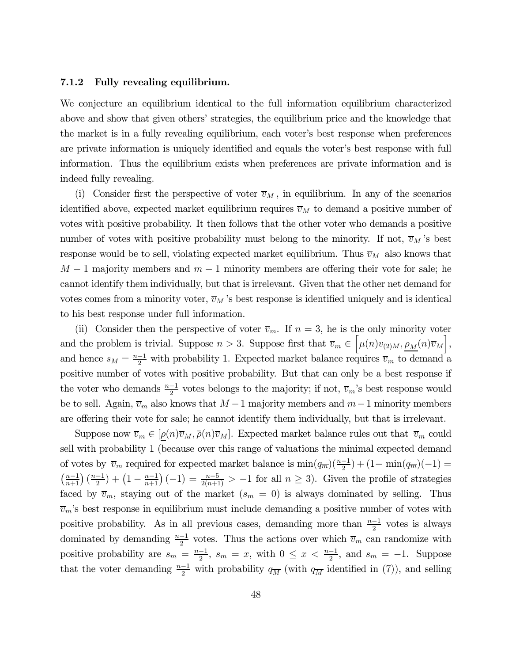#### 7.1.2 Fully revealing equilibrium.

We conjecture an equilibrium identical to the full information equilibrium characterized above and show that given others' strategies, the equilibrium price and the knowledge that the market is in a fully revealing equilibrium, each voter's best response when preferences are private information is uniquely identified and equals the voter's best response with full information. Thus the equilibrium exists when preferences are private information and is indeed fully revealing.

(i) Consider first the perspective of voter  $\overline{v}_M$ , in equilibrium. In any of the scenarios identified above, expected market equilibrium requires  $\overline{v}_M$  to demand a positive number of votes with positive probability. It then follows that the other voter who demands a positive number of votes with positive probability must belong to the minority. If not,  $\overline{v}_M$ 's best response would be to sell, violating expected market equilibrium. Thus  $\overline{v}_M$  also knows that  $M-1$  majority members and  $m-1$  minority members are offering their vote for sale; he cannot identify them individually, but that is irrelevant. Given that the other net demand for votes comes from a minority voter,  $\overline{v}_M$ 's best response is identified uniquely and is identical to his best response under full information.

(ii) Consider then the perspective of voter  $\overline{v}_m$ . If  $n = 3$ , he is the only minority voter and the problem is trivial. Suppose  $n > 3$ . Suppose first that  $\overline{v}_m \in \left[\mu(n)v_{(2)M}, \underline{\rho_M}(n)\overline{v}_M\right]$ , and hence  $s_M = \frac{n-1}{2}$  with probability 1. Expected market balance requires  $\overline{v}_m$  to demand a positive number of votes with positive probability. But that can only be a best response if the voter who demands  $\frac{n-1}{2}$  votes belongs to the majority; if not,  $\overline{v}_m$ 's best response would be to sell. Again,  $\overline{v}_m$  also knows that  $M-1$  majority members and  $m-1$  minority members are offering their vote for sale; he cannot identify them individually, but that is irrelevant.

Suppose now  $\overline{v}_m \in [\rho(n)\overline{v}_M,\overline{\rho}(n)\overline{v}_M]$ . Expected market balance rules out that  $\overline{v}_m$  could sell with probability 1 (because over this range of valuations the minimal expected demand of votes by  $\overline{v}_m$  required for expected market balance is  $\min(q_{\overline{m}})(\frac{n-1}{2}) + (1 - \min(q_{\overline{m}})(-1)) =$  $\left(\frac{n-1}{n+1}\right)\left(\frac{n-1}{2}\right) + \left(1 - \frac{n-1}{n+1}\right)(-1) = \frac{n-5}{2(n+1)} > -1$  for all  $n \geq 3$ ). Given the profile of strategies faced by  $\overline{v}_m$ , staying out of the market  $(s_m = 0)$  is always dominated by selling. Thus  $\overline{v}_m$ 's best response in equilibrium must include demanding a positive number of votes with positive probability. As in all previous cases, demanding more than  $\frac{n-1}{2}$  votes is always dominated by demanding  $\frac{n-1}{2}$  votes. Thus the actions over which  $\overline{v}_m$  can randomize with positive probability are  $s_m = \frac{n-1}{2}$ ,  $s_m = x$ , with  $0 \le x < \frac{n-1}{2}$ , and  $s_m = -1$ . Suppose that the voter demanding  $\frac{n-1}{2}$  with probability  $q_{\overline{M}}$  (with  $q_{\overline{M}}$  identified in (7)), and selling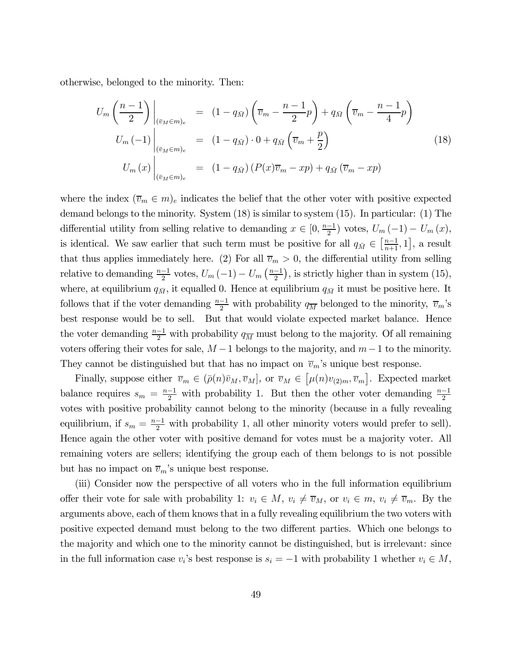otherwise, belonged to the minority. Then:

$$
U_m \left( \frac{n-1}{2} \right) \Big|_{\substack{(\bar{v}_M \in m)_e \\ (p_{\bar{w}_M \in m)_e}}} = (1 - q_{\bar{M}}) \left( \bar{v}_m - \frac{n-1}{2} p \right) + q_{\bar{M}} \left( \bar{v}_m - \frac{n-1}{4} p \right)
$$
  
\n
$$
U_m \left( -1 \right) \Big|_{\substack{(\bar{v}_M \in m)_e \\ (\bar{v}_M \in m)_e}} = (1 - q_{\bar{M}}) \cdot 0 + q_{\bar{M}} \left( \bar{v}_m + \frac{p}{2} \right)
$$
(18)  
\n
$$
U_m \left( x \right) \Big|_{\substack{(\bar{v}_M \in m)_e}} = (1 - q_{\bar{M}}) \left( P(x) \bar{v}_m - xp \right) + q_{\bar{M}} \left( \bar{v}_m - xp \right)
$$

where the index  $(\overline{v}_m \in m)_e$  indicates the belief that the other voter with positive expected demand belongs to the minority. System (18) is similar to system (15). In particular: (1) The differential utility from selling relative to demanding  $x \in [0, \frac{n-1}{2})$  votes,  $U_m(-1) - U_m(x)$ , is identical. We saw earlier that such term must be positive for all  $q_{\bar{M}} \in \left[\frac{n-1}{n+1}, 1\right]$ , a result that thus applies immediately here. (2) For all  $\overline{v}_m > 0$ , the differential utility from selling relative to demanding  $\frac{n-1}{2}$  votes,  $U_m(-1) - U_m\left(\frac{n-1}{2}\right)$ , is strictly higher than in system (15), where, at equilibrium  $q_{\bar{M}}$ , it equalled 0. Hence at equilibrium  $q_{\bar{M}}$  it must be positive here. It follows that if the voter demanding  $\frac{n-1}{2}$  with probability  $q_{\overline{M}}$  belonged to the minority,  $\overline{v}_m$ 's best response would be to sell. But that would violate expected market balance. Hence the voter demanding  $\frac{n-1}{2}$  with probability  $q_{\overline{M}}$  must belong to the majority. Of all remaining voters offering their votes for sale,  $M-1$  belongs to the majority, and  $m-1$  to the minority. They cannot be distinguished but that has no impact on  $\overline{v}_m$ 's unique best response.

Finally, suppose either  $\overline{v}_m \in (\overline{\rho}(n)\overline{v}_M, \overline{v}_M]$ , or  $\overline{v}_M \in [\mu(n)v_{(2)m}, \overline{v}_m]$ . Expected market balance requires  $s_m = \frac{n-1}{2}$  with probability 1. But then the other voter demanding  $\frac{n-1}{2}$ votes with positive probability cannot belong to the minority (because in a fully revealing equilibrium, if  $s_m = \frac{n-1}{2}$  with probability 1, all other minority voters would prefer to sell). Hence again the other voter with positive demand for votes must be a majority voter. All remaining voters are sellers; identifying the group each of them belongs to is not possible but has no impact on  $\overline{v}_m$ 's unique best response.

(iii) Consider now the perspective of all voters who in the full information equilibrium offer their vote for sale with probability 1:  $v_i \in M$ ,  $v_i \neq \overline{v}_M$ , or  $v_i \in m$ ,  $v_i \neq \overline{v}_m$ . By the arguments above, each of them knows that in a fully revealing equilibrium the two voters with positive expected demand must belong to the two different parties. Which one belongs to the majority and which one to the minority cannot be distinguished, but is irrelevant: since in the full information case  $v_i$ 's best response is  $s_i = -1$  with probability 1 whether  $v_i \in M$ ,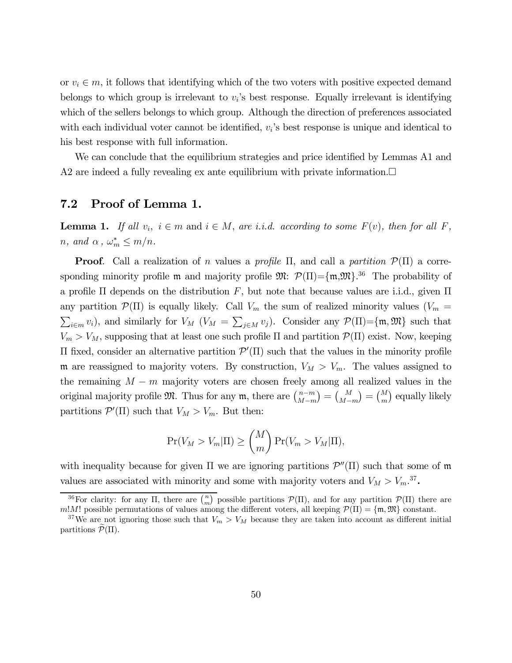or  $v_i \in m$ , it follows that identifying which of the two voters with positive expected demand belongs to which group is irrelevant to  $v_i$ 's best response. Equally irrelevant is identifying which of the sellers belongs to which group. Although the direction of preferences associated with each individual voter cannot be identified,  $v_i$ 's best response is unique and identical to his best response with full information.

We can conclude that the equilibrium strategies and price identified by Lemmas A1 and A2 are indeed a fully revealing ex ante equilibrium with private information. $\Box$ 

# 7.2 Proof of Lemma 1.

**Lemma 1.** If all  $v_i$ ,  $i \in m$  and  $i \in M$ , are i.i.d. according to some  $F(v)$ , then for all F, *n*, and  $\alpha$ ,  $\omega_m^* \leq m/n$ .

**Proof.** Call a realization of n values a profile  $\Pi$ , and call a partition  $\mathcal{P}(\Pi)$  a corresponding minority profile **m** and majority profile  $\mathfrak{M}$ :  $\mathcal{P}(\Pi) = \{\mathfrak{m}, \mathfrak{M}\}\.$ <sup>36</sup> The probability of a profile  $\Pi$  depends on the distribution F, but note that because values are i.i.d., given  $\Pi$ any partition  $\mathcal{P}(\Pi)$  is equally likely. Call  $V_m$  the sum of realized minority values  $(V_m =$  $(i \in m, v_i)$ , and similarly for  $V_M$   $(V_M = \sum_{j \in M} v_j)$ . Consider any  $\mathcal{P}(\Pi) = \{\mathfrak{m}, \mathfrak{M}\}\)$  such that  $V_m > V_M$ , supposing that at least one such profile Π and partition  $\mathcal{P}(\Pi)$  exist. Now, keeping  $\Pi$  fixed, consider an alternative partition  $\mathcal{P}'(\Pi)$  such that the values in the minority profile m are reassigned to majority voters. By construction,  $V_M > V_m$ . The values assigned to the remaining  $M - m$  majority voters are chosen freely among all realized values in the original majority profile  $\mathfrak{M}$ . Thus for any  $\mathfrak{m}$ , there are  $\binom{n-m}{M-m}$  $=\binom{M}{M-m}$  $= \binom{M}{m}$  equally likely partitions  $\mathcal{P}'(\Pi)$  such that  $V_M > V_m$ . But then:

$$
\Pr(V_M > V_m|\Pi) \ge \binom{M}{m} \Pr(V_m > V_M|\Pi),
$$

with inequality because for given  $\Pi$  we are ignoring partitions  $\mathcal{P}''(\Pi)$  such that some of m values are associated with minority and some with majority voters and  $V_M > V_m^{37}$ .

<sup>&</sup>lt;sup>36</sup>For clarity: for any Π, there are  $\binom{n}{m}$  possible partitions  $\mathcal{P}(\Pi)$ , and for any partition  $\mathcal{P}(\Pi)$  there are m!M! possible permutations of values among the different voters, all keeping  $\mathcal{P}(\Pi) = \{\mathfrak{m}, \mathfrak{M}\}\)$  constant.

<sup>&</sup>lt;sup>37</sup>We are not ignoring those such that  $V_m > V_M$  because they are taken into account as different initial partitions  $\mathcal{P}(\Pi)$ .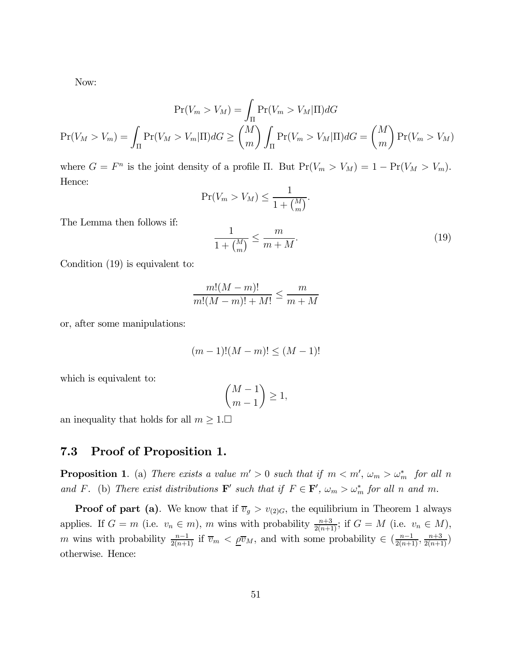Now:

$$
Pr(V_m > V_m) = \int_{\Pi} Pr(V_m > V_m | \Pi) dG
$$

$$
Pr(V_M > V_m) = \int_{\Pi} Pr(V_M > V_m | \Pi) dG \ge \binom{M}{m} \int_{\Pi} Pr(V_m > V_M | \Pi) dG = \binom{M}{m} Pr(V_m > V_M)
$$

where  $G = F^n$  is the joint density of a profile Π. But  $Pr(V_m > V_M) = 1 - Pr(V_M > V_m)$ . Hence:

$$
\Pr(V_m > V_M) \le \frac{1}{1 + {M \choose m}}.
$$

The Lemma then follows if:

$$
\frac{1}{1 + {M \choose m}} \le \frac{m}{m + M}.\tag{19}
$$

Condition (19) is equivalent to:

$$
\frac{m!(M-m)!}{m!(M-m)!+M!} \le \frac{m}{m+M}
$$

or, after some manipulations:

$$
(m-1)!(M-m)! \le (M-1)!
$$

which is equivalent to:

$$
\binom{M-1}{m-1}\geq 1,
$$

an inequality that holds for all  $m \geq 1$ .

## 7.3 Proof of Proposition 1.

**Proposition 1**. (a) There exists a value  $m' > 0$  such that if  $m < m'$ ,  $\omega_m > \omega_m^*$  for all n and F. (b) There exist distributions  $\mathbf{F}'$  such that if  $F \in \mathbf{F}'$ ,  $\omega_m > \omega_m^*$  for all n and m.

**Proof of part (a)**. We know that if  $\overline{v}_g > v_{(2)G}$ , the equilibrium in Theorem 1 always applies. If  $G = m$  (i.e.  $v_n \in m$ ), m wins with probability  $\frac{n+3}{2(n+1)}$ ; if  $G = M$  (i.e.  $v_n \in M$ ), m wins with probability  $\frac{n-1}{2(n+1)}$  if  $\overline{v}_m < \underline{\rho} \overline{v}_M$ , and with some probability  $\in (\frac{n-1}{2(n+1)}, \frac{n+3}{2(n+1)})$ otherwise. Hence: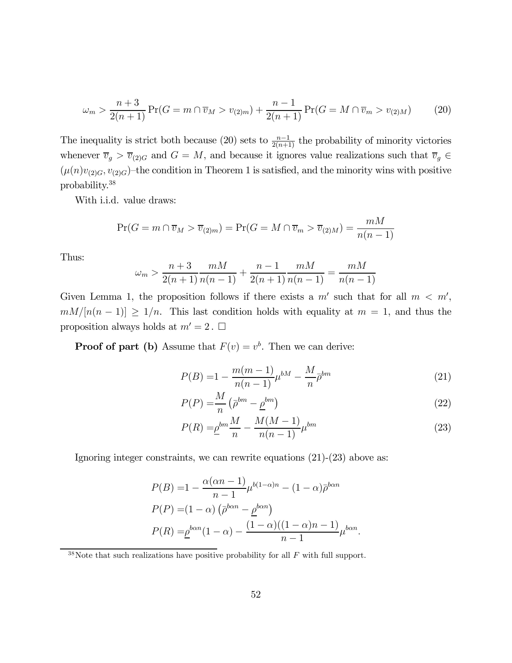$$
\omega_m > \frac{n+3}{2(n+1)} \Pr(G = m \cap \overline{v}_M > v_{(2)m}) + \frac{n-1}{2(n+1)} \Pr(G = M \cap \overline{v}_m > v_{(2)M}) \tag{20}
$$

The inequality is strict both because (20) sets to  $\frac{n-1}{2(n+1)}$  the probability of minority victories whenever  $\overline{v}_g > \overline{v}_{(2)G}$  and  $G = M$ , and because it ignores value realizations such that  $\overline{v}_g \in$  $(\mu(n)v_{(2)G}, v_{(2)G})$  – the condition in Theorem 1 is satisfied, and the minority wins with positive probability.38

With i.i.d. value draws:

$$
\Pr(G = m \cap \overline{v}_M > \overline{v}_{(2)m}) = \Pr(G = M \cap \overline{v}_m > \overline{v}_{(2)M}) = \frac{mM}{n(n-1)}
$$

Thus:

$$
\omega_m > \frac{n+3}{2(n+1)} \frac{mM}{n(n-1)} + \frac{n-1}{2(n+1)} \frac{mM}{n(n-1)} = \frac{mM}{n(n-1)}
$$

Given Lemma 1, the proposition follows if there exists a  $m'$  such that for all  $m < m'$ ,  $mM/[n(n-1)] \geq 1/n$ . This last condition holds with equality at  $m = 1$ , and thus the proposition always holds at  $m' = 2$ .  $\Box$ 

**Proof of part (b)** Assume that  $F(v) = v^b$ . Then we can derive:

$$
P(B) = 1 - \frac{m(m-1)}{n(n-1)} \mu^{bM} - \frac{M}{n} \bar{\rho}^{bm}
$$
\n(21)

$$
P(P) = \frac{M}{n} \left( \bar{\rho}^{bm} - \underline{\rho}^{bm} \right) \tag{22}
$$

$$
P(R) = \underline{\rho}^{bm} \frac{M}{n} - \frac{M(M-1)}{n(n-1)} \mu^{bm}
$$
\n(23)

Ignoring integer constraints, we can rewrite equations  $(21)-(23)$  above as:

$$
P(B) = 1 - \frac{\alpha(\alpha n - 1)}{n - 1} \mu^{b(1 - \alpha)n} - (1 - \alpha)\overline{\rho}^{b\alpha n}
$$

$$
P(P) = (1 - \alpha) \left(\overline{\rho}^{b\alpha n} - \underline{\rho}^{b\alpha n}\right)
$$

$$
P(R) = \underline{\rho}^{b\alpha n} (1 - \alpha) - \frac{(1 - \alpha)((1 - \alpha)n - 1)}{n - 1} \mu^{b\alpha n}.
$$

 $38$ Note that such realizations have positive probability for all F with full support.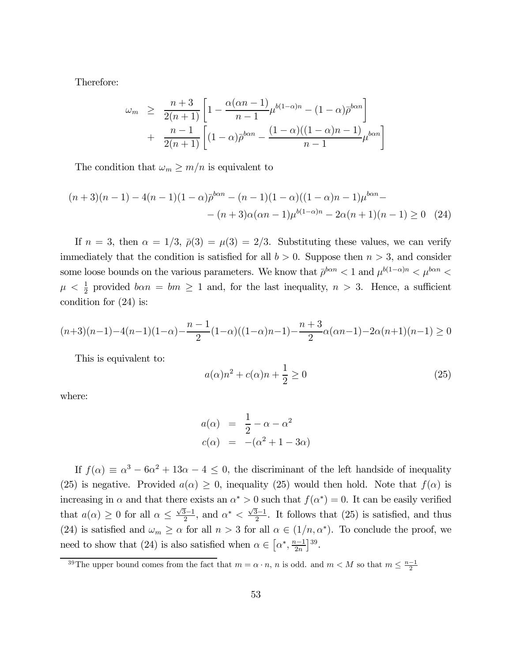Therefore:

$$
\omega_m \geq \frac{n+3}{2(n+1)} \left[ 1 - \frac{\alpha(\alpha n - 1)}{n-1} \mu^{b(1-\alpha)n} - (1-\alpha) \bar{\rho}^{b\alpha n} \right] + \frac{n-1}{2(n+1)} \left[ (1-\alpha) \bar{\rho}^{b\alpha n} - \frac{(1-\alpha)((1-\alpha)n - 1)}{n-1} \mu^{b\alpha n} \right]
$$

The condition that  $\omega_m \geq m/n$  is equivalent to

$$
(n+3)(n-1) - 4(n-1)(1-\alpha)\bar{p}^{b\alpha n} - (n-1)(1-\alpha)((1-\alpha)n - 1)\mu^{b\alpha n} - (n+3)\alpha(\alpha n - 1)\mu^{b(1-\alpha)n} - 2\alpha(n+1)(n-1) \ge 0
$$
 (24)

If  $n = 3$ , then  $\alpha = 1/3$ ,  $\bar{\rho}(3) = \mu(3) = 2/3$ . Substituting these values, we can verify immediately that the condition is satisfied for all  $b > 0$ . Suppose then  $n > 3$ , and consider some loose bounds on the various parameters. We know that  $\bar{\rho}^{ban} < 1$  and  $\mu^{b(1-\alpha)n} < \mu^{ban} <$  $\mu < \frac{1}{2}$  provided  $ban = bm \ge 1$  and, for the last inequality,  $n > 3$ . Hence, a sufficient condition for (24) is:

$$
(n+3)(n-1)-4(n-1)(1-\alpha)-\frac{n-1}{2}(1-\alpha)((1-\alpha)n-1)-\frac{n+3}{2}\alpha(\alpha n-1)-2\alpha(n+1)(n-1)\geq 0
$$

This is equivalent to:

$$
a(\alpha)n^2 + c(\alpha)n + \frac{1}{2} \ge 0
$$
\n(25)

where:

$$
a(\alpha) = \frac{1}{2} - \alpha - \alpha^2
$$
  

$$
c(\alpha) = -(\alpha^2 + 1 - 3\alpha)
$$

If  $f(\alpha) \equiv \alpha^3 - 6\alpha^2 + 13\alpha - 4 \leq 0$ , the discriminant of the left handside of inequality (25) is negative. Provided  $a(\alpha) \geq 0$ , inequality (25) would then hold. Note that  $f(\alpha)$  is increasing in  $\alpha$  and that there exists an  $\alpha^* > 0$  such that  $f(\alpha^*) = 0$ . It can be easily verified that  $a(\alpha) \geq 0$  for all  $\alpha \leq \frac{\sqrt{3}-1}{2}$ , and  $\alpha^* < \frac{\sqrt{3}-1}{2}$ . It follows that (25) is satisfied, and thus (24) is satisfied and  $\omega_m \ge \alpha$  for all  $n > 3$  for all  $\alpha \in (1/n, \alpha^*)$ . To conclude the proof, we need to show that (24) is also satisfied when  $\alpha \in \left[\alpha^*, \frac{n-1}{2n}\right]^{39}$ .

<sup>&</sup>lt;sup>39</sup>The upper bound comes from the fact that  $m = \alpha \cdot n$ , n is odd. and  $m < M$  so that  $m \leq \frac{n-1}{2}$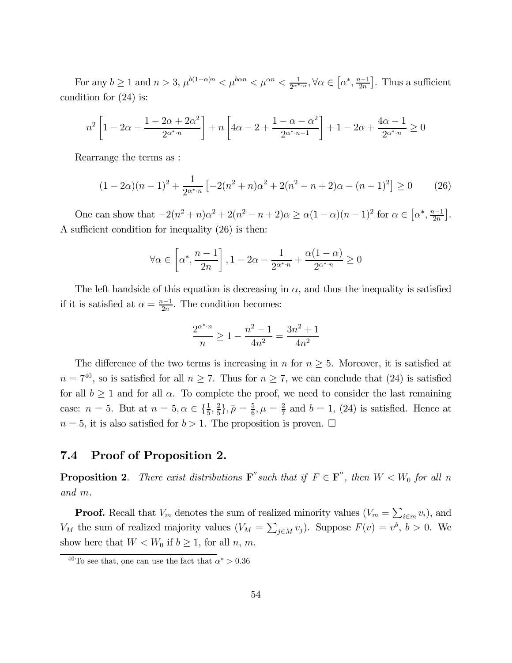For any  $b \ge 1$  and  $n > 3$ ,  $\mu^{b(1-\alpha)n} < \mu^{b\alpha n} < \mu^{c\alpha n} < \frac{1}{2^{a^*n}}$ ,  $\forall \alpha \in (\alpha^*, \frac{n-1}{2n}]$ . Thus a sufficient condition for (24) is:

$$
n^{2} \left[ 1 - 2\alpha - \frac{1 - 2\alpha + 2\alpha^{2}}{2^{\alpha^{*} \cdot n}} \right] + n \left[ 4\alpha - 2 + \frac{1 - \alpha - \alpha^{2}}{2^{\alpha^{*} \cdot n - 1}} \right] + 1 - 2\alpha + \frac{4\alpha - 1}{2^{\alpha^{*} \cdot n}} \ge 0
$$

Rearrange the terms as :

$$
(1 - 2\alpha)(n - 1)^2 + \frac{1}{2^{\alpha^* \cdot n}} \left[ -2(n^2 + n)\alpha^2 + 2(n^2 - n + 2)\alpha - (n - 1)^2 \right] \ge 0 \tag{26}
$$

One can show that  $-2(n^2 + n)\alpha^2 + 2(n^2 - n + 2)\alpha \ge \alpha(1 - \alpha)(n - 1)^2$  for  $\alpha \in [\alpha^*, \frac{n-1}{2n}]$ . A sufficient condition for inequality (26) is then:

$$
\forall \alpha \in \left[\alpha^*, \frac{n-1}{2n}\right], 1-2\alpha-\frac{1}{2^{\alpha^* \cdot n}}+\frac{\alpha(1-\alpha)}{2^{\alpha^* \cdot n}} \geq 0
$$

The left handside of this equation is decreasing in  $\alpha$ , and thus the inequality is satisfied if it is satisfied at  $\alpha = \frac{n-1}{2n}$ . The condition becomes:

$$
\frac{2^{\alpha^* \cdot n}}{n} \ge 1 - \frac{n^2 - 1}{4n^2} = \frac{3n^2 + 1}{4n^2}
$$

The difference of the two terms is increasing in n for  $n \geq 5$ . Moreover, it is satisfied at  $n = 7^{40}$ , so is satisfied for all  $n \ge 7$ . Thus for  $n \ge 7$ , we can conclude that (24) is satisfied for all  $b \ge 1$  and for all  $\alpha$ . To complete the proof, we need to consider the last remaining case:  $n = 5$ . But at  $n = 5, \alpha \in {\frac{1}{5}, \frac{2}{5}}, \overline{\rho} = \frac{5}{6}, \mu = \frac{2}{7}$  and  $b = 1, (24)$  is satisfied. Hence at  $n = 5$ , it is also satisfied for  $b > 1$ . The proposition is proven.  $\Box$ 

### 7.4 Proof of Proposition 2.

**Proposition 2.** There exist distributions  $\mathbf{F}''$  such that if  $F \in \mathbf{F}''$ , then  $W < W_0$  for all n and m.

**Proof.** Recall that  $V_m$  denotes the sum of realized minority values  $(V_m = \sum_{i \in m} v_i)$ , and  $V_M$  the sum of realized majority values  $(V_M = \sum_{j \in M} v_j)$ . Suppose  $F(v) = v^b$ ,  $b > 0$ . We show here that  $W < W_0$  if  $b \geq 1$ , for all n, m.

<sup>&</sup>lt;sup>40</sup>To see that, one can use the fact that  $\alpha^* > 0.36$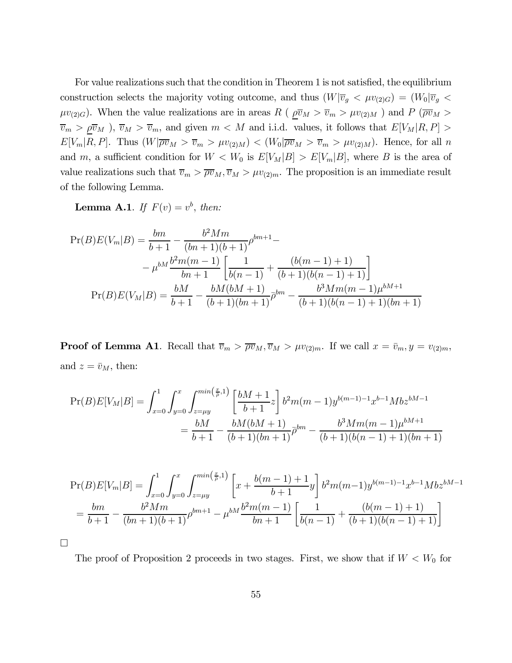For value realizations such that the condition in Theorem 1 is not satisfied, the equilibrium construction selects the majority voting outcome, and thus  $(W|\overline{v}_g \langle \mu v_{(2)G}) = (W_0|\overline{v}_g \langle \mu v_{(2)G})$  $\mu v_{(2)G}$ ). When the value realizations are in areas R ( $\rho \overline{v}_M > \overline{v}_m > \mu v_{(2)M}$ ) and P ( $\rho \overline{v}_M >$  $\overline{v}_m > \rho \overline{v}_M$ ,  $\overline{v}_M > \overline{v}_m$ , and given  $m < M$  and i.i.d. values, it follows that  $E[V_M|R, P] >$  $E[V_m|R, P]$ . Thus  $(W|\overline{\rho v}_M > \overline{v}_m > \mu v_{(2)M}) < (W_0|\overline{\rho v}_M > \overline{v}_m > \mu v_{(2)M})$ . Hence, for all n and m, a sufficient condition for  $W < W_0$  is  $E[V_M|B] > E[V_m|B]$ , where B is the area of value realizations such that  $\overline{v}_m > \overline{\rho v}_M$ ,  $\overline{v}_M > \mu v_{(2)m}$ . The proposition is an immediate result of the following Lemma.

**Lemma A.1.** If  $F(v) = v^b$ , then:

$$
\Pr(B)E(V_m|B) = \frac{bm}{b+1} - \frac{b^2 M m}{(bn+1)(b+1)} \rho^{bm+1} -
$$
  

$$
-\mu^{bM} \frac{b^2 m(m-1)}{bn+1} \left[ \frac{1}{b(n-1)} + \frac{(b(m-1)+1)}{(b+1)(b(n-1)+1)} \right]
$$
  

$$
\Pr(B)E(V_M|B) = \frac{bM}{b+1} - \frac{bM(bM+1)}{(b+1)(bn+1)} \rho^{bm} - \frac{b^3 M m(m-1)\mu^{bM+1}}{(b+1)(b(n-1)+1)(bn+1)}
$$

**Proof of Lemma A1.** Recall that  $\overline{v}_m > \overline{\rho v}_M$ ,  $\overline{v}_M > \mu v_{(2)m}$ . If we call  $x = \overline{v}_m$ ,  $y = v_{(2)m}$ , and  $z = \bar{v}_M$ , then:

$$
\Pr(B)E[V_M|B] = \int_{x=0}^1 \int_{y=0}^x \int_{z=\mu y}^{\min(\frac{x}{\rho},1)} \left[ \frac{bM+1}{b+1} z \right] b^2 m(m-1) y^{b(m-1)-1} x^{b-1} M b z^{bM-1}
$$

$$
= \frac{bM}{b+1} - \frac{bM(bM+1)}{(b+1)(bn+1)} \overline{\rho}^{bm} - \frac{b^3 M m(m-1) \mu^{bM+1}}{(b+1)(b(n-1)+1)(bn+1)}
$$

$$
\Pr(B)E[V_m|B] = \int_{x=0}^1 \int_{y=0}^x \int_{z=\mu y}^{\min(\frac{x}{\rho},1)} \left[ x + \frac{b(m-1)+1}{b+1} y \right] b^2 m(m-1) y^{b(m-1)-1} x^{b-1} M b z^{bM-1}
$$

$$
= \frac{bm}{b+1} - \frac{b^2 M m}{(bn+1)(b+1)} \rho^{bm+1} - \mu^{bM} \frac{b^2 m(m-1)}{bn+1} \left[ \frac{1}{b(n-1)} + \frac{(b(m-1)+1)}{(b+1)(b(n-1)+1)} \right]
$$

¤

The proof of Proposition 2 proceeds in two stages. First, we show that if  $W < W_0$  for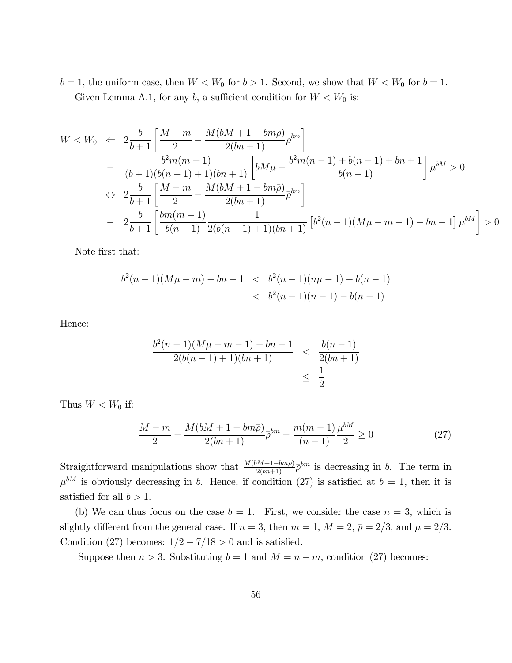$b = 1$ , the uniform case, then  $W < W_0$  for  $b > 1$ . Second, we show that  $W < W_0$  for  $b = 1$ . Given Lemma A.1, for any b, a sufficient condition for  $W < W_0$  is:

$$
W < W_0 \Leftarrow 2\frac{b}{b+1} \left[ \frac{M-m}{2} - \frac{M(bM+1-bm\bar{\rho})}{2(bn+1)} \bar{\rho}^{bm} \right] - \frac{b^2m(m-1)}{(b+1)(b(n-1)+1)(bn+1)} \left[ bM\mu - \frac{b^2m(n-1)+b(n-1)+bn+1}{b(n-1)} \right] \mu^{bm} > 0 \n\Leftrightarrow 2\frac{b}{b+1} \left[ \frac{M-m}{2} - \frac{M(bM+1-bm\bar{\rho})}{2(bn+1)} \bar{\rho}^{bm} \right] - 2\frac{b}{b+1} \left[ \frac{bm(m-1)}{b(n-1)} \frac{1}{2(b(n-1)+1)(bn+1)} \left[ b^2(n-1)(M\mu - m - 1) - bn - 1 \right] \mu^{bm} \right] > 0
$$

Note first that:

$$
b2(n-1)(M\mu - m) - bn - 1 < b2(n-1)(n\mu - 1) - b(n - 1)
$$
  
< 
$$
< b2(n-1)(n-1) - b(n - 1)
$$

Hence:

$$
\frac{b^2(n-1)(M\mu - m - 1) - bn - 1}{2(b(n-1) + 1)(bn + 1)} < \frac{b(n-1)}{2(bn+1)} \\
\leq \frac{1}{2}
$$

Thus  $W < W_0$  if:

$$
\frac{M-m}{2} - \frac{M(bM+1-bm\bar{\rho})}{2(bn+1)}\bar{\rho}^{bm} - \frac{m(m-1)}{(n-1)}\frac{\mu^{bM}}{2} \ge 0
$$
\n(27)

Straightforward manipulations show that  $\frac{M(bM+1-bm\bar{p})}{2(bn+1)}\bar{p}^{bm}$  is decreasing in b. The term in  $\mu^{bM}$  is obviously decreasing in b. Hence, if condition (27) is satisfied at  $b = 1$ , then it is satisfied for all  $b > 1$ .

(b) We can thus focus on the case  $b = 1$ . First, we consider the case  $n = 3$ , which is slightly different from the general case. If  $n = 3$ , then  $m = 1$ ,  $M = 2$ ,  $\bar{\rho} = 2/3$ , and  $\mu = 2/3$ . Condition (27) becomes:  $1/2 - 7/18 > 0$  and is satisfied.

Suppose then  $n > 3$ . Substituting  $b = 1$  and  $M = n - m$ , condition (27) becomes: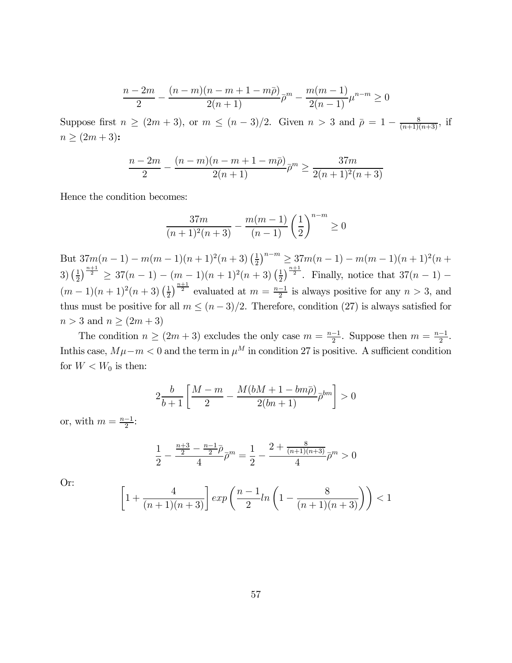$$
\frac{n-2m}{2} - \frac{(n-m)(n-m+1-m\bar{\rho})}{2(n+1)}\bar{\rho}^m - \frac{m(m-1)}{2(n-1)}\mu^{n-m} \ge 0
$$

Suppose first  $n \ge (2m+3)$ , or  $m \le (n-3)/2$ . Given  $n > 3$  and  $\bar{\rho} = 1 - \frac{8}{(n+1)(n+3)}$ , if  $n \ge (2m + 3)$ :

$$
\frac{n-2m}{2} - \frac{(n-m)(n-m+1-m\bar{\rho})}{2(n+1)}\bar{\rho}^m \ge \frac{37m}{2(n+1)^2(n+3)}
$$

Hence the condition becomes:

$$
\frac{37m}{(n+1)^2(n+3)} - \frac{m(m-1)}{(n-1)} \left(\frac{1}{2}\right)^{n-m} \ge 0
$$

But  $37m(n-1) - m(m-1)(n+1)^2(n+3) \left(\frac{1}{2}\right)^{n-m} \geq 37m(n-1) - m(m-1)(n+1)^2(n+1)$  $3\left(\frac{1}{2}\right)^{\frac{n+1}{2}} \geq 37(n-1) - (m-1)(n+1)^2(n+3)\left(\frac{1}{2}\right)^{\frac{n+1}{2}}$ . Finally, notice that  $37(n-1) (m-1)(n+1)^2(n+3)(\frac{1}{2})^{\frac{n+1}{2}}$  evaluated at  $m=\frac{n-1}{2}$  is always positive for any  $n>3$ , and thus must be positive for all  $m \le (n-3)/2$ . Therefore, condition (27) is always satisfied for  $n > 3$  and  $n \geq (2m+3)$ 

The condition  $n \ge (2m+3)$  excludes the only case  $m = \frac{n-1}{2}$ . Suppose then  $m = \frac{n-1}{2}$ . In this case,  $M\mu - m < 0$  and the term in  $\mu^M$  in condition 27 is positive. A sufficient condition for  $W < W_0$  is then:

$$
2\frac{b}{b+1}\left[\frac{M-m}{2} - \frac{M(bM+1-bm\bar{\rho})}{2(bn+1)}\bar{\rho}^{bm}\right] > 0
$$

or, with  $m = \frac{n-1}{2}$ :

$$
\frac{1}{2} - \frac{\frac{n+3}{2} - \frac{n-1}{2}\bar{\rho}}{4}\bar{\rho}^m = \frac{1}{2} - \frac{2 + \frac{8}{(n+1)(n+3)}}{4}\bar{\rho}^m > 0
$$

Or:

$$
\left[1 + \frac{4}{(n+1)(n+3)}\right] \exp\left(\frac{n-1}{2} \ln\left(1 - \frac{8}{(n+1)(n+3)}\right)\right) < 1
$$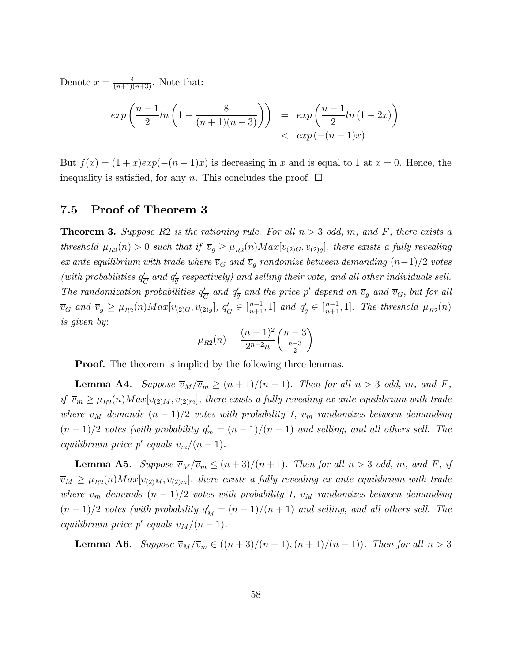Denote  $x = \frac{4}{(n+1)(n+3)}$ . Note that:

$$
\exp\left(\frac{n-1}{2}ln\left(1 - \frac{8}{(n+1)(n+3)}\right)\right) = \exp\left(\frac{n-1}{2}ln(1-2x)\right) \n< \exp(-(n-1)x)
$$

But  $f(x) = (1+x)exp(-(n-1)x)$  is decreasing in x and is equal to 1 at  $x = 0$ . Hence, the inequality is satisfied, for any n. This concludes the proof.  $\Box$ 

## 7.5 Proof of Theorem 3

**Theorem 3.** Suppose R2 is the rationing rule. For all  $n > 3$  odd, m, and F, there exists a threshold  $\mu_{R2}(n) > 0$  such that if  $\overline{v}_g \geq \mu_{R2}(n) Max[v_{(2)G}, v_{(2)g}]$ , there exists a fully revealing ex ante equilibrium with trade where  $\overline{v}_G$  and  $\overline{v}_g$  randomize between demanding  $(n-1)/2$  votes (with probabilities  $q'_{\overline{G}}$  and  $q'_{\overline{g}}$  respectively) and selling their vote, and all other individuals sell. The randomization probabilities  $q'_{\overline{G}}$  and  $q'_{\overline{g}}$  and the price p' depend on  $\overline{v}_g$  and  $\overline{v}_G$ , but for all  $\overline{v}_G$  and  $\overline{v}_g \ge \mu_{R2}(n) Max[v_{(2)G}, v_{(2)g}], q'_{\overline{G}} \in \left[\frac{n-1}{n+1}, 1\right]$  and  $q'_{\overline{g}} \in \left[\frac{n-1}{n+1}, 1\right]$ . The threshold  $\mu_{R2}(n)$ is given by:

$$
\mu_{R2}(n) = \frac{(n-1)^2}{2^{n-2}n} \binom{n-3}{\frac{n-3}{2}}
$$

**Proof.** The theorem is implied by the following three lemmas.

**Lemma A4.** Suppose  $\overline{v}_M/\overline{v}_m \ge (n+1)/(n-1)$ . Then for all  $n > 3$  odd, m, and F, if  $\overline{v}_m \geq \mu_{R2}(n) Max[v_{(2)M}, v_{(2)m}]$ , there exists a fully revealing ex ante equilibrium with trade where  $\overline{v}_M$  demands  $(n - 1)/2$  votes with probability 1,  $\overline{v}_m$  randomizes between demanding  $(n-1)/2$  votes (with probability  $q_{\overline{m}}' = (n-1)/(n+1)$  and selling, and all others sell. The equilibrium price p' equals  $\overline{v}_m/(n-1)$ .

**Lemma A5.** Suppose  $\overline{v}_M/\overline{v}_m \leq (n+3)/(n+1)$ . Then for all  $n > 3$  odd, m, and F, if  $\overline{v}_M \geq \mu_{R2}(n) Max[v_{(2)M}, v_{(2)m}]$ , there exists a fully revealing ex ante equilibrium with trade where  $\overline{v}_m$  demands  $(n-1)/2$  votes with probability 1,  $\overline{v}_M$  randomizes between demanding  $(n-1)/2$  votes (with probability  $q_{\overline{M}}^{\prime} = (n-1)/(n+1)$  and selling, and all others sell. The equilibrium price p' equals  $\overline{v}_M/(n-1)$ .

**Lemma A6.** Suppose  $\overline{v}_M/\overline{v}_m \in ((n+3)/(n+1),(n+1)/(n-1))$ . Then for all  $n > 3$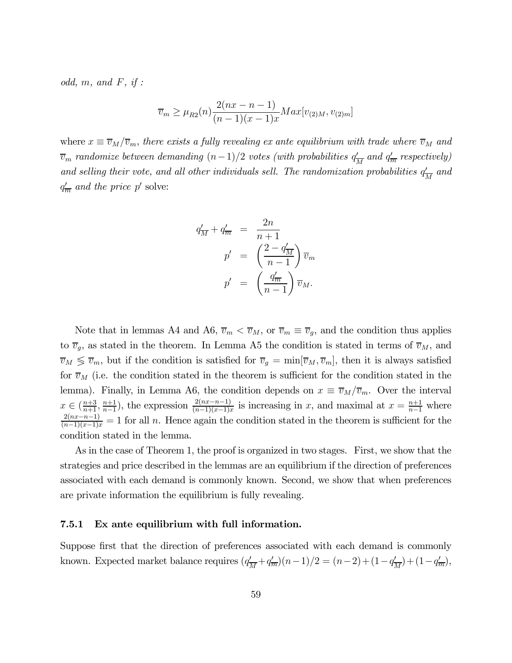odd,  $m$ , and  $F$ , if :

$$
\overline{v}_m \ge \mu_{R2}(n) \frac{2(nx - n - 1)}{(n - 1)(x - 1)x} Max[v_{(2)M}, v_{(2)m}]
$$

where  $x \equiv \overline{v}_M/\overline{v}_m$ , there exists a fully revealing ex ante equilibrium with trade where  $\overline{v}_M$  and  $\overline{v}_m$  randomize between demanding  $(n-1)/2$  votes (with probabilities  $q_{\overline{M}}'$  and  $q_{\overline{m}}'$  respectively) and selling their vote, and all other individuals sell. The randomization probabilities  $q'_{\overline{M}}$  and  $q'_{\overline{m}}$  and the price p' solve:

$$
q'_{\overline{M}} + q'_{\overline{m}} = \frac{2n}{n+1}
$$
  

$$
p' = \left(\frac{2-q'_{\overline{M}}}{n-1}\right) \overline{v}_m
$$
  

$$
p' = \left(\frac{q'_{\overline{m}}}{n-1}\right) \overline{v}_M.
$$

Note that in lemmas A4 and A6,  $\overline{v}_m < \overline{v}_M$ , or  $\overline{v}_m \equiv \overline{v}_g$ , and the condition thus applies to  $\overline{v}_g$ , as stated in the theorem. In Lemma A5 the condition is stated in terms of  $\overline{v}_M$ , and  $\overline{v}_M \lessgtr \overline{v}_m$ , but if the condition is satisfied for  $\overline{v}_g = \min[\overline{v}_M, \overline{v}_m]$ , then it is always satisfied for  $\overline{v}_M$  (i.e. the condition stated in the theorem is sufficient for the condition stated in the lemma). Finally, in Lemma A6, the condition depends on  $x \equiv \overline{v}_M/\overline{v}_m$ . Over the interval  $x \in (\frac{n+3}{n+1}, \frac{n+1}{n-1})$ , the expression  $\frac{2(nx-n-1)}{(n-1)(x-1)x}$  is increasing in x, and maximal at  $x = \frac{n+1}{n-1}$  where  $\frac{2(nx-n-1)}{(n-1)(x-1)x} = 1$  for all n. Hence again the condition stated in the theorem is sufficient for the condition stated in the lemma.

As in the case of Theorem 1, the proof is organized in two stages. First, we show that the strategies and price described in the lemmas are an equilibrium if the direction of preferences associated with each demand is commonly known. Second, we show that when preferences are private information the equilibrium is fully revealing.

### 7.5.1 Ex ante equilibrium with full information.

Suppose first that the direction of preferences associated with each demand is commonly known. Expected market balance requires  $(q'_{\overline{M}}+q'_{\overline{m}})(n-1)/2 = (n-2)+(1-q'_{\overline{M}})+(1-q'_{\overline{m}})$ ,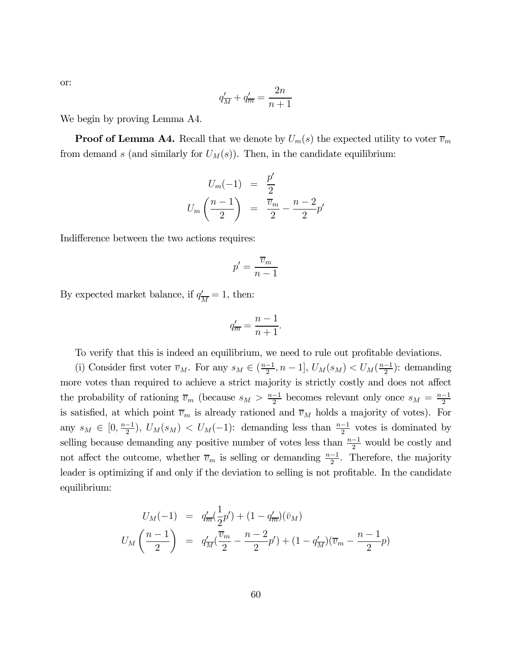$$
q'_{\overline{M}} + q'_{\overline{m}} = \frac{2n}{n+1}
$$

We begin by proving Lemma A4.

or:

**Proof of Lemma A4.** Recall that we denote by  $U_m(s)$  the expected utility to voter  $\overline{v}_m$ from demand s (and similarly for  $U_M(s)$ ). Then, in the candidate equilibrium:

$$
U_m(-1) = \frac{p'}{2}
$$
  

$$
U_m\left(\frac{n-1}{2}\right) = \frac{\overline{v}_m}{2} - \frac{n-2}{2}p'
$$

Indifference between the two actions requires:

$$
p' = \frac{\overline{v}_m}{n-1}
$$

By expected market balance, if  $q'_{\overline{M}} = 1$ , then:

$$
q'_{\overline{m}} = \frac{n-1}{n+1}.
$$

To verify that this is indeed an equilibrium, we need to rule out profitable deviations.

(i) Consider first voter  $\overline{v}_M$ . For any  $s_M \in (\frac{n-1}{2}, n-1]$ ,  $U_M(s_M) < U_M(\frac{n-1}{2})$ : demanding more votes than required to achieve a strict majority is strictly costly and does not affect the probability of rationing  $\overline{v}_m$  (because  $s_M > \frac{n-1}{2}$  becomes relevant only once  $s_M = \frac{n-1}{2}$ is satisfied, at which point  $\overline{v}_m$  is already rationed and  $\overline{v}_M$  holds a majority of votes). For any  $s_M \in [0, \frac{n-1}{2})$ ,  $U_M(s_M) < U_M(-1)$ : demanding less than  $\frac{n-1}{2}$  votes is dominated by selling because demanding any positive number of votes less than  $\frac{n-1}{2}$  would be costly and not affect the outcome, whether  $\overline{v}_m$  is selling or demanding  $\frac{n-1}{2}$ . Therefore, the majority leader is optimizing if and only if the deviation to selling is not profitable. In the candidate equilibrium:

$$
U_M(-1) = q'_m(\frac{1}{2}p') + (1 - q'_m)(\bar{v}_M)
$$
  

$$
U_M\left(\frac{n-1}{2}\right) = q'_M(\frac{\bar{v}_m}{2} - \frac{n-2}{2}p') + (1 - q'_M)(\bar{v}_m - \frac{n-1}{2}p)
$$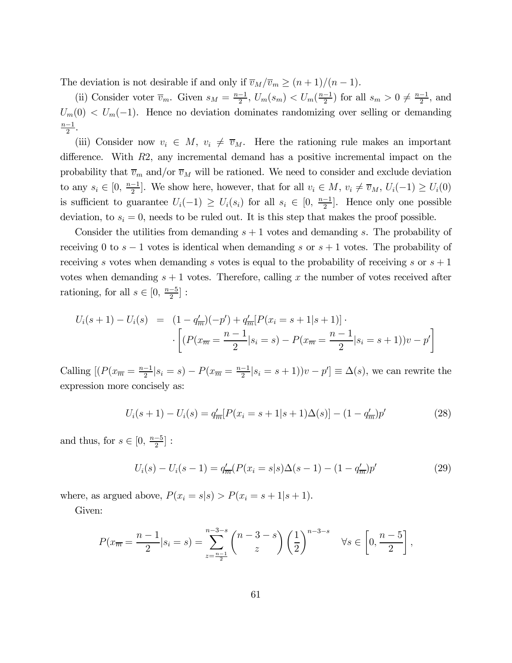The deviation is not desirable if and only if  $\overline{v}_M/\overline{v}_m \ge (n+1)/(n-1)$ .

(ii) Consider voter  $\overline{v}_m$ . Given  $s_M = \frac{n-1}{2}$ ,  $U_m(s_m) < U_m(\frac{n-1}{2})$  for all  $s_m > 0 \neq \frac{n-1}{2}$ , and  $U_m(0) < U_m(-1)$ . Hence no deviation dominates randomizing over selling or demanding  $\frac{n-1}{2}$ .

(iii) Consider now  $v_i \in M$ ,  $v_i \neq \overline{v}_M$ . Here the rationing rule makes an important difference. With R2, any incremental demand has a positive incremental impact on the probability that  $\overline{v}_m$  and/or  $\overline{v}_M$  will be rationed. We need to consider and exclude deviation to any  $s_i \in [0, \frac{n-1}{2}]$ . We show here, however, that for all  $v_i \in M$ ,  $v_i \neq \overline{v}_M$ ,  $U_i(-1) \geq U_i(0)$ is sufficient to guarantee  $U_i(-1) \geq U_i(s_i)$  for all  $s_i \in [0, \frac{n-1}{2}]$ . Hence only one possible deviation, to  $s_i = 0$ , needs to be ruled out. It is this step that makes the proof possible.

Consider the utilities from demanding  $s + 1$  votes and demanding s. The probability of receiving 0 to  $s - 1$  votes is identical when demanding s or  $s + 1$  votes. The probability of receiving s votes when demanding s votes is equal to the probability of receiving s or  $s + 1$ votes when demanding  $s + 1$  votes. Therefore, calling x the number of votes received after rationing, for all  $s \in [0, \frac{n-5}{2}]$ :

$$
U_i(s+1) - U_i(s) = (1 - q'_{\overline{m}})(-p') + q'_{\overline{m}}[P(x_i = s+1|s+1)] \cdot
$$

$$
\cdot \left[ (P(x_{\overline{m}} = \frac{n-1}{2}|s_i = s) - P(x_{\overline{m}} = \frac{n-1}{2}|s_i = s+1))v - p' \right]
$$

Calling  $[(P(x_{\overline{m}} = \frac{n-1}{2}|s_i = s) - P(x_{\overline{m}} = \frac{n-1}{2}|s_i = s+1))v - p'] \equiv \Delta(s)$ , we can rewrite the expression more concisely as:

$$
U_i(s+1) - U_i(s) = q'_{\overline{m}}[P(x_i = s+1|s+1)\Delta(s)] - (1 - q'_{\overline{m}})p'
$$
\n(28)

and thus, for  $s \in [0, \frac{n-5}{2}]$ :

$$
U_i(s) - U_i(s-1) = q'_{\overline{m}}(P(x_i = s | s) \Delta(s-1) - (1 - q'_{\overline{m}})p'
$$
\n(29)

where, as argued above,  $P(x_i = s | s) > P(x_i = s + 1 | s + 1)$ .

Given:

$$
P(x_{\overline{m}} = \frac{n-1}{2} | s_i = s) = \sum_{z = \frac{n-1}{2}}^{n-3-s} {n-3-s \choose z} \left(\frac{1}{2}\right)^{n-3-s} \quad \forall s \in \left[0, \frac{n-5}{2}\right],
$$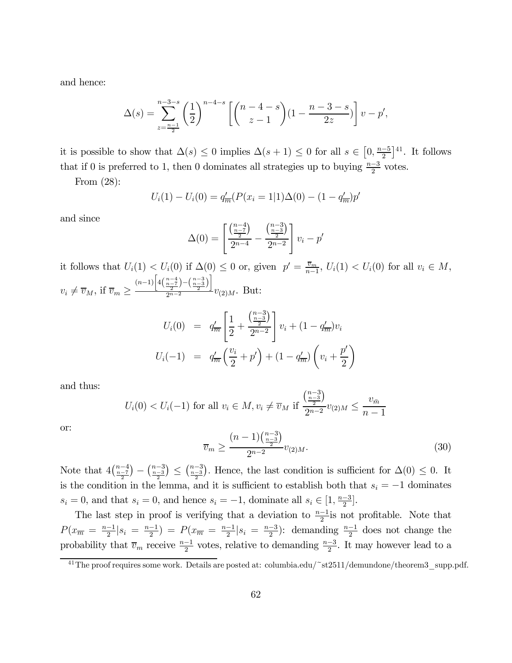and hence:

$$
\Delta(s) = \sum_{z = \frac{n-1}{2}}^{n-3-s} \left(\frac{1}{2}\right)^{n-4-s} \left[ \binom{n-4-s}{z-1} (1 - \frac{n-3-s}{2z}) \right] v - p',
$$

it is possible to show that  $\Delta(s) \leq 0$  implies  $\Delta(s+1) \leq 0$  for all  $s \in [0, \frac{n-5}{2}]^{41}$ . It follows that if 0 is preferred to 1, then 0 dominates all strategies up to buying  $\frac{n-3}{2}$  votes.

From (28):

$$
U_i(1) - U_i(0) = q'_{\overline{m}}(P(x_i = 1|1)\Delta(0) - (1 - q'_{\overline{m}})p'
$$

and since

$$
\Delta(0) = \left[ \frac{\binom{n-4}{2}}{2^{n-4}} - \frac{\binom{n-3}{2}}{2^{n-2}} \right] v_i - p'
$$

it follows that  $U_i(1) < U_i(0)$  if  $\Delta(0) \leq 0$  or, given  $p' = \frac{\overline{v}_m}{n-1}$ ,  $U_i(1) < U_i(0)$  for all  $v_i \in M$ ,  $v_i \neq \overline{v}_M$ , if  $\overline{v}_m \geq$  $(n-1)\left[4\Big(\frac{n-4}{2}\Big)-\Big(\frac{n-3}{2}\Big)\right]$  $\frac{2}{2^{n-2}}$   $\sqrt{2}$   $\frac{1}{2}$   $v_{(2)M}$ . But:

$$
U_i(0) = q'_m \left[ \frac{1}{2} + \frac{\binom{n-3}{2}}{2^{n-2}} \right] v_i + (1 - q'_m) v_i
$$
  

$$
U_i(-1) = q'_m \left( \frac{v_i}{2} + p' \right) + (1 - q'_m) \left( v_i + \frac{p'}{2} \right)
$$

and thus:

$$
U_i(0) < U_i(-1)
$$
 for all  $v_i \in M$ ,  $v_i \neq \overline{v}_M$  if  $\frac{\binom{n-3}{\frac{n-3}{2}}}{2^{n-2}}v_{(2)M} \leq \frac{v_{\bar{m}}}{n-1}$ 

or:

$$
\overline{v}_m \ge \frac{(n-1)\binom{n-3}{\frac{n-3}{2}}}{2^{n-2}} v_{(2)M}.
$$
\n(30)

Note that  $4\left(\frac{n-4}{\frac{n-7}{2}}\right)$  $(-\frac{n-3}{2}) \leq (\frac{n-3}{2})$ ). Hence, the last condition is sufficient for  $\Delta(0) \leq 0$ . It is the condition in the lemma, and it is sufficient to establish both that  $s_i = -1$  dominates  $s_i = 0$ , and that  $s_i = 0$ , and hence  $s_i = -1$ , dominate all  $s_i \in [1, \frac{n-3}{2}]$ .

The last step in proof is verifying that a deviation to  $\frac{n-1}{2}$  is not profitable. Note that  $P(x_{\overline{m}} = \frac{n-1}{2}|s_i = \frac{n-1}{2}) = P(x_{\overline{m}} = \frac{n-1}{2}|s_i = \frac{n-3}{2})$ : demanding  $\frac{n-1}{2}$  does not change the probability that  $\overline{v}_m$  receive  $\frac{n-1}{2}$  votes, relative to demanding  $\frac{n-3}{2}$ . It may however lead to a

<sup>41</sup>The proof requires some work. Details are posted at: columbia.edu/~st2511/demundone/theorem3\_supp.pdf.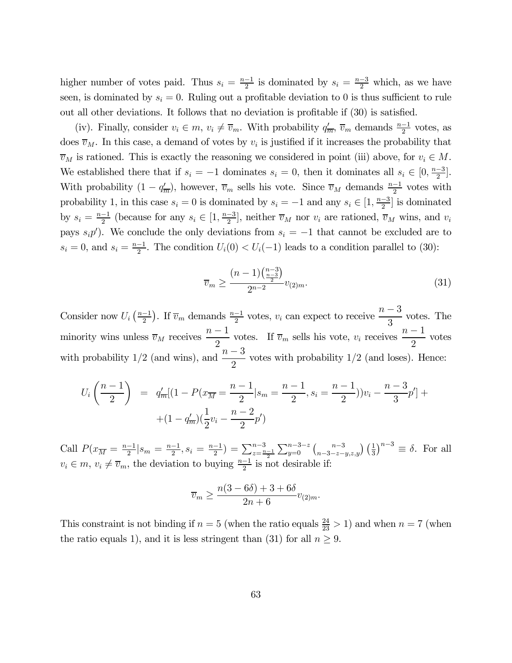higher number of votes paid. Thus  $s_i = \frac{n-1}{2}$  is dominated by  $s_i = \frac{n-3}{2}$  which, as we have seen, is dominated by  $s_i = 0$ . Ruling out a profitable deviation to 0 is thus sufficient to rule out all other deviations. It follows that no deviation is profitable if (30) is satisfied.

(iv). Finally, consider  $v_i \in m$ ,  $v_i \neq \overline{v}_m$ . With probability  $q'_m$ ,  $\overline{v}_m$  demands  $\frac{n-1}{2}$  votes, as does  $\overline{v}_M$ . In this case, a demand of votes by  $v_i$  is justified if it increases the probability that  $\overline{v}_M$  is rationed. This is exactly the reasoning we considered in point (iii) above, for  $v_i \in M$ . We established there that if  $s_i = -1$  dominates  $s_i = 0$ , then it dominates all  $s_i \in [0, \frac{n-3}{2}]$ . With probability  $(1 - q_m^2)$ , however,  $\overline{v}_m$  sells his vote. Since  $\overline{v}_M$  demands  $\frac{n-1}{2}$  votes with probability 1, in this case  $s_i = 0$  is dominated by  $s_i = -1$  and any  $s_i \in \left[1, \frac{n-3}{2}\right]$  is dominated by  $s_i = \frac{n-1}{2}$  (because for any  $s_i \in [1, \frac{n-3}{2}]$ , neither  $\overline{v}_M$  nor  $v_i$  are rationed,  $\overline{v}_M$  wins, and  $v_i$ pays  $s_i p'$ ). We conclude the only deviations from  $s_i = -1$  that cannot be excluded are to  $s_i = 0$ , and  $s_i = \frac{n-1}{2}$ . The condition  $U_i(0) < U_i(-1)$  leads to a condition parallel to (30):

$$
\overline{v}_m \ge \frac{(n-1)\binom{n-3}{\frac{n-3}{2}}}{2^{n-2}} v_{(2)m}.\tag{31}
$$

Consider now  $U_i\left(\frac{n-1}{2}\right)$ . If  $\overline{v}_m$  demands  $\frac{n-1}{2}$  votes,  $v_i$  can expect to receive  $\frac{n-3}{3}$ votes. The minority wins unless  $\overline{v}_M$  receives  $\frac{n-1}{2}$  votes. If  $\overline{v}_m$  sells his vote,  $v_i$  receives  $\frac{n-1}{2}$ votes with probability 1/2 (and wins), and  $\frac{n-3}{2}$  $\frac{3}{2}$  votes with probability 1/2 (and loses). Hence:

$$
U_i\left(\frac{n-1}{2}\right) = q'_{\overline{m}}[(1 - P(x_{\overline{M}} = \frac{n-1}{2}|s_m = \frac{n-1}{2}, s_i = \frac{n-1}{2}))v_i - \frac{n-3}{3}p'] +
$$
  
 
$$
+ (1 - q'_{\overline{m}})(\frac{1}{2}v_i - \frac{n-2}{2}p')
$$

Call  $P(x_{\overline{M}} = \frac{n-1}{2} | s_m = \frac{n-1}{2}, s_i = \frac{n-1}{2}) = \sum_{z=\frac{n-1}{2}}^{n-3}$  $\sum_{y=0}^{n-3-z} \binom{n-3}{n-3-z-y,z,y} \left(\frac{1}{3}\right)^{n-3} \equiv \delta$ . For all  $v_i \in m$ ,  $v_i \neq \overline{v}_m$ , the deviation to buying  $\frac{n-1}{2}$  is not desirable if:

$$
\overline{v}_m \ge \frac{n(3-6\delta) + 3 + 6\delta}{2n + 6}v_{(2)m}.
$$

This constraint is not binding if  $n = 5$  (when the ratio equals  $\frac{24}{23} > 1$ ) and when  $n = 7$  (when the ratio equals 1), and it is less stringent than (31) for all  $n \geq 9$ .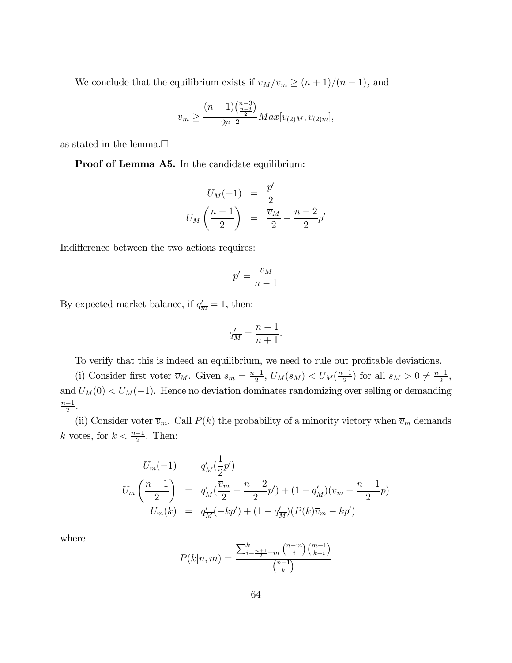We conclude that the equilibrium exists if  $\overline{v}_M/\overline{v}_m \ge (n+1)/(n-1)$ , and

$$
\overline{v}_m \geq \frac{(n-1)\binom{n-3}{\frac{n-3}{2}}}{2^{n-2}} Max[v_{(2)M},v_{(2)m}],
$$

as stated in the lemma.  $\Box$ 

Proof of Lemma A5. In the candidate equilibrium:

$$
U_M(-1) = \frac{p'}{2}
$$
  

$$
U_M\left(\frac{n-1}{2}\right) = \frac{\overline{v}_M}{2} - \frac{n-2}{2}p'
$$

Indifference between the two actions requires:

$$
p'=\frac{\overline{v}_M}{n-1}
$$

By expected market balance, if  $q'_{\overline{m}} = 1$ , then:

$$
q'_{\overline{M}} = \frac{n-1}{n+1}.
$$

To verify that this is indeed an equilibrium, we need to rule out profitable deviations.

(i) Consider first voter  $\overline{v}_M$ . Given  $s_m = \frac{n-1}{2}$ ,  $U_M(s_M) < U_M(\frac{n-1}{2})$  for all  $s_M > 0 \neq \frac{n-1}{2}$ , and  $U_M(0) < U_M(-1)$ . Hence no deviation dominates randomizing over selling or demanding  $\frac{n-1}{2}$ .

(ii) Consider voter  $\overline{v}_m$ . Call  $P(k)$  the probability of a minority victory when  $\overline{v}_m$  demands k votes, for  $k < \frac{n-1}{2}$ . Then:

$$
U_m(-1) = q'_{\overline{M}}(\frac{1}{2}p')
$$
  
\n
$$
U_m\left(\frac{n-1}{2}\right) = q'_{\overline{M}}(\frac{\overline{v}_m}{2} - \frac{n-2}{2}p') + (1 - q'_{\overline{M}})(\overline{v}_m - \frac{n-1}{2}p)
$$
  
\n
$$
U_m(k) = q'_{\overline{M}}(-kp') + (1 - q'_{\overline{M}})(P(k)\overline{v}_m - kp')
$$

where

$$
P(k|n,m) = \frac{\sum_{i=\frac{n+1}{2}-m}^{k} \binom{n-m}{i} \binom{m-1}{k-i}}{\binom{n-1}{k}}
$$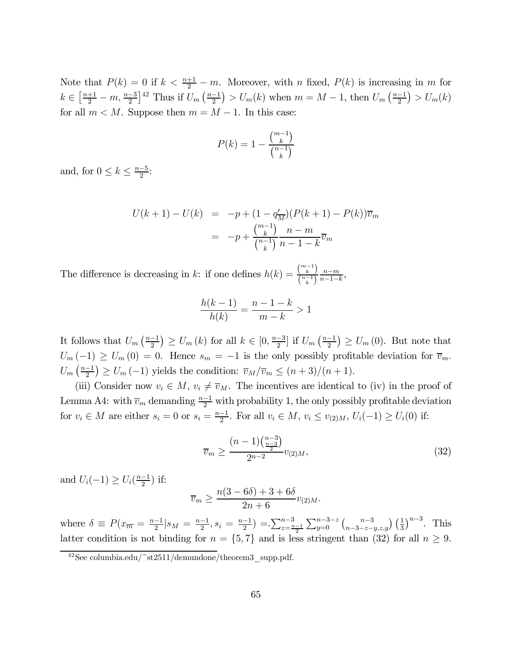Note that  $P(k) = 0$  if  $k < \frac{n+1}{2} - m$ . Moreover, with n fixed,  $P(k)$  is increasing in m for  $k \in \left[\frac{n+1}{2} - m, \frac{n-3}{2}\right]^{42}$  Thus if  $U_m\left(\frac{n-1}{2}\right) > U_m(k)$  when  $m = M - 1$ , then  $U_m\left(\frac{n-1}{2}\right) > U_m(k)$ for all  $m < M$ . Suppose then  $m = M - 1$ . In this case:

$$
P(k) = 1 - \frac{\binom{m-1}{k}}{\binom{n-1}{k}}
$$

and, for  $0 \leq k \leq \frac{n-5}{2}$ :

$$
U(k+1) - U(k) = -p + (1 - q'_{\overline{M}})(P(k+1) - P(k))\overline{v}_m
$$
  
= 
$$
-p + \frac{\binom{m-1}{k}}{\binom{n-1}{k}} \frac{n-m}{n-1-k} \overline{v}_m
$$

The difference is decreasing in k: if one defines  $h(k) = \frac{\binom{m-1}{k}}{\binom{n-1}{k}}$  $\frac{\binom{k}{k}}{\binom{n-1}{k}} \frac{n-m}{n-1-k},$ 

$$
\frac{h(k-1)}{h(k)} = \frac{n-1-k}{m-k} > 1
$$

It follows that  $U_m\left(\frac{n-1}{2}\right) \ge U_m(k)$  for all  $k \in [0, \frac{n-3}{2}]$  if  $U_m\left(\frac{n-1}{2}\right) \ge U_m(0)$ . But note that  $U_m(-1) \ge U_m(0) = 0$ . Hence  $s_m = -1$  is the only possibly profitable deviation for  $\overline{v}_m$ .  $U_m\left(\frac{n-1}{2}\right) \geq U_m\left(-1\right)$  yields the condition:  $\overline{v}_M/\overline{v}_m \leq (n+3)/(n+1)$ .

(iii) Consider now  $v_i \in M$ ,  $v_i \neq \overline{v}_M$ . The incentives are identical to (iv) in the proof of Lemma A4: with  $\overline{v}_m$  demanding  $\frac{n-1}{2}$  with probability 1, the only possibly profitable deviation for  $v_i \in M$  are either  $s_i = 0$  or  $s_i = \frac{n-1}{2}$ . For all  $v_i \in M$ ,  $v_i \le v_{(2)M}$ ,  $U_i(-1) \ge U_i(0)$  if:

$$
\overline{v}_m \ge \frac{(n-1)\binom{n-3}{\frac{n-3}{2}}}{2^{n-2}} v_{(2)M},\tag{32}
$$

and  $U_i(-1) \ge U_i(\frac{n-1}{2})$  if:

$$
\overline{v}_m \ge \frac{n(3-6\delta) + 3 + 6\delta}{2n + 6} v_{(2)M}.
$$

where  $\delta \equiv P(x_{\overline{n}} = \frac{n-1}{2} | s_M = \frac{n-1}{2}, s_i = \frac{n-1}{2}) = \sum_{z=\frac{n-1}{2}}^{n-3}$  $\sum_{y=0}^{n-3-z} \binom{n-3}{n-3-z-y,z,y} \left(\frac{1}{3}\right)^{n-3}$ . This latter condition is not binding for  $n = \{5, 7\}$  and is less stringent than (32) for all  $n \geq 9$ .

 $42$ See columbia.edu/~st2511/demundone/theorem3\_supp.pdf.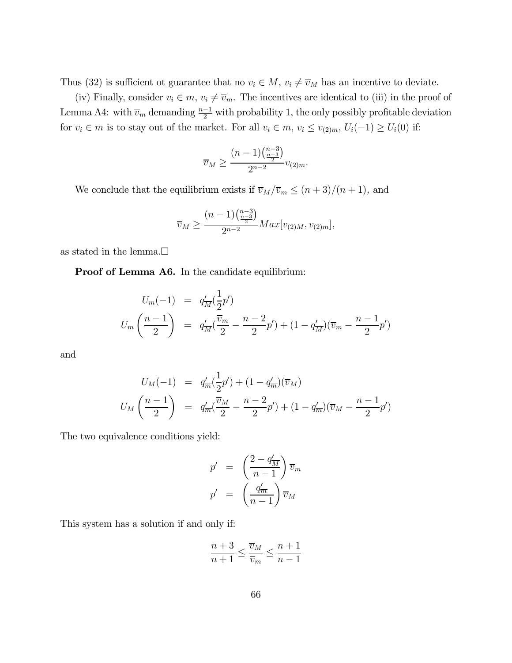Thus (32) is sufficient ot guarantee that no  $v_i \in M$ ,  $v_i \neq \overline{v}_M$  has an incentive to deviate.

(iv) Finally, consider  $v_i \in m$ ,  $v_i \neq \overline{v}_m$ . The incentives are identical to (iii) in the proof of Lemma A4: with  $\overline{v}_m$  demanding  $\frac{n-1}{2}$  with probability 1, the only possibly profitable deviation for  $v_i \in m$  is to stay out of the market. For all  $v_i \in m$ ,  $v_i \le v_{(2)m}$ ,  $U_i(-1) \ge U_i(0)$  if:

$$
\overline{v}_M \ge \frac{(n-1)\binom{n-3}{\frac{n-3}{2}}}{2^{n-2}} v_{(2)m}.
$$

We conclude that the equilibrium exists if  $\overline{v}_M/\overline{v}_m \leq (n+3)/(n+1)$ , and

$$
\overline{v}_M \ge \frac{(n-1)\binom{n-3}{\frac{n-3}{2}}}{2^{n-2}} Max[v_{(2)M}, v_{(2)m}],
$$

as stated in the lemma. $\Box$ 

Proof of Lemma A6. In the candidate equilibrium:

$$
U_m(-1) = q'_{\overline{M}}(\frac{1}{2}p')
$$
  

$$
U_m\left(\frac{n-1}{2}\right) = q'_{\overline{M}}(\frac{\overline{v}_m}{2} - \frac{n-2}{2}p') + (1 - q'_{\overline{M}})(\overline{v}_m - \frac{n-1}{2}p')
$$

and

$$
U_M(-1) = q'_m(\frac{1}{2}p') + (1 - q'_m)(\overline{v}_M)
$$
  

$$
U_M\left(\frac{n-1}{2}\right) = q'_m(\frac{\overline{v}_M}{2} - \frac{n-2}{2}p') + (1 - q'_m)(\overline{v}_M - \frac{n-1}{2}p')
$$

The two equivalence conditions yield:

$$
p' = \left(\frac{2 - q'_{\overline{M}}}{n - 1}\right) \overline{v}_m
$$

$$
p' = \left(\frac{q'_{\overline{m}}}{n - 1}\right) \overline{v}_M
$$

This system has a solution if and only if:

$$
\frac{n+3}{n+1} \le \frac{\overline{v}_M}{\overline{v}_m} \le \frac{n+1}{n-1}
$$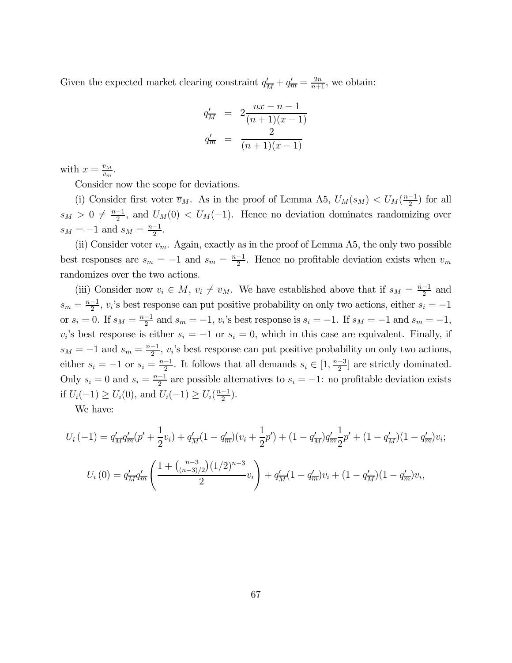Given the expected market clearing constraint  $q'_{\overline{M}} + q'_{\overline{m}} = \frac{2n}{n+1}$ , we obtain:

$$
q'_{\overline{M}} = 2 \frac{n x - n - 1}{(n+1)(x-1)}
$$
  

$$
q'_{\overline{m}} = \frac{2}{(n+1)(x-1)}
$$

with  $x = \frac{\bar{v}_M}{\bar{v}_m}$ .

Consider now the scope for deviations.

(i) Consider first voter  $\overline{v}_M$ . As in the proof of Lemma A5,  $U_M(s_M) < U_M(\frac{n-1}{2})$  for all  $s_M > 0 \neq \frac{n-1}{2}$ , and  $U_M(0) < U_M(-1)$ . Hence no deviation dominates randomizing over  $s_M = -1$  and  $s_M = \frac{n-1}{2}$ .

(ii) Consider voter  $\overline{v}_m$ . Again, exactly as in the proof of Lemma A5, the only two possible best responses are  $s_m = -1$  and  $s_m = \frac{n-1}{2}$ . Hence no profitable deviation exists when  $\overline{v}_m$ randomizes over the two actions.

(iii) Consider now  $v_i \in M$ ,  $v_i \neq \overline{v}_M$ . We have established above that if  $s_M = \frac{n-1}{2}$  and  $s_m = \frac{n-1}{2}$ , v<sub>i</sub>'s best response can put positive probability on only two actions, either  $s_i = -1$ or  $s_i = 0$ . If  $s_M = \frac{n-1}{2}$  and  $s_m = -1$ ,  $v_i$ 's best response is  $s_i = -1$ . If  $s_M = -1$  and  $s_m = -1$ ,  $v_i$ 's best response is either  $s_i = -1$  or  $s_i = 0$ , which in this case are equivalent. Finally, if  $s_M = -1$  and  $s_m = \frac{n-1}{2}$ , v<sub>i</sub>'s best response can put positive probability on only two actions, either  $s_i = -1$  or  $s_i = \frac{n-1}{2}$ . It follows that all demands  $s_i \in \left[1, \frac{n-3}{2}\right]$  are strictly dominated. Only  $s_i = 0$  and  $s_i = \frac{n-1}{2}$  are possible alternatives to  $s_i = -1$ : no profitable deviation exists if  $U_i(-1) \ge U_i(0)$ , and  $U_i(-1) \ge U_i(\frac{n-1}{2})$ .

We have:

$$
U_i(-1) = q'_{\overline{M}} q'_{\overline{m}}(p' + \frac{1}{2}v_i) + q'_{\overline{M}}(1 - q'_{\overline{m}})(v_i + \frac{1}{2}p') + (1 - q'_{\overline{M}})q'_{\overline{m}} \frac{1}{2}p' + (1 - q'_{\overline{M}})(1 - q'_{\overline{m}})v_i;
$$
  

$$
U_i(0) = q'_{\overline{M}} q'_{\overline{m}}\left(\frac{1 + \binom{n-3}{(n-3)/2} (1/2)^{n-3}}{2}v_i\right) + q'_{\overline{M}}(1 - q'_{\overline{m}})v_i + (1 - q'_{\overline{M}})(1 - q'_{\overline{m}})v_i,
$$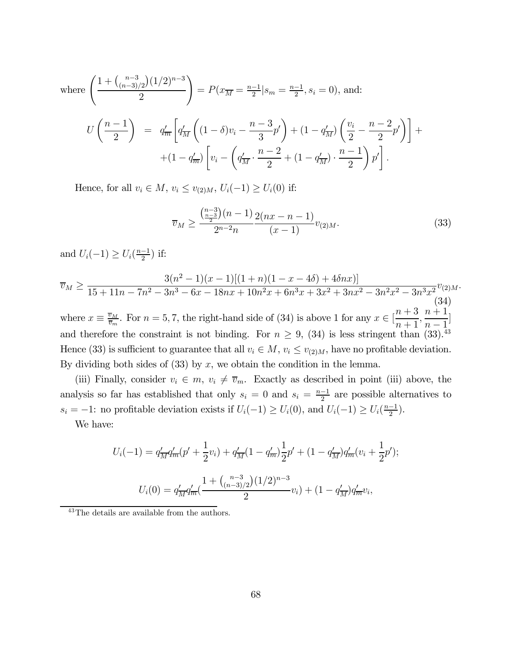where 
$$
\left(\frac{1 + {n-3 \choose (n-3)/2} (1/2)^{n-3}}{2}\right) = P(x_{\overline{M}} = \frac{n-1}{2} | s_m = \frac{n-1}{2}, s_i = 0), \text{ and:}
$$
  

$$
U\left(\frac{n-1}{2}\right) = q'_{\overline{m}} \left[ q'_{\overline{M}} \left( (1-\delta)v_i - \frac{n-3}{3}p' \right) + (1-q'_{\overline{M}}) \left( \frac{v_i}{2} - \frac{n-2}{2}p' \right) \right] +
$$
  

$$
+ (1-q'_{\overline{m}}) \left[ v_i - \left( q'_{\overline{M}} \cdot \frac{n-2}{2} + (1-q'_{\overline{M}}) \cdot \frac{n-1}{2} \right) p' \right].
$$

Hence, for all  $v_i \in M$ ,  $v_i \le v_{(2)M}$ ,  $U_i(-1) \ge U_i(0)$  if:

$$
\overline{v}_M \ge \frac{\binom{n-3}{\frac{n-3}{2}}(n-1)}{2^{n-2}n} \frac{2(nx-n-1)}{(x-1)} v_{(2)M}.
$$
\n(33)

and  $U_i(-1) \ge U_i(\frac{n-1}{2})$  if:

$$
\overline{v}_M \ge \frac{3(n^2 - 1)(x - 1)[(1 + n)(1 - x - 4\delta) + 4\delta nx)]}{15 + 11n - 7n^2 - 3n^3 - 6x - 18nx + 10n^2x + 6n^3x + 3x^2 + 3nx^2 - 3n^2x^2 - 3n^3x^2}v_{(2)M}.
$$
\n
$$
\overline{v}_M = \overline{v}_M \cdot \nabla \cdot \overline{v}_M + \overline{v}_M \cdot \overline{v}_M + \overline{v}_M \cdot \overline{v}_M + \overline{v}_M \cdot \overline{v}_M + \overline{v}_M \cdot \overline{v}_M + \overline{v}_M \cdot \overline{v}_M + \overline{v}_M \cdot \overline{v}_M + \overline{v}_M \cdot \overline{v}_M + \overline{v}_M \cdot \overline{v}_M + \overline{v}_M \cdot \overline{v}_M + \overline{v}_M \cdot \overline{v}_M + \overline{v}_M \cdot \overline{v}_M + \overline{v}_M \cdot \overline{v}_M + \overline{v}_M \cdot \overline{v}_M + \overline{v}_M \cdot \overline{v}_M + \overline{v}_M \cdot \overline{v}_M + \overline{v}_M \cdot \overline{v}_M + \overline{v}_M \cdot \overline{v}_M + \overline{v}_M \cdot \overline{v}_M + \overline{v}_M \cdot \overline{v}_M + \overline{v}_M \cdot \overline{v}_M + \overline{v}_M \cdot \overline{v}_M + \overline{v}_M \cdot \overline{v}_M + \overline{v}_M \cdot \overline{v}_M + \overline{v}_M \cdot \overline{v}_M + \overline{v}_M \cdot \overline{v}_M + \overline{v}_M \cdot \overline{v}_M + \overline{v}_M \cdot \overline{v}_M + \overline{v}_M \cdot \overline{v}_M + \overline{v}_M \cdot \overline{v}_M + \overline{v}_M \cdot \overline{v}_M + \overline{v}_M \cdot \overline{v}_M + \overline{v}_M \cdot \overline{v}_M + \overline{v}_M \cdot \overline{v}_M + \overline{v}_M \cdot \overline{v}_M + \overline{v}_M \cdot \overline{v
$$

where  $x \equiv \frac{\overline{v}_M}{\overline{v}_m}$ . For  $n = 5, 7$ , the right-hand side of (34) is above 1 for any  $x \in$  [  $\frac{n+3}{n+1},$  $n - 1$ ] and therefore the constraint is not binding. For  $n \geq 9$ , (34) is less stringent than (33).<sup>43</sup> Hence (33) is sufficient to guarantee that all  $v_i \in M$ ,  $v_i \le v_{(2)M}$ , have no profitable deviation. By dividing both sides of  $(33)$  by x, we obtain the condition in the lemma.

(iii) Finally, consider  $v_i \in m$ ,  $v_i \neq \overline{v}_m$ . Exactly as described in point (iii) above, the analysis so far has established that only  $s_i = 0$  and  $s_i = \frac{n-1}{2}$  are possible alternatives to  $s_i = -1$ : no profitable deviation exists if  $U_i(-1) \ge U_i(0)$ , and  $U_i(-1) \ge U_i(\frac{n-1}{2})$ .

We have:

$$
U_i(-1) = q'_{\overline{M}} q'_{\overline{m}}(p' + \frac{1}{2}v_i) + q'_{\overline{M}} (1 - q'_{\overline{m}}) \frac{1}{2} p' + (1 - q'_{\overline{M}}) q'_{\overline{m}}(v_i + \frac{1}{2} p');
$$
  

$$
U_i(0) = q'_{\overline{M}} q'_{\overline{m}}(\frac{1 + {n-3 \choose (n-3)/2} (1/2)^{n-3}}{2} v_i) + (1 - q'_{\overline{M}}) q'_{\overline{m}} v_i,
$$

43The details are available from the authors.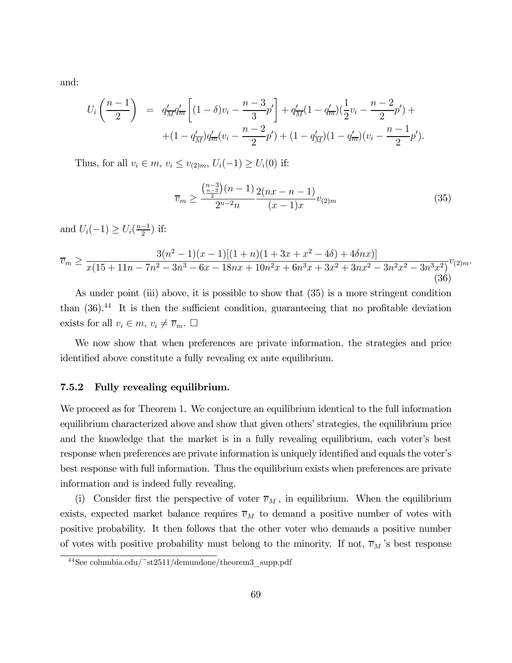and:

$$
U_i\left(\frac{n-1}{2}\right) = q'_{\overline{M}}q'_{\overline{m}}\left[ (1-\delta)v_i - \frac{n-3}{3}p' \right] + q'_{\overline{M}}(1-q'_{\overline{m}})(\frac{1}{2}v_i - \frac{n-2}{2}p') +
$$
  
 
$$
+ (1-q'_{\overline{M}})q'_{\overline{m}}(v_i - \frac{n-2}{2}p') + (1-q'_{\overline{M}})(1-q'_{\overline{m}})(v_i - \frac{n-1}{2}p').
$$

Thus, for all  $v_i \in m$ ,  $v_i \le v_{(2)m}$ ,  $U_i(-1) \ge U_i(0)$  if:

$$
\overline{v}_m \ge \frac{\binom{n-3}{\frac{n-3}{2}}(n-1)}{2^{n-2}n} \frac{2(nx-n-1)}{(x-1)x} v_{(2)m}
$$
\n(35)

and  $U_i(-1) \ge U_i(\frac{n-1}{2})$  if:

$$
\overline{v}_m \ge \frac{3(n^2 - 1)(x - 1)[(1 + n)(1 + 3x + x^2 - 4\delta) + 4\delta nx)]}{x(15 + 11n - 7n^2 - 3n^3 - 6x - 18nx + 10n^2x + 6n^3x + 3x^2 + 3nx^2 - 3n^2x^2 - 3n^3x^2)}v_{(2)m}.
$$
\n(36)

As under point (iii) above, it is possible to show that (35) is a more stringent condition than (36).<sup>44</sup> It is then the sufficient condition, guaranteeing that no profitable deviation exists for all  $v_i \in m$ ,  $v_i \neq \overline{v}_m$ .  $\Box$ 

We now show that when preferences are private information, the strategies and price identified above constitute a fully revealing ex ante equilibrium.

#### 7.5.2 Fully revealing equilibrium.

We proceed as for Theorem 1. We conjecture an equilibrium identical to the full information equilibrium characterized above and show that given others' strategies, the equilibrium price and the knowledge that the market is in a fully revealing equilibrium, each voter's best response when preferences are private information is uniquely identified and equals the voter's best response with full information. Thus the equilibrium exists when preferences are private information and is indeed fully revealing.

(i) Consider first the perspective of voter  $\overline{v}_M$ , in equilibrium. When the equilibrium exists, expected market balance requires  $\overline{v}_M$  to demand a positive number of votes with positive probability. It then follows that the other voter who demands a positive number of votes with positive probability must belong to the minority. If not,  $\overline{v}_M$  's best response

 $44$ See columbia.edu/~st2511/demundone/theorem3\_supp.pdf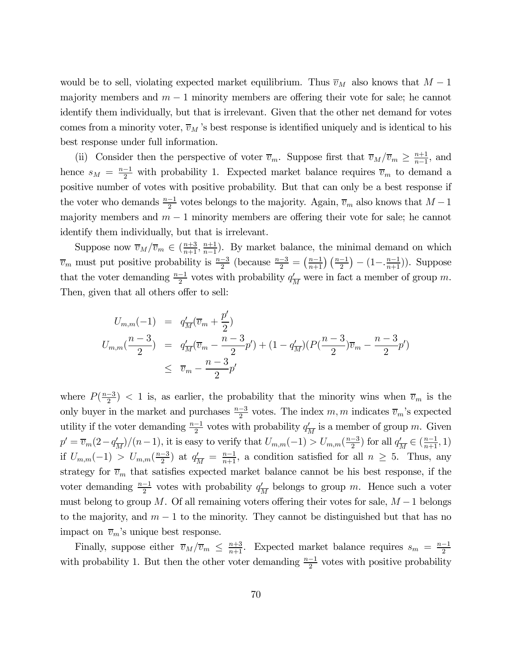would be to sell, violating expected market equilibrium. Thus  $\overline{v}_M$  also knows that  $M - 1$ majority members and  $m-1$  minority members are offering their vote for sale; he cannot identify them individually, but that is irrelevant. Given that the other net demand for votes comes from a minority voter,  $\overline{v}_M$  's best response is identified uniquely and is identical to his best response under full information.

(ii) Consider then the perspective of voter  $\overline{v}_m$ . Suppose first that  $\overline{v}_M/\overline{v}_m \ge \frac{n+1}{n-1}$ , and hence  $s_M = \frac{n-1}{2}$  with probability 1. Expected market balance requires  $\overline{v}_m$  to demand a positive number of votes with positive probability. But that can only be a best response if the voter who demands  $\frac{n-1}{2}$  votes belongs to the majority. Again,  $\overline{v}_m$  also knows that  $M-1$ majority members and  $m-1$  minority members are offering their vote for sale; he cannot identify them individually, but that is irrelevant.

Suppose now  $\overline{v}_M/\overline{v}_m \in (\frac{n+3}{n+1}, \frac{n+1}{n-1})$ . By market balance, the minimal demand on which  $\overline{v}_m$  must put positive probability is  $\frac{n-3}{2}$  (because  $\frac{n-3}{2} = \left(\frac{n-1}{n+1}\right)\left(\frac{n-1}{2}\right) - \left(1 - \frac{n-1}{n+1}\right)$ ). Suppose that the voter demanding  $\frac{n-1}{2}$  votes with probability  $q_M'$  were in fact a member of group m. Then, given that all others offer to sell:

$$
U_{m,m}(-1) = q'_{\overline{M}}(\overline{v}_m + \frac{p'}{2})
$$
  
\n
$$
U_{m,m}(\frac{n-3}{2}) = q'_{\overline{M}}(\overline{v}_m - \frac{n-3}{2}p') + (1 - q'_{\overline{M}})(P(\frac{n-3}{2})\overline{v}_m - \frac{n-3}{2}p')
$$
  
\n
$$
\leq \overline{v}_m - \frac{n-3}{2}p'
$$

where  $P(\frac{n-3}{2})$  < 1 is, as earlier, the probability that the minority wins when  $\overline{v}_m$  is the only buyer in the market and purchases  $\frac{n-3}{2}$  votes. The index m, m indicates  $\overline{v}_m$ 's expected utility if the voter demanding  $\frac{n-1}{2}$  votes with probability  $q'_M$  is a member of group m. Given  $p' = \overline{v}_m(2 - q'_{\overline{M}})/(n-1)$ , it is easy to verify that  $U_{m,m}(-1) > U_{m,m}(\frac{n-3}{2})$  for all  $q'_{\overline{M}} \in (\frac{n-1}{n+1}, 1)$ if  $U_{m,m}(-1) > U_{m,m}(\frac{n-3}{2})$  at  $q'_{\overline{M}} = \frac{n-1}{n+1}$ , a condition satisfied for all  $n \geq 5$ . Thus, any strategy for  $\overline{v}_m$  that satisfies expected market balance cannot be his best response, if the voter demanding  $\frac{n-1}{2}$  votes with probability  $q_M'$  belongs to group m. Hence such a voter must belong to group M. Of all remaining voters offering their votes for sale,  $M - 1$  belongs to the majority, and  $m-1$  to the minority. They cannot be distinguished but that has no impact on  $\overline{v}_m$ 's unique best response.

Finally, suppose either  $\overline{v}_M/\overline{v}_m \leq \frac{n+3}{n+1}$ . Expected market balance requires  $s_m = \frac{n-1}{2}$ with probability 1. But then the other voter demanding  $\frac{n-1}{2}$  votes with positive probability